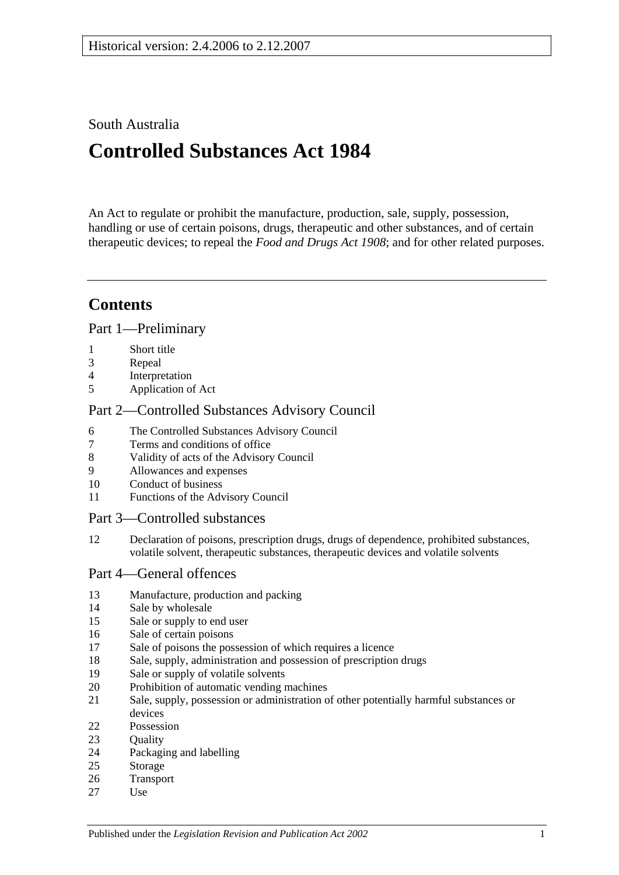## South Australia

# **Controlled Substances Act 1984**

An Act to regulate or prohibit the manufacture, production, sale, supply, possession, handling or use of certain poisons, drugs, therapeutic and other substances, and of certain therapeutic devices; to repeal the *[Food and Drugs Act](http://www.legislation.sa.gov.au/index.aspx?action=legref&type=act&legtitle=Food%20and%20Drugs%20Act%201908) 1908*; and for other related purposes.

## **Contents**

[Part 1—Preliminary](#page-2-0)

- [Short title](#page-2-1)
- [Repeal](#page-2-2)
- [Interpretation](#page-2-3)
- [Application of Act](#page-4-0)

## [Part 2—Controlled Substances Advisory Council](#page-4-1)

- [The Controlled Substances Advisory Council](#page-4-2)
- [Terms and conditions of office](#page-5-0)
- [Validity of acts of the Advisory Council](#page-5-1)
- [Allowances and expenses](#page-5-2)
- [Conduct of business](#page-5-3)
- [Functions of the Advisory Council](#page-6-0)

## [Part 3—Controlled substances](#page-7-0)

 [Declaration of poisons, prescription drugs, drugs of dependence, prohibited substances,](#page-7-1)  [volatile solvent, therapeutic substances, therapeutic devices and volatile solvents](#page-7-1)

## [Part 4—General offences](#page-8-0)

- [Manufacture, production and packing](#page-8-1)
- [Sale by wholesale](#page-8-2)
- [Sale or supply to end user](#page-8-3)
- [Sale of certain poisons](#page-9-0)
- [Sale of poisons the possession of which requires a licence](#page-9-1)
- [Sale, supply, administration and possession of prescription drugs](#page-9-2)
- [Sale or supply of volatile solvents](#page-10-0)
- [Prohibition of automatic vending machines](#page-10-1)
- [Sale, supply, possession or administration of other potentially harmful substances or](#page-11-0)  [devices](#page-11-0)
- [Possession](#page-11-1)
- 23 Ouality
- [Packaging and labelling](#page-12-0)
- [Storage](#page-12-1)
- [Transport](#page-12-2)
- [Use](#page-12-3)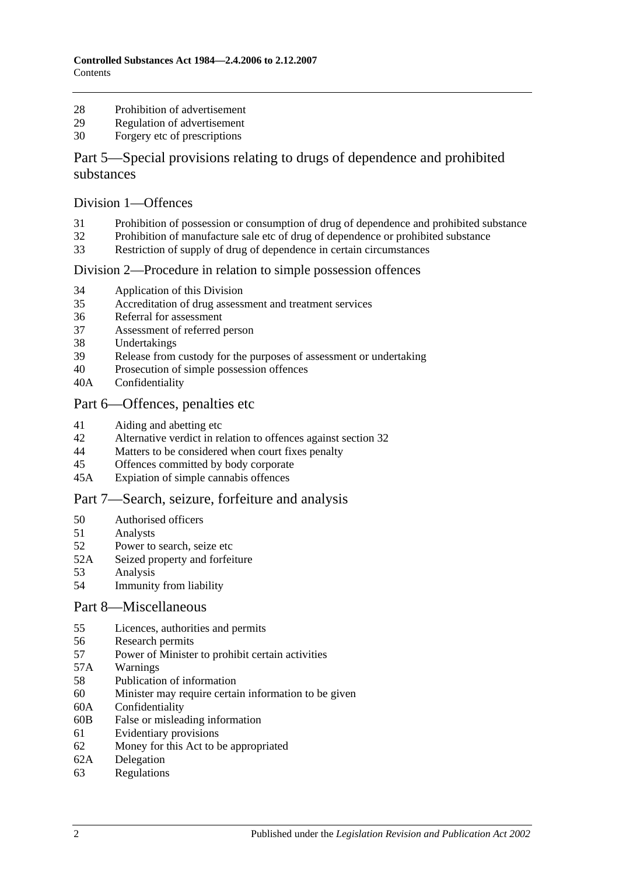- [Prohibition of advertisement](#page-12-4)
- [Regulation of advertisement](#page-12-5)
- [Forgery etc of prescriptions](#page-12-6)

## [Part 5—Special provisions relating to drugs of dependence and prohibited](#page-13-0)  [substances](#page-13-0)

#### [Division 1—Offences](#page-13-1)

- [Prohibition of possession or consumption of drug of dependence and prohibited substance](#page-13-2)
- [Prohibition of manufacture sale etc of drug of dependence or prohibited substance](#page-14-0)
- [Restriction of supply of drug of dependence in certain circumstances](#page-17-0)

#### [Division 2—Procedure in relation to simple possession offences](#page-18-0)

- [Application of this Division](#page-18-1)
- [Accreditation of drug assessment and treatment services](#page-18-2)
- [Referral for assessment](#page-19-0)
- [Assessment of referred person](#page-19-1)
- [Undertakings](#page-20-0)
- [Release from custody for the purposes of assessment or undertaking](#page-21-0)
- [Prosecution of simple possession offences](#page-21-1)
- 40A [Confidentiality](#page-21-2)

#### [Part 6—Offences, penalties etc](#page-21-3)

- [Aiding and abetting etc](#page-21-4)
- [Alternative verdict in relation to offences against section](#page-22-0) 32
- [Matters to be considered when court fixes penalty](#page-22-1)
- [Offences committed by body corporate](#page-22-2)
- 45A [Expiation of simple cannabis offences](#page-23-0)

## [Part 7—Search, seizure, forfeiture and analysis](#page-24-0)

- [Authorised officers](#page-24-1)
- [Analysts](#page-24-2)
- [Power to search, seize etc](#page-24-3)
- 52A [Seized property and forfeiture](#page-26-0)
- [Analysis](#page-28-0)
- [Immunity from liability](#page-28-1)

#### [Part 8—Miscellaneous](#page-28-2)

- [Licences, authorities and permits](#page-28-3)
- [Research permits](#page-29-0)
- [Power of Minister to prohibit certain activities](#page-29-1)
- 57A [Warnings](#page-30-0)
- [Publication of information](#page-31-0)
- [Minister may require certain information to be given](#page-31-1)
- 60A [Confidentiality](#page-32-0)
- 60B [False or misleading information](#page-33-0)
- [Evidentiary provisions](#page-33-1)
- [Money for this Act to be appropriated](#page-33-2)
- 62A [Delegation](#page-33-3)
- [Regulations](#page-33-4)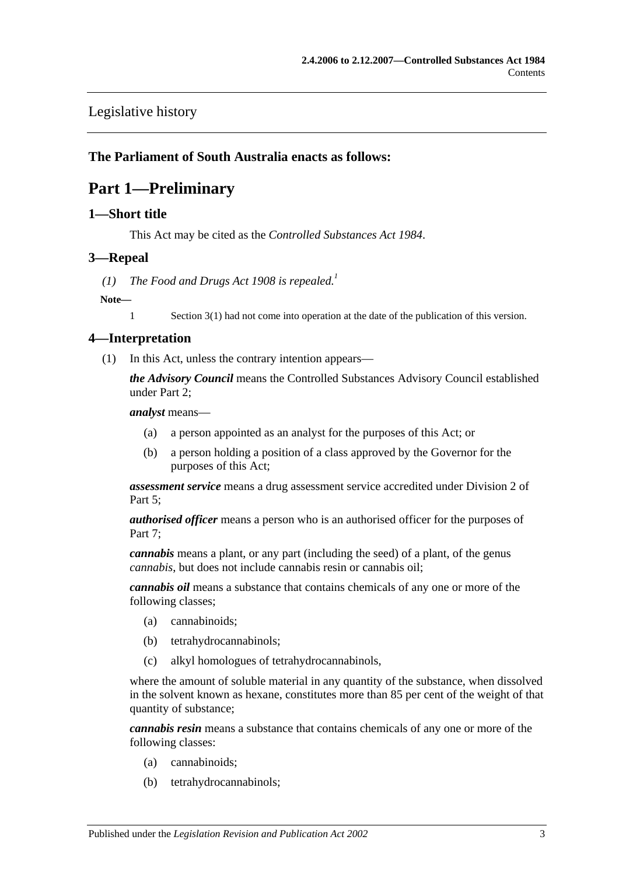## [Legislative history](#page-36-0)

## <span id="page-2-0"></span>**The Parliament of South Australia enacts as follows:**

## **Part 1—Preliminary**

#### <span id="page-2-1"></span>**1—Short title**

This Act may be cited as the *Controlled Substances Act 1984*.

#### <span id="page-2-2"></span>**3—Repeal**

(1) *The [Food and Drugs Act](http://www.legislation.sa.gov.au/index.aspx?action=legref&type=act&legtitle=Food%20and%20Drugs%20Act%201908) 1908 is repealed.*<sup>1</sup>

#### **Note—**

1 Section 3(1) had not come into operation at the date of the publication of this version.

## <span id="page-2-3"></span>**4—Interpretation**

(1) In this Act, unless the contrary intention appears—

*the Advisory Council* means the Controlled Substances Advisory Council established under [Part 2;](#page-4-1)

*analyst* means—

- (a) a person appointed as an analyst for the purposes of this Act; or
- (b) a person holding a position of a class approved by the Governor for the purposes of this Act;

*assessment service* means a drug assessment service accredited under [Division 2](#page-18-0) of [Part 5;](#page-13-0)

*authorised officer* means a person who is an authorised officer for the purposes of Part 7:

*cannabis* means a plant, or any part (including the seed) of a plant, of the genus *cannabis*, but does not include cannabis resin or cannabis oil;

*cannabis oil* means a substance that contains chemicals of any one or more of the following classes;

- (a) cannabinoids;
- (b) tetrahydrocannabinols;
- (c) alkyl homologues of tetrahydrocannabinols,

where the amount of soluble material in any quantity of the substance, when dissolved in the solvent known as hexane, constitutes more than 85 per cent of the weight of that quantity of substance;

*cannabis resin* means a substance that contains chemicals of any one or more of the following classes:

- (a) cannabinoids;
- (b) tetrahydrocannabinols;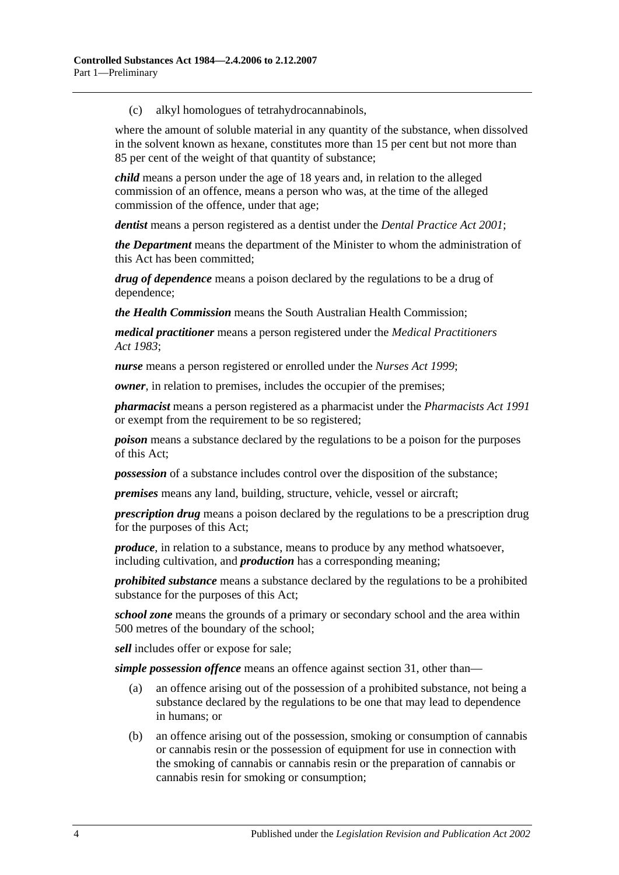(c) alkyl homologues of tetrahydrocannabinols,

where the amount of soluble material in any quantity of the substance, when dissolved in the solvent known as hexane, constitutes more than 15 per cent but not more than 85 per cent of the weight of that quantity of substance;

*child* means a person under the age of 18 years and, in relation to the alleged commission of an offence, means a person who was, at the time of the alleged commission of the offence, under that age;

*dentist* means a person registered as a dentist under the *[Dental Practice Act](http://www.legislation.sa.gov.au/index.aspx?action=legref&type=act&legtitle=Dental%20Practice%20Act%202001) 2001*;

*the Department* means the department of the Minister to whom the administration of this Act has been committed;

*drug of dependence* means a poison declared by the regulations to be a drug of dependence;

*the Health Commission* means the South Australian Health Commission;

*medical practitioner* means a person registered under the *[Medical Practitioners](http://www.legislation.sa.gov.au/index.aspx?action=legref&type=act&legtitle=Medical%20Practitioners%20Act%201983)  Act [1983](http://www.legislation.sa.gov.au/index.aspx?action=legref&type=act&legtitle=Medical%20Practitioners%20Act%201983)*;

*nurse* means a person registered or enrolled under the *[Nurses Act](http://www.legislation.sa.gov.au/index.aspx?action=legref&type=act&legtitle=Nurses%20Act%201999) 1999*;

*owner*, in relation to premises, includes the occupier of the premises;

*pharmacist* means a person registered as a pharmacist under the *[Pharmacists Act](http://www.legislation.sa.gov.au/index.aspx?action=legref&type=act&legtitle=Pharmacists%20Act%201991) 1991* or exempt from the requirement to be so registered;

*poison* means a substance declared by the regulations to be a poison for the purposes of this Act;

*possession* of a substance includes control over the disposition of the substance;

*premises* means any land, building, structure, vehicle, vessel or aircraft;

*prescription drug* means a poison declared by the regulations to be a prescription drug for the purposes of this Act;

*produce*, in relation to a substance, means to produce by any method whatsoever, including cultivation, and *production* has a corresponding meaning;

*prohibited substance* means a substance declared by the regulations to be a prohibited substance for the purposes of this Act;

*school zone* means the grounds of a primary or secondary school and the area within 500 metres of the boundary of the school;

*sell* includes offer or expose for sale;

*simple possession offence* means an offence against [section](#page-13-2) 31, other than—

- (a) an offence arising out of the possession of a prohibited substance, not being a substance declared by the regulations to be one that may lead to dependence in humans; or
- (b) an offence arising out of the possession, smoking or consumption of cannabis or cannabis resin or the possession of equipment for use in connection with the smoking of cannabis or cannabis resin or the preparation of cannabis or cannabis resin for smoking or consumption;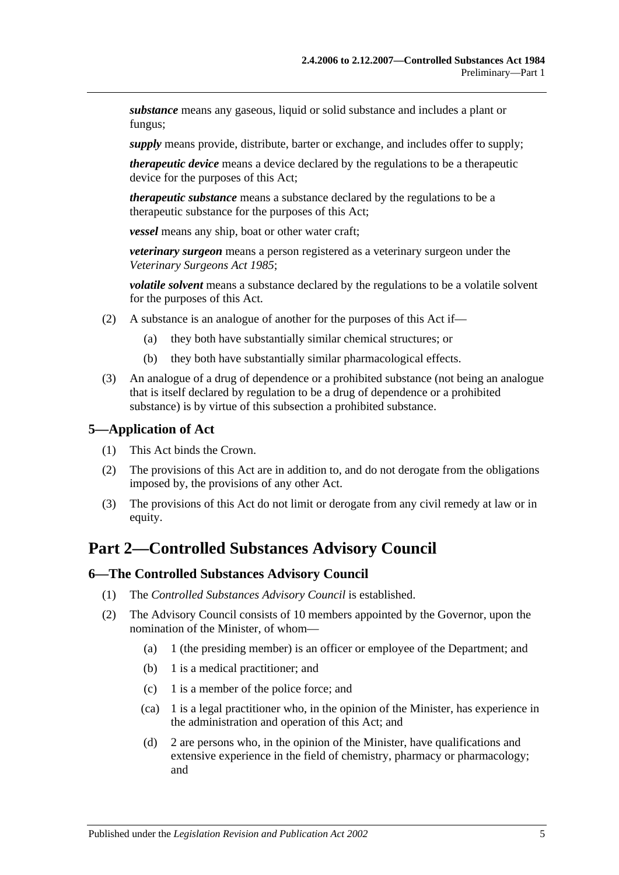*substance* means any gaseous, liquid or solid substance and includes a plant or fungus;

*supply* means provide, distribute, barter or exchange, and includes offer to supply;

*therapeutic device* means a device declared by the regulations to be a therapeutic device for the purposes of this Act;

*therapeutic substance* means a substance declared by the regulations to be a therapeutic substance for the purposes of this Act;

*vessel* means any ship, boat or other water craft;

*veterinary surgeon* means a person registered as a veterinary surgeon under the *[Veterinary Surgeons Act](http://www.legislation.sa.gov.au/index.aspx?action=legref&type=act&legtitle=Veterinary%20Surgeons%20Act%201985) 1985*;

*volatile solvent* means a substance declared by the regulations to be a volatile solvent for the purposes of this Act.

- (2) A substance is an analogue of another for the purposes of this Act if—
	- (a) they both have substantially similar chemical structures; or
	- (b) they both have substantially similar pharmacological effects.
- (3) An analogue of a drug of dependence or a prohibited substance (not being an analogue that is itself declared by regulation to be a drug of dependence or a prohibited substance) is by virtue of this subsection a prohibited substance.

#### <span id="page-4-0"></span>**5—Application of Act**

- (1) This Act binds the Crown.
- (2) The provisions of this Act are in addition to, and do not derogate from the obligations imposed by, the provisions of any other Act.
- (3) The provisions of this Act do not limit or derogate from any civil remedy at law or in equity.

## <span id="page-4-1"></span>**Part 2—Controlled Substances Advisory Council**

#### <span id="page-4-2"></span>**6—The Controlled Substances Advisory Council**

- (1) The *Controlled Substances Advisory Council* is established.
- (2) The Advisory Council consists of 10 members appointed by the Governor, upon the nomination of the Minister, of whom—
	- (a) 1 (the presiding member) is an officer or employee of the Department; and
	- (b) 1 is a medical practitioner; and
	- (c) 1 is a member of the police force; and
	- (ca) 1 is a legal practitioner who, in the opinion of the Minister, has experience in the administration and operation of this Act; and
	- (d) 2 are persons who, in the opinion of the Minister, have qualifications and extensive experience in the field of chemistry, pharmacy or pharmacology; and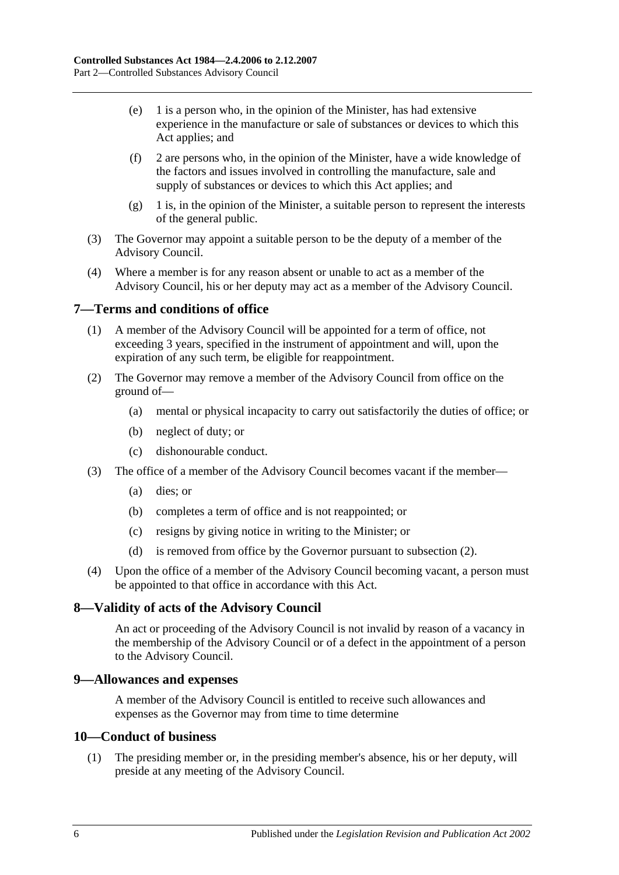- (e) 1 is a person who, in the opinion of the Minister, has had extensive experience in the manufacture or sale of substances or devices to which this Act applies; and
- (f) 2 are persons who, in the opinion of the Minister, have a wide knowledge of the factors and issues involved in controlling the manufacture, sale and supply of substances or devices to which this Act applies; and
- (g) 1 is, in the opinion of the Minister, a suitable person to represent the interests of the general public.
- (3) The Governor may appoint a suitable person to be the deputy of a member of the Advisory Council.
- (4) Where a member is for any reason absent or unable to act as a member of the Advisory Council, his or her deputy may act as a member of the Advisory Council.

## <span id="page-5-0"></span>**7—Terms and conditions of office**

- (1) A member of the Advisory Council will be appointed for a term of office, not exceeding 3 years, specified in the instrument of appointment and will, upon the expiration of any such term, be eligible for reappointment.
- <span id="page-5-4"></span>(2) The Governor may remove a member of the Advisory Council from office on the ground of—
	- (a) mental or physical incapacity to carry out satisfactorily the duties of office; or
	- (b) neglect of duty; or
	- (c) dishonourable conduct.
- (3) The office of a member of the Advisory Council becomes vacant if the member—
	- (a) dies; or
	- (b) completes a term of office and is not reappointed; or
	- (c) resigns by giving notice in writing to the Minister; or
	- (d) is removed from office by the Governor pursuant to [subsection](#page-5-4) (2).
- (4) Upon the office of a member of the Advisory Council becoming vacant, a person must be appointed to that office in accordance with this Act.

## <span id="page-5-1"></span>**8—Validity of acts of the Advisory Council**

An act or proceeding of the Advisory Council is not invalid by reason of a vacancy in the membership of the Advisory Council or of a defect in the appointment of a person to the Advisory Council.

## <span id="page-5-2"></span>**9—Allowances and expenses**

A member of the Advisory Council is entitled to receive such allowances and expenses as the Governor may from time to time determine

#### <span id="page-5-3"></span>**10—Conduct of business**

(1) The presiding member or, in the presiding member's absence, his or her deputy, will preside at any meeting of the Advisory Council.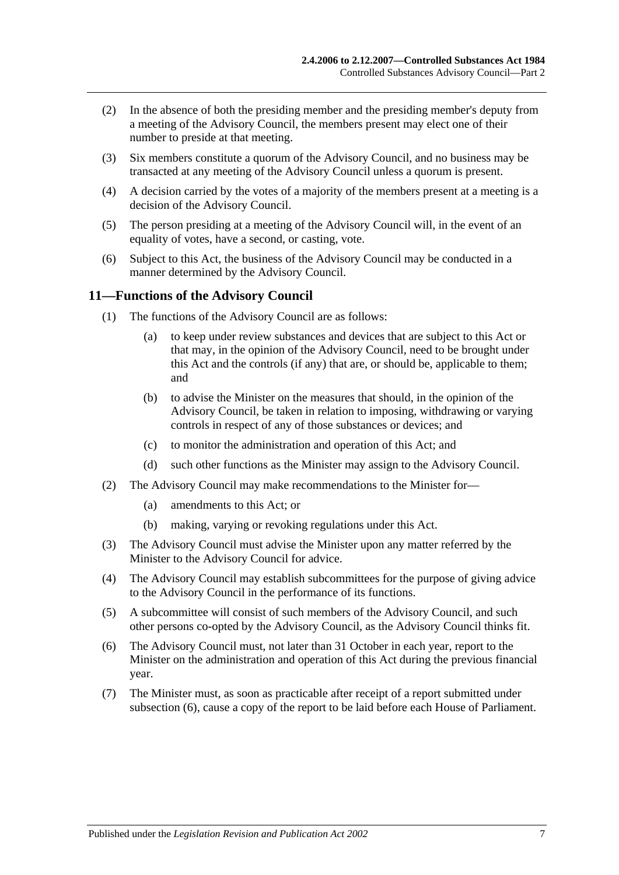- (2) In the absence of both the presiding member and the presiding member's deputy from a meeting of the Advisory Council, the members present may elect one of their number to preside at that meeting.
- (3) Six members constitute a quorum of the Advisory Council, and no business may be transacted at any meeting of the Advisory Council unless a quorum is present.
- (4) A decision carried by the votes of a majority of the members present at a meeting is a decision of the Advisory Council.
- (5) The person presiding at a meeting of the Advisory Council will, in the event of an equality of votes, have a second, or casting, vote.
- (6) Subject to this Act, the business of the Advisory Council may be conducted in a manner determined by the Advisory Council.

#### <span id="page-6-0"></span>**11—Functions of the Advisory Council**

- (1) The functions of the Advisory Council are as follows:
	- (a) to keep under review substances and devices that are subject to this Act or that may, in the opinion of the Advisory Council, need to be brought under this Act and the controls (if any) that are, or should be, applicable to them; and
	- (b) to advise the Minister on the measures that should, in the opinion of the Advisory Council, be taken in relation to imposing, withdrawing or varying controls in respect of any of those substances or devices; and
	- (c) to monitor the administration and operation of this Act; and
	- (d) such other functions as the Minister may assign to the Advisory Council.
- (2) The Advisory Council may make recommendations to the Minister for—
	- (a) amendments to this Act; or
	- (b) making, varying or revoking regulations under this Act.
- (3) The Advisory Council must advise the Minister upon any matter referred by the Minister to the Advisory Council for advice.
- (4) The Advisory Council may establish subcommittees for the purpose of giving advice to the Advisory Council in the performance of its functions.
- (5) A subcommittee will consist of such members of the Advisory Council, and such other persons co-opted by the Advisory Council, as the Advisory Council thinks fit.
- <span id="page-6-1"></span>(6) The Advisory Council must, not later than 31 October in each year, report to the Minister on the administration and operation of this Act during the previous financial year.
- (7) The Minister must, as soon as practicable after receipt of a report submitted under [subsection](#page-6-1) (6), cause a copy of the report to be laid before each House of Parliament.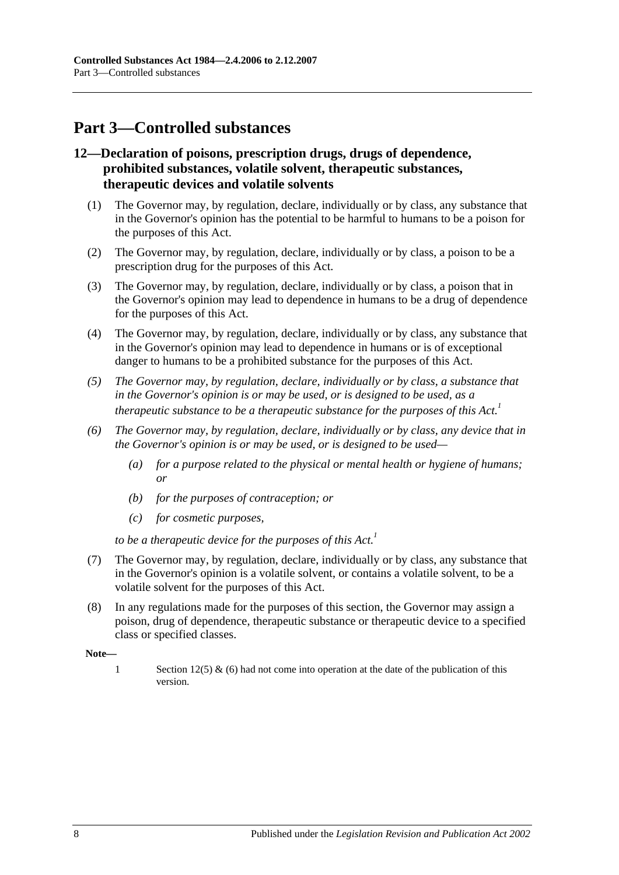## <span id="page-7-0"></span>**Part 3—Controlled substances**

## <span id="page-7-1"></span>**12—Declaration of poisons, prescription drugs, drugs of dependence, prohibited substances, volatile solvent, therapeutic substances, therapeutic devices and volatile solvents**

- (1) The Governor may, by regulation, declare, individually or by class, any substance that in the Governor's opinion has the potential to be harmful to humans to be a poison for the purposes of this Act.
- (2) The Governor may, by regulation, declare, individually or by class, a poison to be a prescription drug for the purposes of this Act.
- (3) The Governor may, by regulation, declare, individually or by class, a poison that in the Governor's opinion may lead to dependence in humans to be a drug of dependence for the purposes of this Act.
- (4) The Governor may, by regulation, declare, individually or by class, any substance that in the Governor's opinion may lead to dependence in humans or is of exceptional danger to humans to be a prohibited substance for the purposes of this Act.
- *(5) The Governor may, by regulation, declare, individually or by class, a substance that in the Governor's opinion is or may be used, or is designed to be used, as a therapeutic substance to be a therapeutic substance for the purposes of this Act.*<sup>1</sup>
- *(6) The Governor may, by regulation, declare, individually or by class, any device that in the Governor's opinion is or may be used, or is designed to be used—*
	- *(a) for a purpose related to the physical or mental health or hygiene of humans; or*
	- *(b) for the purposes of contraception; or*
	- *(c) for cosmetic purposes,*

*to be a therapeutic device for the purposes of this Act.*<sup>1</sup>

- (7) The Governor may, by regulation, declare, individually or by class, any substance that in the Governor's opinion is a volatile solvent, or contains a volatile solvent, to be a volatile solvent for the purposes of this Act.
- (8) In any regulations made for the purposes of this section, the Governor may assign a poison, drug of dependence, therapeutic substance or therapeutic device to a specified class or specified classes.

**Note—**

1 Section 12(5) & (6) had not come into operation at the date of the publication of this version.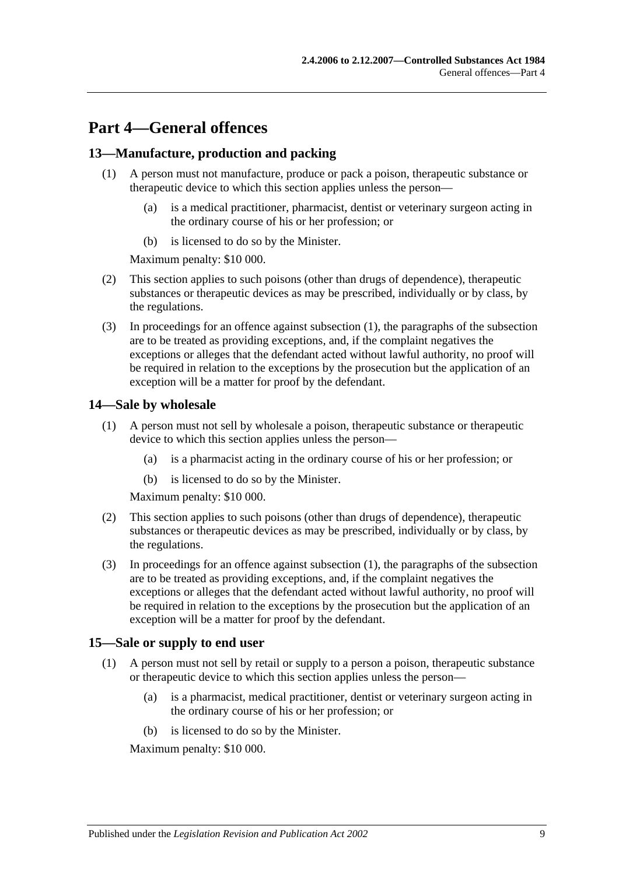## <span id="page-8-0"></span>**Part 4—General offences**

## <span id="page-8-4"></span><span id="page-8-1"></span>**13—Manufacture, production and packing**

- (1) A person must not manufacture, produce or pack a poison, therapeutic substance or therapeutic device to which this section applies unless the person—
	- (a) is a medical practitioner, pharmacist, dentist or veterinary surgeon acting in the ordinary course of his or her profession; or
	- (b) is licensed to do so by the Minister.

Maximum penalty: \$10 000.

- (2) This section applies to such poisons (other than drugs of dependence), therapeutic substances or therapeutic devices as may be prescribed, individually or by class, by the regulations.
- (3) In proceedings for an offence against [subsection](#page-8-4) (1), the paragraphs of the subsection are to be treated as providing exceptions, and, if the complaint negatives the exceptions or alleges that the defendant acted without lawful authority, no proof will be required in relation to the exceptions by the prosecution but the application of an exception will be a matter for proof by the defendant.

#### <span id="page-8-5"></span><span id="page-8-2"></span>**14—Sale by wholesale**

- (1) A person must not sell by wholesale a poison, therapeutic substance or therapeutic device to which this section applies unless the person—
	- (a) is a pharmacist acting in the ordinary course of his or her profession; or
	- (b) is licensed to do so by the Minister.

Maximum penalty: \$10 000.

- (2) This section applies to such poisons (other than drugs of dependence), therapeutic substances or therapeutic devices as may be prescribed, individually or by class, by the regulations.
- (3) In proceedings for an offence against [subsection](#page-8-5) (1), the paragraphs of the subsection are to be treated as providing exceptions, and, if the complaint negatives the exceptions or alleges that the defendant acted without lawful authority, no proof will be required in relation to the exceptions by the prosecution but the application of an exception will be a matter for proof by the defendant.

## <span id="page-8-6"></span><span id="page-8-3"></span>**15—Sale or supply to end user**

- (1) A person must not sell by retail or supply to a person a poison, therapeutic substance or therapeutic device to which this section applies unless the person—
	- (a) is a pharmacist, medical practitioner, dentist or veterinary surgeon acting in the ordinary course of his or her profession; or
	- (b) is licensed to do so by the Minister.

Maximum penalty: \$10 000.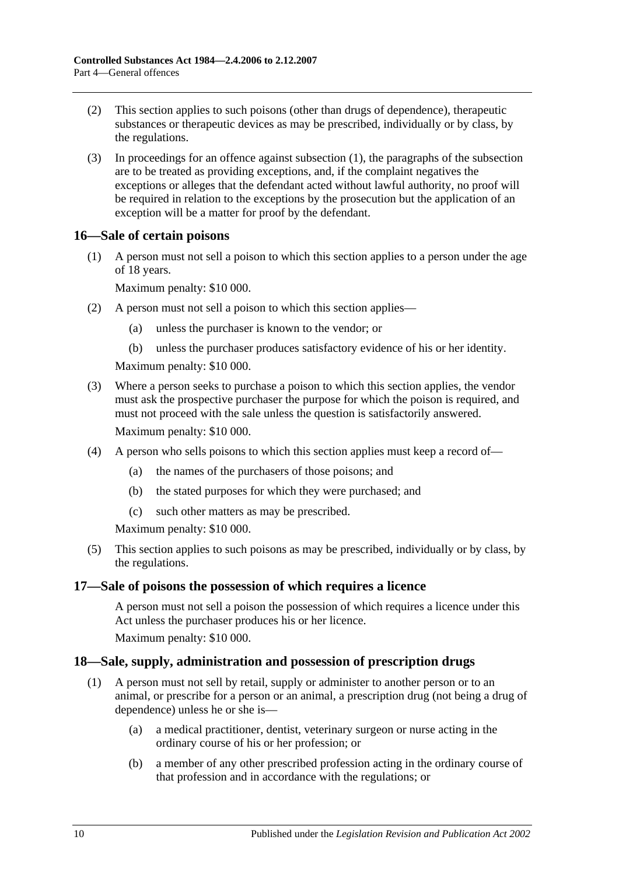- (2) This section applies to such poisons (other than drugs of dependence), therapeutic substances or therapeutic devices as may be prescribed, individually or by class, by the regulations.
- (3) In proceedings for an offence against [subsection](#page-8-6) (1), the paragraphs of the subsection are to be treated as providing exceptions, and, if the complaint negatives the exceptions or alleges that the defendant acted without lawful authority, no proof will be required in relation to the exceptions by the prosecution but the application of an exception will be a matter for proof by the defendant.

## <span id="page-9-0"></span>**16—Sale of certain poisons**

(1) A person must not sell a poison to which this section applies to a person under the age of 18 years.

Maximum penalty: \$10 000.

- (2) A person must not sell a poison to which this section applies—
	- (a) unless the purchaser is known to the vendor; or
	- (b) unless the purchaser produces satisfactory evidence of his or her identity.

Maximum penalty: \$10 000.

- (3) Where a person seeks to purchase a poison to which this section applies, the vendor must ask the prospective purchaser the purpose for which the poison is required, and must not proceed with the sale unless the question is satisfactorily answered. Maximum penalty: \$10 000.
- (4) A person who sells poisons to which this section applies must keep a record of—
	- (a) the names of the purchasers of those poisons; and
	- (b) the stated purposes for which they were purchased; and
	- (c) such other matters as may be prescribed.

Maximum penalty: \$10 000.

(5) This section applies to such poisons as may be prescribed, individually or by class, by the regulations.

## <span id="page-9-1"></span>**17—Sale of poisons the possession of which requires a licence**

A person must not sell a poison the possession of which requires a licence under this Act unless the purchaser produces his or her licence.

Maximum penalty: \$10 000.

## <span id="page-9-3"></span><span id="page-9-2"></span>**18—Sale, supply, administration and possession of prescription drugs**

- (1) A person must not sell by retail, supply or administer to another person or to an animal, or prescribe for a person or an animal, a prescription drug (not being a drug of dependence) unless he or she is—
	- (a) a medical practitioner, dentist, veterinary surgeon or nurse acting in the ordinary course of his or her profession; or
	- (b) a member of any other prescribed profession acting in the ordinary course of that profession and in accordance with the regulations; or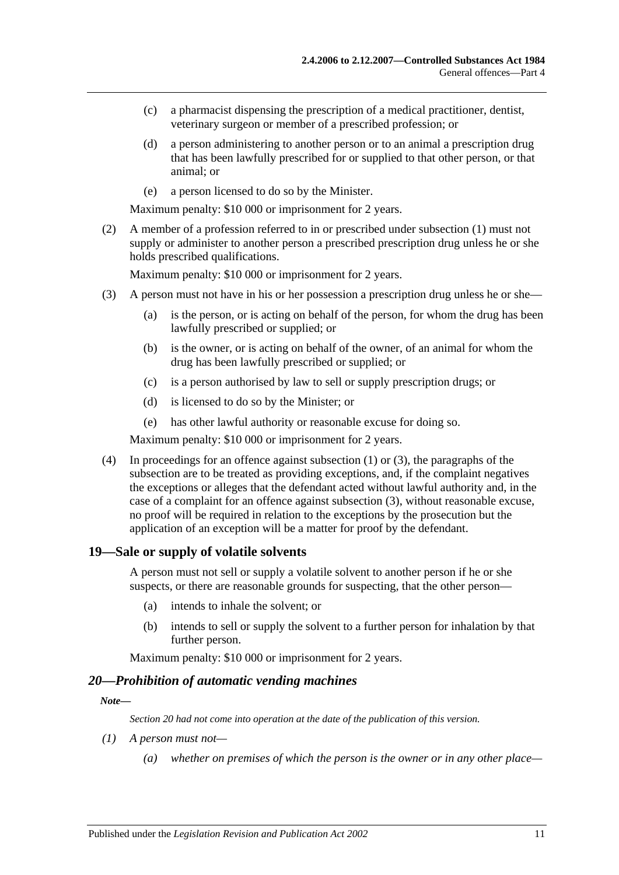- (c) a pharmacist dispensing the prescription of a medical practitioner, dentist, veterinary surgeon or member of a prescribed profession; or
- (d) a person administering to another person or to an animal a prescription drug that has been lawfully prescribed for or supplied to that other person, or that animal; or
- (e) a person licensed to do so by the Minister.

Maximum penalty: \$10 000 or imprisonment for 2 years.

(2) A member of a profession referred to in or prescribed under [subsection](#page-9-3) (1) must not supply or administer to another person a prescribed prescription drug unless he or she holds prescribed qualifications.

Maximum penalty: \$10 000 or imprisonment for 2 years.

- <span id="page-10-2"></span>(3) A person must not have in his or her possession a prescription drug unless he or she—
	- (a) is the person, or is acting on behalf of the person, for whom the drug has been lawfully prescribed or supplied; or
	- (b) is the owner, or is acting on behalf of the owner, of an animal for whom the drug has been lawfully prescribed or supplied; or
	- (c) is a person authorised by law to sell or supply prescription drugs; or
	- (d) is licensed to do so by the Minister; or
	- (e) has other lawful authority or reasonable excuse for doing so.

Maximum penalty: \$10 000 or imprisonment for 2 years.

(4) In proceedings for an offence against [subsection](#page-9-3) (1) or [\(3\),](#page-10-2) the paragraphs of the subsection are to be treated as providing exceptions, and, if the complaint negatives the exceptions or alleges that the defendant acted without lawful authority and, in the case of a complaint for an offence against [subsection](#page-10-2) (3), without reasonable excuse, no proof will be required in relation to the exceptions by the prosecution but the application of an exception will be a matter for proof by the defendant.

#### <span id="page-10-0"></span>**19—Sale or supply of volatile solvents**

A person must not sell or supply a volatile solvent to another person if he or she suspects, or there are reasonable grounds for suspecting, that the other person—

- (a) intends to inhale the solvent; or
- (b) intends to sell or supply the solvent to a further person for inhalation by that further person.

Maximum penalty: \$10 000 or imprisonment for 2 years.

#### <span id="page-10-1"></span>*20—Prohibition of automatic vending machines*

#### *Note—*

*Section 20 had not come into operation at the date of the publication of this version.*

- *(1) A person must not—*
	- *(a) whether on premises of which the person is the owner or in any other place—*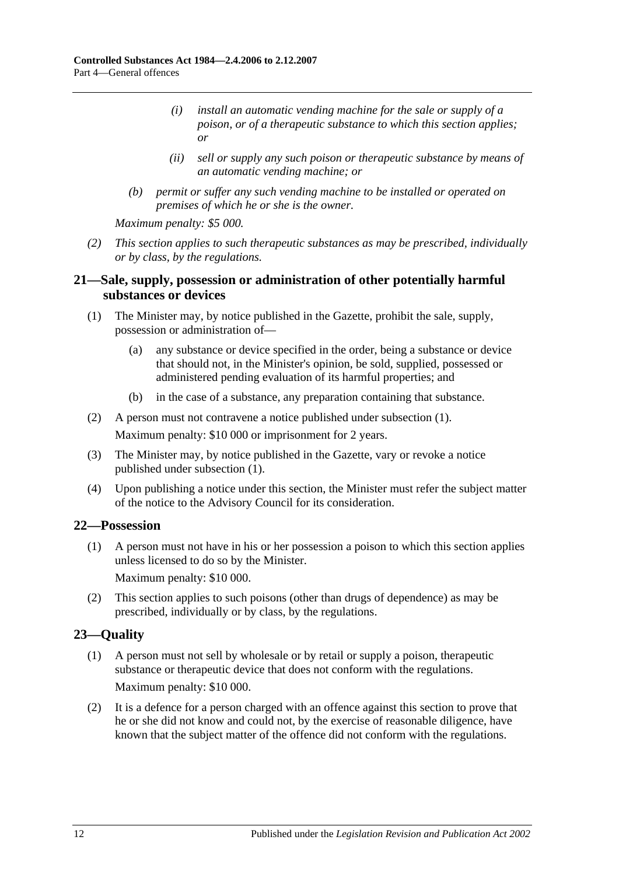- *(i) install an automatic vending machine for the sale or supply of a poison, or of a therapeutic substance to which this section applies; or*
- *(ii) sell or supply any such poison or therapeutic substance by means of an automatic vending machine; or*
- *(b) permit or suffer any such vending machine to be installed or operated on premises of which he or she is the owner.*

*Maximum penalty: \$5 000.*

*(2) This section applies to such therapeutic substances as may be prescribed, individually or by class, by the regulations.*

## <span id="page-11-0"></span>**21—Sale, supply, possession or administration of other potentially harmful substances or devices**

- <span id="page-11-3"></span>(1) The Minister may, by notice published in the Gazette, prohibit the sale, supply, possession or administration of—
	- (a) any substance or device specified in the order, being a substance or device that should not, in the Minister's opinion, be sold, supplied, possessed or administered pending evaluation of its harmful properties; and
	- (b) in the case of a substance, any preparation containing that substance.
- (2) A person must not contravene a notice published under [subsection](#page-11-3) (1). Maximum penalty: \$10 000 or imprisonment for 2 years.
- (3) The Minister may, by notice published in the Gazette, vary or revoke a notice published under [subsection](#page-11-3) (1).
- (4) Upon publishing a notice under this section, the Minister must refer the subject matter of the notice to the Advisory Council for its consideration.

## <span id="page-11-1"></span>**22—Possession**

(1) A person must not have in his or her possession a poison to which this section applies unless licensed to do so by the Minister.

Maximum penalty: \$10 000.

(2) This section applies to such poisons (other than drugs of dependence) as may be prescribed, individually or by class, by the regulations.

## <span id="page-11-2"></span>**23—Quality**

- (1) A person must not sell by wholesale or by retail or supply a poison, therapeutic substance or therapeutic device that does not conform with the regulations. Maximum penalty: \$10 000.
- (2) It is a defence for a person charged with an offence against this section to prove that he or she did not know and could not, by the exercise of reasonable diligence, have known that the subject matter of the offence did not conform with the regulations.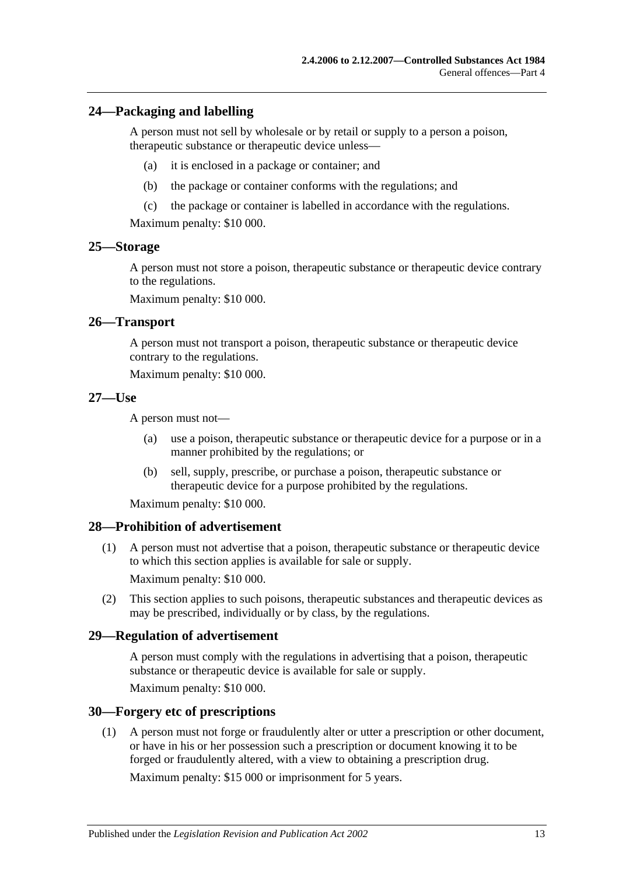#### <span id="page-12-0"></span>**24—Packaging and labelling**

A person must not sell by wholesale or by retail or supply to a person a poison, therapeutic substance or therapeutic device unless—

- (a) it is enclosed in a package or container; and
- (b) the package or container conforms with the regulations; and
- (c) the package or container is labelled in accordance with the regulations.

Maximum penalty: \$10 000.

#### <span id="page-12-1"></span>**25—Storage**

A person must not store a poison, therapeutic substance or therapeutic device contrary to the regulations.

Maximum penalty: \$10 000.

#### <span id="page-12-2"></span>**26—Transport**

A person must not transport a poison, therapeutic substance or therapeutic device contrary to the regulations.

Maximum penalty: \$10 000.

#### <span id="page-12-3"></span>**27—Use**

A person must not—

- (a) use a poison, therapeutic substance or therapeutic device for a purpose or in a manner prohibited by the regulations; or
- (b) sell, supply, prescribe, or purchase a poison, therapeutic substance or therapeutic device for a purpose prohibited by the regulations.

Maximum penalty: \$10 000.

#### <span id="page-12-4"></span>**28—Prohibition of advertisement**

(1) A person must not advertise that a poison, therapeutic substance or therapeutic device to which this section applies is available for sale or supply.

Maximum penalty: \$10 000.

(2) This section applies to such poisons, therapeutic substances and therapeutic devices as may be prescribed, individually or by class, by the regulations.

#### <span id="page-12-5"></span>**29—Regulation of advertisement**

A person must comply with the regulations in advertising that a poison, therapeutic substance or therapeutic device is available for sale or supply.

Maximum penalty: \$10 000.

#### <span id="page-12-6"></span>**30—Forgery etc of prescriptions**

(1) A person must not forge or fraudulently alter or utter a prescription or other document, or have in his or her possession such a prescription or document knowing it to be forged or fraudulently altered, with a view to obtaining a prescription drug.

Maximum penalty: \$15 000 or imprisonment for 5 years.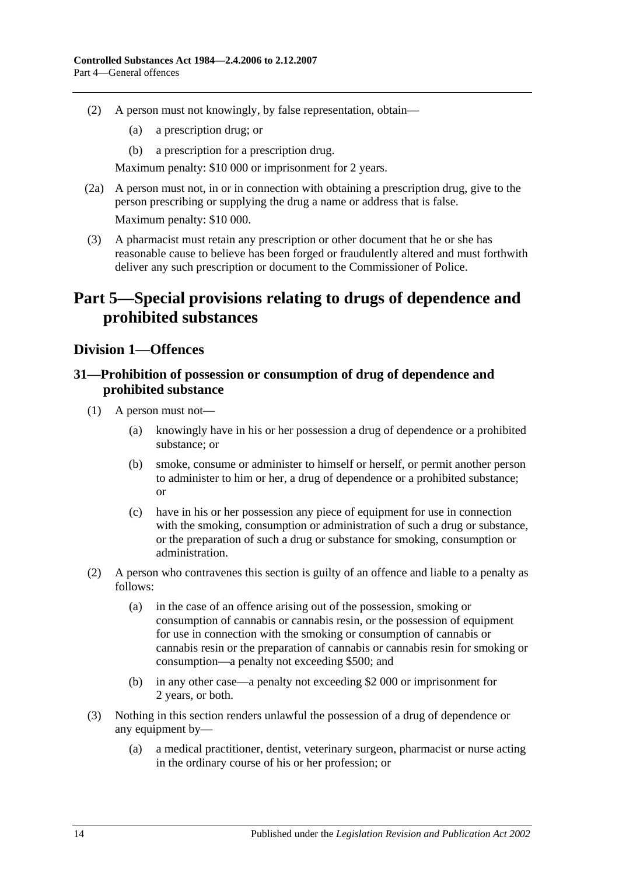- (2) A person must not knowingly, by false representation, obtain—
	- (a) a prescription drug; or
	- (b) a prescription for a prescription drug.

Maximum penalty: \$10 000 or imprisonment for 2 years.

- (2a) A person must not, in or in connection with obtaining a prescription drug, give to the person prescribing or supplying the drug a name or address that is false. Maximum penalty: \$10 000.
- (3) A pharmacist must retain any prescription or other document that he or she has reasonable cause to believe has been forged or fraudulently altered and must forthwith deliver any such prescription or document to the Commissioner of Police.

## <span id="page-13-0"></span>**Part 5—Special provisions relating to drugs of dependence and prohibited substances**

## <span id="page-13-1"></span>**Division 1—Offences**

## <span id="page-13-2"></span>**31—Prohibition of possession or consumption of drug of dependence and prohibited substance**

- (1) A person must not—
	- (a) knowingly have in his or her possession a drug of dependence or a prohibited substance; or
	- (b) smoke, consume or administer to himself or herself, or permit another person to administer to him or her, a drug of dependence or a prohibited substance; or
	- (c) have in his or her possession any piece of equipment for use in connection with the smoking, consumption or administration of such a drug or substance, or the preparation of such a drug or substance for smoking, consumption or administration.
- <span id="page-13-3"></span>(2) A person who contravenes this section is guilty of an offence and liable to a penalty as follows:
	- (a) in the case of an offence arising out of the possession, smoking or consumption of cannabis or cannabis resin, or the possession of equipment for use in connection with the smoking or consumption of cannabis or cannabis resin or the preparation of cannabis or cannabis resin for smoking or consumption—a penalty not exceeding \$500; and
	- (b) in any other case—a penalty not exceeding \$2 000 or imprisonment for 2 years, or both.
- <span id="page-13-4"></span>(3) Nothing in this section renders unlawful the possession of a drug of dependence or any equipment by—
	- (a) a medical practitioner, dentist, veterinary surgeon, pharmacist or nurse acting in the ordinary course of his or her profession; or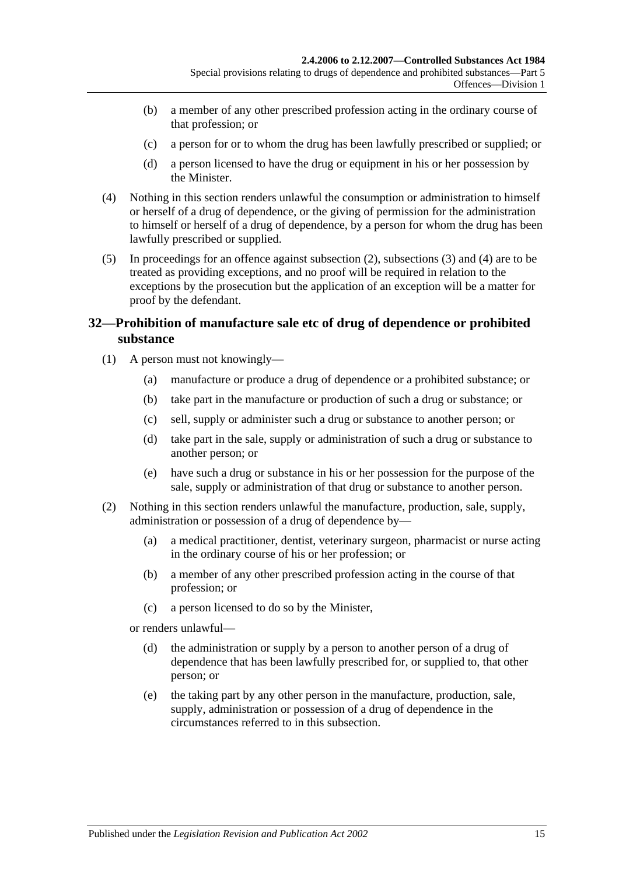- (b) a member of any other prescribed profession acting in the ordinary course of that profession; or
- (c) a person for or to whom the drug has been lawfully prescribed or supplied; or
- (d) a person licensed to have the drug or equipment in his or her possession by the Minister.
- <span id="page-14-1"></span>(4) Nothing in this section renders unlawful the consumption or administration to himself or herself of a drug of dependence, or the giving of permission for the administration to himself or herself of a drug of dependence, by a person for whom the drug has been lawfully prescribed or supplied.
- (5) In proceedings for an offence against [subsection](#page-13-3) (2), [subsections](#page-13-4) (3) and [\(4\)](#page-14-1) are to be treated as providing exceptions, and no proof will be required in relation to the exceptions by the prosecution but the application of an exception will be a matter for proof by the defendant.

## <span id="page-14-0"></span>**32—Prohibition of manufacture sale etc of drug of dependence or prohibited substance**

- (1) A person must not knowingly—
	- (a) manufacture or produce a drug of dependence or a prohibited substance; or
	- (b) take part in the manufacture or production of such a drug or substance; or
	- (c) sell, supply or administer such a drug or substance to another person; or
	- (d) take part in the sale, supply or administration of such a drug or substance to another person; or
	- (e) have such a drug or substance in his or her possession for the purpose of the sale, supply or administration of that drug or substance to another person.
- <span id="page-14-2"></span>(2) Nothing in this section renders unlawful the manufacture, production, sale, supply, administration or possession of a drug of dependence by—
	- (a) a medical practitioner, dentist, veterinary surgeon, pharmacist or nurse acting in the ordinary course of his or her profession; or
	- (b) a member of any other prescribed profession acting in the course of that profession; or
	- (c) a person licensed to do so by the Minister,
	- or renders unlawful—
		- (d) the administration or supply by a person to another person of a drug of dependence that has been lawfully prescribed for, or supplied to, that other person; or
		- (e) the taking part by any other person in the manufacture, production, sale, supply, administration or possession of a drug of dependence in the circumstances referred to in this subsection.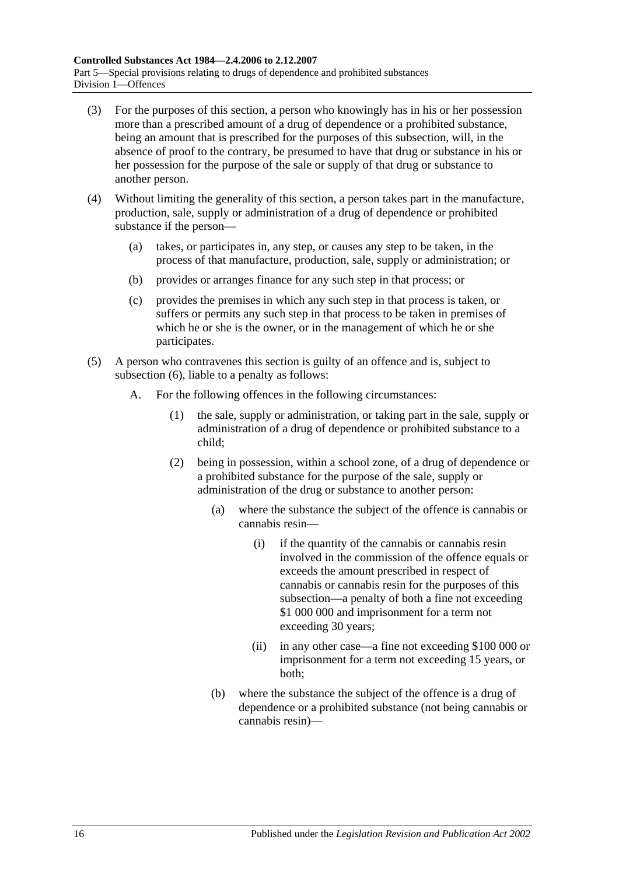- (3) For the purposes of this section, a person who knowingly has in his or her possession more than a prescribed amount of a drug of dependence or a prohibited substance, being an amount that is prescribed for the purposes of this subsection, will, in the absence of proof to the contrary, be presumed to have that drug or substance in his or her possession for the purpose of the sale or supply of that drug or substance to another person.
- (4) Without limiting the generality of this section, a person takes part in the manufacture, production, sale, supply or administration of a drug of dependence or prohibited substance if the person—
	- (a) takes, or participates in, any step, or causes any step to be taken, in the process of that manufacture, production, sale, supply or administration; or
	- (b) provides or arranges finance for any such step in that process; or
	- (c) provides the premises in which any such step in that process is taken, or suffers or permits any such step in that process to be taken in premises of which he or she is the owner, or in the management of which he or she participates.
- <span id="page-15-0"></span>(5) A person who contravenes this section is guilty of an offence and is, subject to [subsection](#page-17-1) (6), liable to a penalty as follows:
	- A. For the following offences in the following circumstances:
		- (1) the sale, supply or administration, or taking part in the sale, supply or administration of a drug of dependence or prohibited substance to a child;
		- (2) being in possession, within a school zone, of a drug of dependence or a prohibited substance for the purpose of the sale, supply or administration of the drug or substance to another person:
			- (a) where the substance the subject of the offence is cannabis or cannabis resin—
				- (i) if the quantity of the cannabis or cannabis resin involved in the commission of the offence equals or exceeds the amount prescribed in respect of cannabis or cannabis resin for the purposes of this subsection—a penalty of both a fine not exceeding \$1 000 000 and imprisonment for a term not exceeding 30 years;
				- (ii) in any other case—a fine not exceeding \$100 000 or imprisonment for a term not exceeding 15 years, or both;
			- (b) where the substance the subject of the offence is a drug of dependence or a prohibited substance (not being cannabis or cannabis resin)—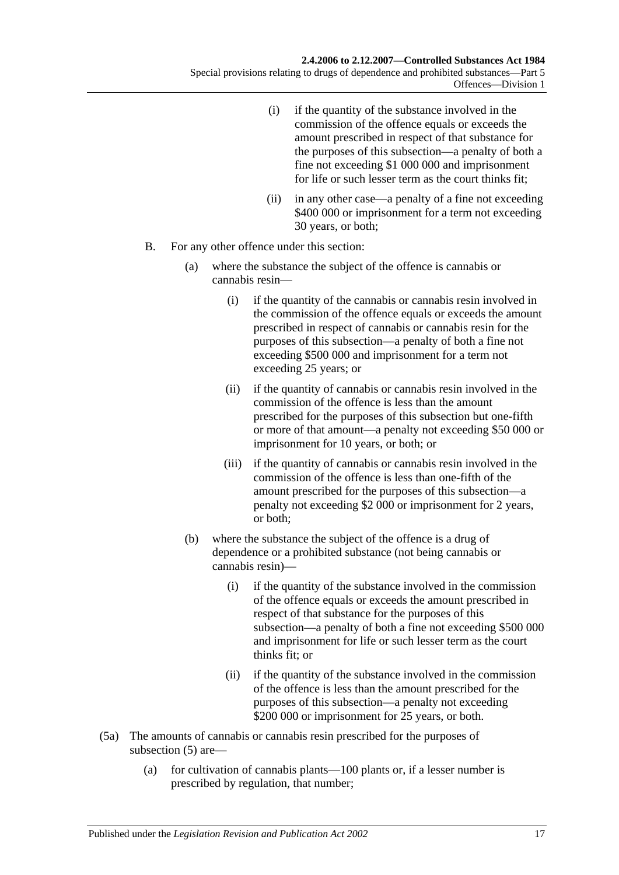- (i) if the quantity of the substance involved in the commission of the offence equals or exceeds the amount prescribed in respect of that substance for the purposes of this subsection—a penalty of both a fine not exceeding \$1 000 000 and imprisonment for life or such lesser term as the court thinks fit;
- (ii) in any other case—a penalty of a fine not exceeding \$400 000 or imprisonment for a term not exceeding 30 years, or both;
- B. For any other offence under this section:
	- (a) where the substance the subject of the offence is cannabis or cannabis resin—
		- (i) if the quantity of the cannabis or cannabis resin involved in the commission of the offence equals or exceeds the amount prescribed in respect of cannabis or cannabis resin for the purposes of this subsection—a penalty of both a fine not exceeding \$500 000 and imprisonment for a term not exceeding 25 years; or
		- (ii) if the quantity of cannabis or cannabis resin involved in the commission of the offence is less than the amount prescribed for the purposes of this subsection but one-fifth or more of that amount—a penalty not exceeding \$50 000 or imprisonment for 10 years, or both; or
		- (iii) if the quantity of cannabis or cannabis resin involved in the commission of the offence is less than one-fifth of the amount prescribed for the purposes of this subsection—a penalty not exceeding \$2 000 or imprisonment for 2 years, or both;
	- (b) where the substance the subject of the offence is a drug of dependence or a prohibited substance (not being cannabis or cannabis resin)—
		- (i) if the quantity of the substance involved in the commission of the offence equals or exceeds the amount prescribed in respect of that substance for the purposes of this subsection—a penalty of both a fine not exceeding \$500 000 and imprisonment for life or such lesser term as the court thinks fit; or
		- (ii) if the quantity of the substance involved in the commission of the offence is less than the amount prescribed for the purposes of this subsection—a penalty not exceeding \$200 000 or imprisonment for 25 years, or both.
- (5a) The amounts of cannabis or cannabis resin prescribed for the purposes of [subsection](#page-15-0) (5) are—
	- (a) for cultivation of cannabis plants—100 plants or, if a lesser number is prescribed by regulation, that number;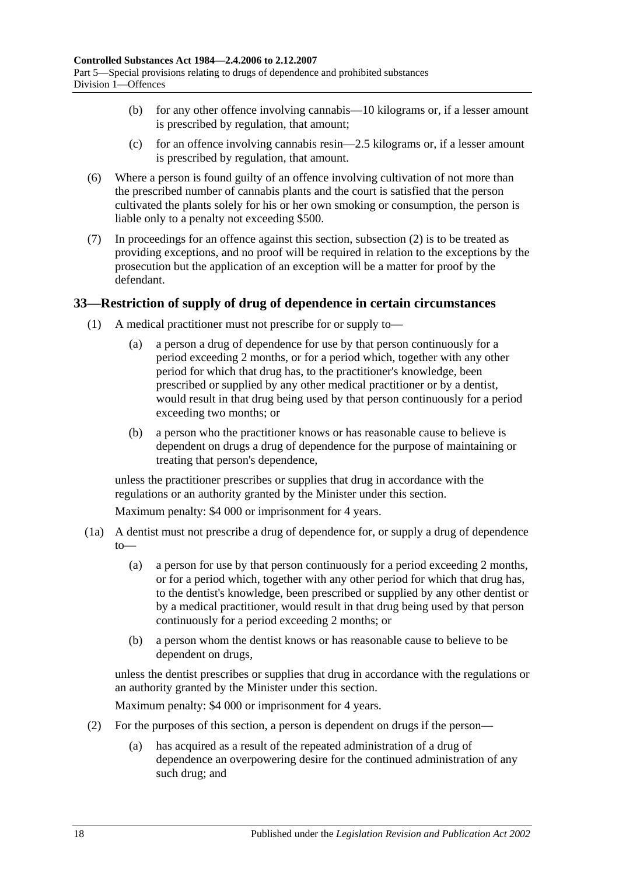- (b) for any other offence involving cannabis—10 kilograms or, if a lesser amount is prescribed by regulation, that amount;
- (c) for an offence involving cannabis resin—2.5 kilograms or, if a lesser amount is prescribed by regulation, that amount.
- <span id="page-17-1"></span>(6) Where a person is found guilty of an offence involving cultivation of not more than the prescribed number of cannabis plants and the court is satisfied that the person cultivated the plants solely for his or her own smoking or consumption, the person is liable only to a penalty not exceeding \$500.
- (7) In proceedings for an offence against this section, [subsection](#page-14-2) (2) is to be treated as providing exceptions, and no proof will be required in relation to the exceptions by the prosecution but the application of an exception will be a matter for proof by the defendant.

## <span id="page-17-0"></span>**33—Restriction of supply of drug of dependence in certain circumstances**

- (1) A medical practitioner must not prescribe for or supply to—
	- (a) a person a drug of dependence for use by that person continuously for a period exceeding 2 months, or for a period which, together with any other period for which that drug has, to the practitioner's knowledge, been prescribed or supplied by any other medical practitioner or by a dentist, would result in that drug being used by that person continuously for a period exceeding two months; or
	- (b) a person who the practitioner knows or has reasonable cause to believe is dependent on drugs a drug of dependence for the purpose of maintaining or treating that person's dependence,

unless the practitioner prescribes or supplies that drug in accordance with the regulations or an authority granted by the Minister under this section.

Maximum penalty: \$4 000 or imprisonment for 4 years.

- (1a) A dentist must not prescribe a drug of dependence for, or supply a drug of dependence  $to$ 
	- (a) a person for use by that person continuously for a period exceeding 2 months, or for a period which, together with any other period for which that drug has, to the dentist's knowledge, been prescribed or supplied by any other dentist or by a medical practitioner, would result in that drug being used by that person continuously for a period exceeding 2 months; or
	- (b) a person whom the dentist knows or has reasonable cause to believe to be dependent on drugs,

unless the dentist prescribes or supplies that drug in accordance with the regulations or an authority granted by the Minister under this section.

Maximum penalty: \$4 000 or imprisonment for 4 years.

- (2) For the purposes of this section, a person is dependent on drugs if the person—
	- (a) has acquired as a result of the repeated administration of a drug of dependence an overpowering desire for the continued administration of any such drug; and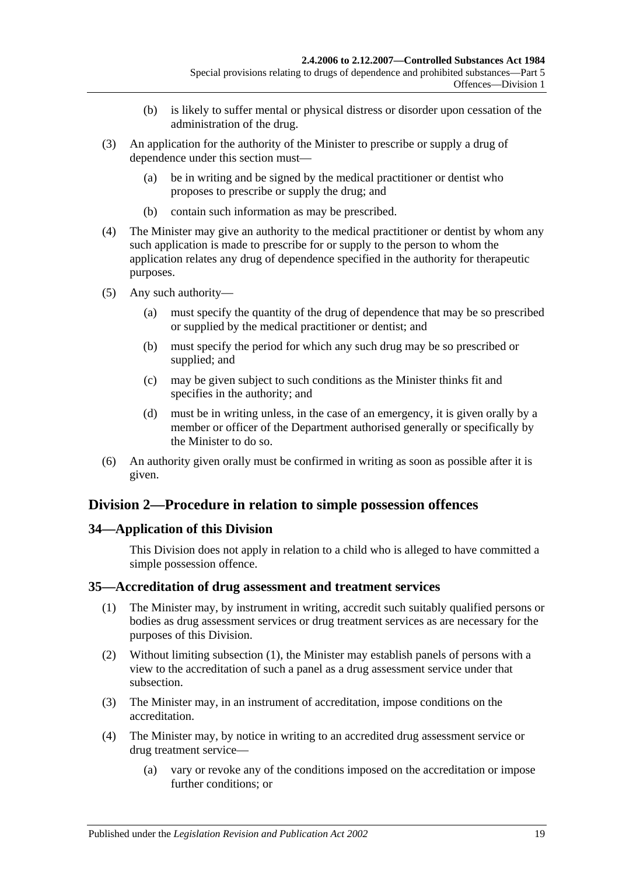- (b) is likely to suffer mental or physical distress or disorder upon cessation of the administration of the drug.
- (3) An application for the authority of the Minister to prescribe or supply a drug of dependence under this section must—
	- (a) be in writing and be signed by the medical practitioner or dentist who proposes to prescribe or supply the drug; and
	- (b) contain such information as may be prescribed.
- (4) The Minister may give an authority to the medical practitioner or dentist by whom any such application is made to prescribe for or supply to the person to whom the application relates any drug of dependence specified in the authority for therapeutic purposes.
- (5) Any such authority—
	- (a) must specify the quantity of the drug of dependence that may be so prescribed or supplied by the medical practitioner or dentist; and
	- (b) must specify the period for which any such drug may be so prescribed or supplied; and
	- (c) may be given subject to such conditions as the Minister thinks fit and specifies in the authority; and
	- (d) must be in writing unless, in the case of an emergency, it is given orally by a member or officer of the Department authorised generally or specifically by the Minister to do so.
- (6) An authority given orally must be confirmed in writing as soon as possible after it is given.

## <span id="page-18-0"></span>**Division 2—Procedure in relation to simple possession offences**

## <span id="page-18-1"></span>**34—Application of this Division**

This Division does not apply in relation to a child who is alleged to have committed a simple possession offence.

## <span id="page-18-3"></span><span id="page-18-2"></span>**35—Accreditation of drug assessment and treatment services**

- (1) The Minister may, by instrument in writing, accredit such suitably qualified persons or bodies as drug assessment services or drug treatment services as are necessary for the purposes of this Division.
- (2) Without limiting [subsection](#page-18-3) (1), the Minister may establish panels of persons with a view to the accreditation of such a panel as a drug assessment service under that subsection.
- (3) The Minister may, in an instrument of accreditation, impose conditions on the accreditation.
- (4) The Minister may, by notice in writing to an accredited drug assessment service or drug treatment service—
	- (a) vary or revoke any of the conditions imposed on the accreditation or impose further conditions; or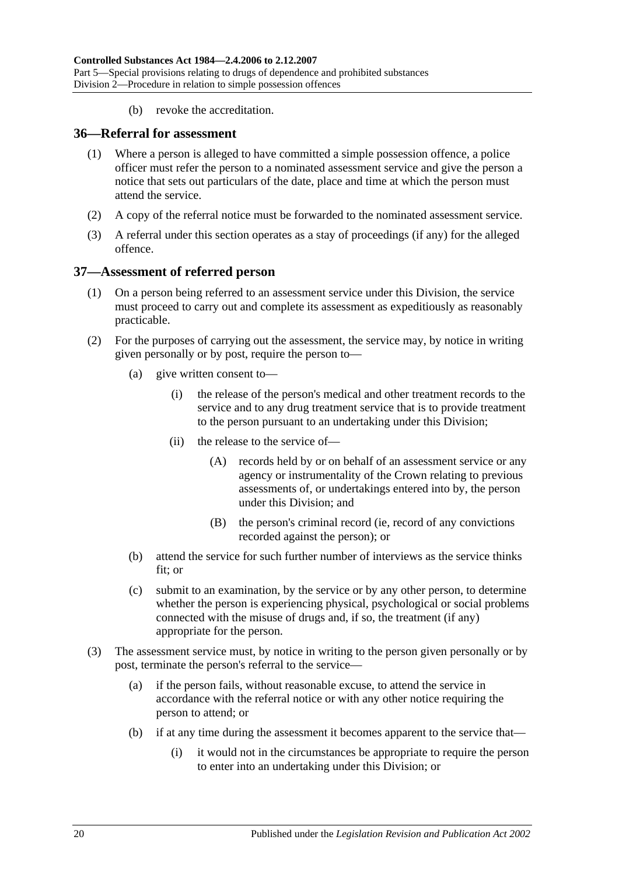(b) revoke the accreditation.

#### <span id="page-19-0"></span>**36—Referral for assessment**

- (1) Where a person is alleged to have committed a simple possession offence, a police officer must refer the person to a nominated assessment service and give the person a notice that sets out particulars of the date, place and time at which the person must attend the service.
- (2) A copy of the referral notice must be forwarded to the nominated assessment service.
- (3) A referral under this section operates as a stay of proceedings (if any) for the alleged offence.

#### <span id="page-19-1"></span>**37—Assessment of referred person**

- (1) On a person being referred to an assessment service under this Division, the service must proceed to carry out and complete its assessment as expeditiously as reasonably practicable.
- (2) For the purposes of carrying out the assessment, the service may, by notice in writing given personally or by post, require the person to—
	- (a) give written consent to—
		- (i) the release of the person's medical and other treatment records to the service and to any drug treatment service that is to provide treatment to the person pursuant to an undertaking under this Division;
		- (ii) the release to the service of—
			- (A) records held by or on behalf of an assessment service or any agency or instrumentality of the Crown relating to previous assessments of, or undertakings entered into by, the person under this Division; and
			- (B) the person's criminal record (ie, record of any convictions recorded against the person); or
	- (b) attend the service for such further number of interviews as the service thinks fit; or
	- (c) submit to an examination, by the service or by any other person, to determine whether the person is experiencing physical, psychological or social problems connected with the misuse of drugs and, if so, the treatment (if any) appropriate for the person.
- <span id="page-19-2"></span>(3) The assessment service must, by notice in writing to the person given personally or by post, terminate the person's referral to the service—
	- (a) if the person fails, without reasonable excuse, to attend the service in accordance with the referral notice or with any other notice requiring the person to attend; or
	- (b) if at any time during the assessment it becomes apparent to the service that—
		- (i) it would not in the circumstances be appropriate to require the person to enter into an undertaking under this Division; or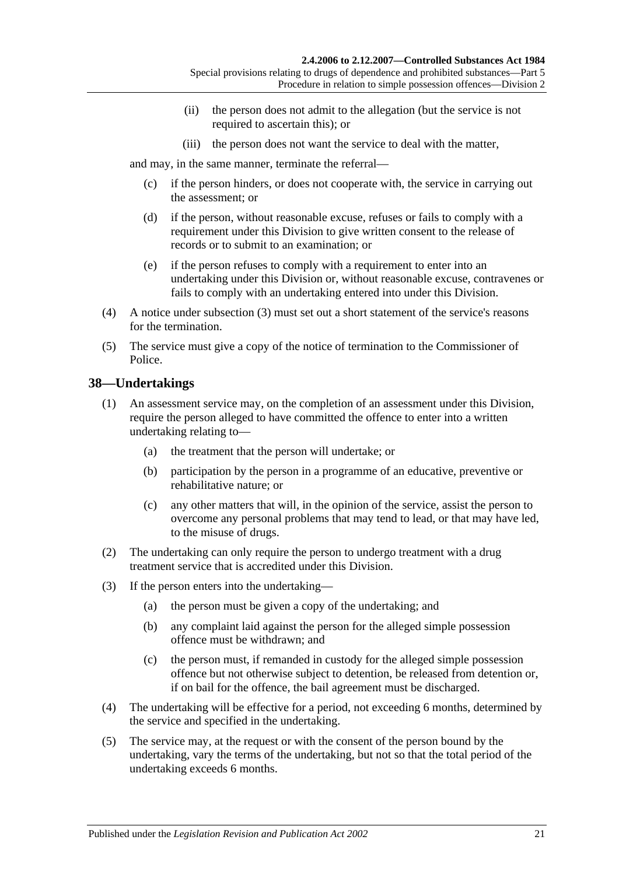- (ii) the person does not admit to the allegation (but the service is not required to ascertain this); or
- (iii) the person does not want the service to deal with the matter,

and may, in the same manner, terminate the referral—

- (c) if the person hinders, or does not cooperate with, the service in carrying out the assessment; or
- (d) if the person, without reasonable excuse, refuses or fails to comply with a requirement under this Division to give written consent to the release of records or to submit to an examination; or
- (e) if the person refuses to comply with a requirement to enter into an undertaking under this Division or, without reasonable excuse, contravenes or fails to comply with an undertaking entered into under this Division.
- (4) A notice under [subsection](#page-19-2) (3) must set out a short statement of the service's reasons for the termination.
- (5) The service must give a copy of the notice of termination to the Commissioner of Police.

## <span id="page-20-0"></span>**38—Undertakings**

- (1) An assessment service may, on the completion of an assessment under this Division, require the person alleged to have committed the offence to enter into a written undertaking relating to—
	- (a) the treatment that the person will undertake; or
	- (b) participation by the person in a programme of an educative, preventive or rehabilitative nature; or
	- (c) any other matters that will, in the opinion of the service, assist the person to overcome any personal problems that may tend to lead, or that may have led, to the misuse of drugs.
- (2) The undertaking can only require the person to undergo treatment with a drug treatment service that is accredited under this Division.
- (3) If the person enters into the undertaking—
	- (a) the person must be given a copy of the undertaking; and
	- (b) any complaint laid against the person for the alleged simple possession offence must be withdrawn; and
	- (c) the person must, if remanded in custody for the alleged simple possession offence but not otherwise subject to detention, be released from detention or, if on bail for the offence, the bail agreement must be discharged.
- (4) The undertaking will be effective for a period, not exceeding 6 months, determined by the service and specified in the undertaking.
- (5) The service may, at the request or with the consent of the person bound by the undertaking, vary the terms of the undertaking, but not so that the total period of the undertaking exceeds 6 months.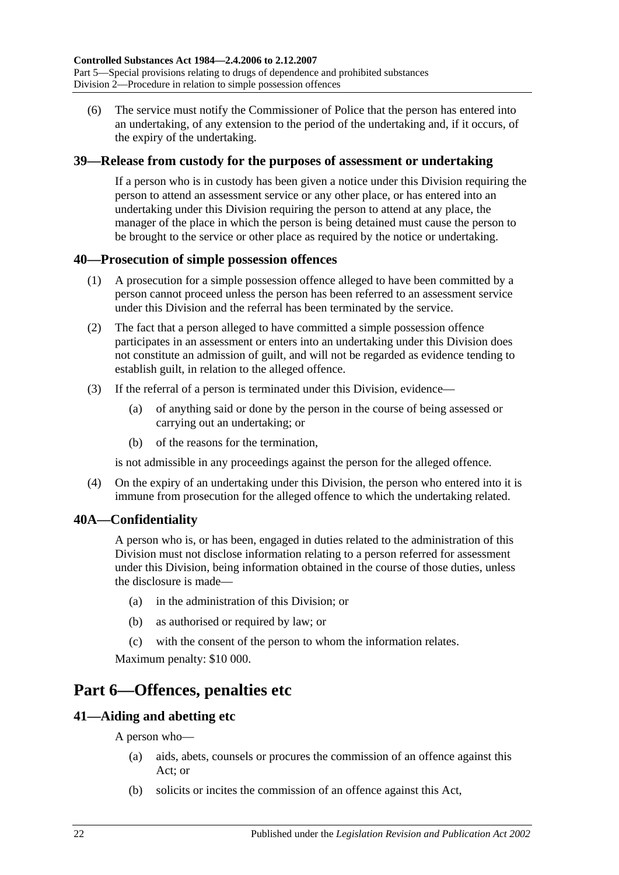(6) The service must notify the Commissioner of Police that the person has entered into an undertaking, of any extension to the period of the undertaking and, if it occurs, of the expiry of the undertaking.

## <span id="page-21-0"></span>**39—Release from custody for the purposes of assessment or undertaking**

If a person who is in custody has been given a notice under this Division requiring the person to attend an assessment service or any other place, or has entered into an undertaking under this Division requiring the person to attend at any place, the manager of the place in which the person is being detained must cause the person to be brought to the service or other place as required by the notice or undertaking.

## <span id="page-21-1"></span>**40—Prosecution of simple possession offences**

- (1) A prosecution for a simple possession offence alleged to have been committed by a person cannot proceed unless the person has been referred to an assessment service under this Division and the referral has been terminated by the service.
- (2) The fact that a person alleged to have committed a simple possession offence participates in an assessment or enters into an undertaking under this Division does not constitute an admission of guilt, and will not be regarded as evidence tending to establish guilt, in relation to the alleged offence.
- (3) If the referral of a person is terminated under this Division, evidence—
	- (a) of anything said or done by the person in the course of being assessed or carrying out an undertaking; or
	- (b) of the reasons for the termination,

is not admissible in any proceedings against the person for the alleged offence.

(4) On the expiry of an undertaking under this Division, the person who entered into it is immune from prosecution for the alleged offence to which the undertaking related.

## <span id="page-21-2"></span>**40A—Confidentiality**

A person who is, or has been, engaged in duties related to the administration of this Division must not disclose information relating to a person referred for assessment under this Division, being information obtained in the course of those duties, unless the disclosure is made—

- (a) in the administration of this Division; or
- (b) as authorised or required by law; or
- (c) with the consent of the person to whom the information relates.

Maximum penalty: \$10 000.

## <span id="page-21-3"></span>**Part 6—Offences, penalties etc**

## <span id="page-21-4"></span>**41—Aiding and abetting etc**

A person who—

- (a) aids, abets, counsels or procures the commission of an offence against this Act; or
- (b) solicits or incites the commission of an offence against this Act,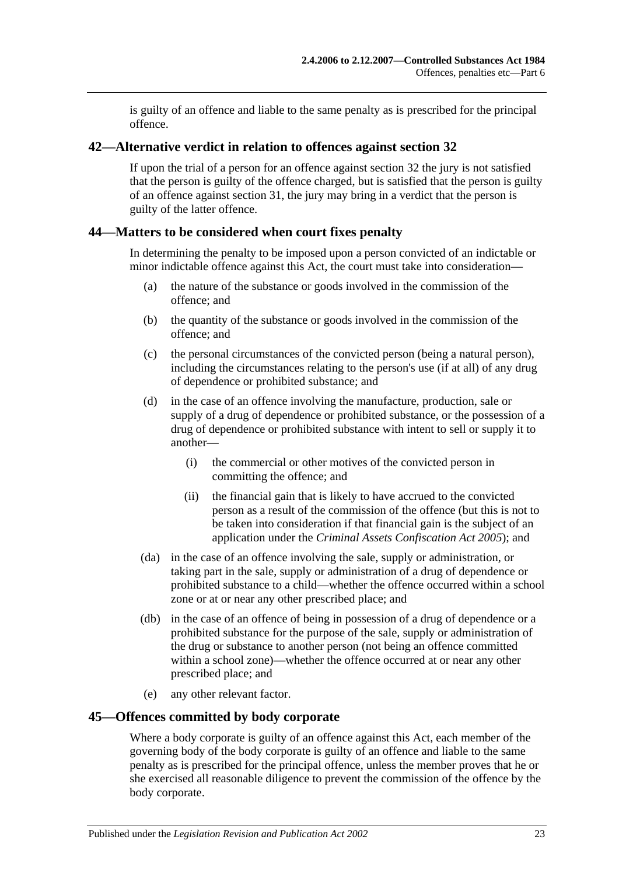is guilty of an offence and liable to the same penalty as is prescribed for the principal offence.

#### <span id="page-22-0"></span>**42—Alternative verdict in relation to offences against [section](#page-14-0) 32**

If upon the trial of a person for an offence against [section](#page-14-0) 32 the jury is not satisfied that the person is guilty of the offence charged, but is satisfied that the person is guilty of an offence against [section](#page-13-2) 31, the jury may bring in a verdict that the person is guilty of the latter offence.

#### <span id="page-22-1"></span>**44—Matters to be considered when court fixes penalty**

In determining the penalty to be imposed upon a person convicted of an indictable or minor indictable offence against this Act, the court must take into consideration—

- (a) the nature of the substance or goods involved in the commission of the offence; and
- (b) the quantity of the substance or goods involved in the commission of the offence; and
- (c) the personal circumstances of the convicted person (being a natural person), including the circumstances relating to the person's use (if at all) of any drug of dependence or prohibited substance; and
- (d) in the case of an offence involving the manufacture, production, sale or supply of a drug of dependence or prohibited substance, or the possession of a drug of dependence or prohibited substance with intent to sell or supply it to another—
	- (i) the commercial or other motives of the convicted person in committing the offence; and
	- (ii) the financial gain that is likely to have accrued to the convicted person as a result of the commission of the offence (but this is not to be taken into consideration if that financial gain is the subject of an application under the *[Criminal Assets Confiscation Act](http://www.legislation.sa.gov.au/index.aspx?action=legref&type=act&legtitle=Criminal%20Assets%20Confiscation%20Act%202005) 2005*); and
- (da) in the case of an offence involving the sale, supply or administration, or taking part in the sale, supply or administration of a drug of dependence or prohibited substance to a child—whether the offence occurred within a school zone or at or near any other prescribed place; and
- (db) in the case of an offence of being in possession of a drug of dependence or a prohibited substance for the purpose of the sale, supply or administration of the drug or substance to another person (not being an offence committed within a school zone)—whether the offence occurred at or near any other prescribed place; and
- (e) any other relevant factor.

#### <span id="page-22-2"></span>**45—Offences committed by body corporate**

Where a body corporate is guilty of an offence against this Act, each member of the governing body of the body corporate is guilty of an offence and liable to the same penalty as is prescribed for the principal offence, unless the member proves that he or she exercised all reasonable diligence to prevent the commission of the offence by the body corporate.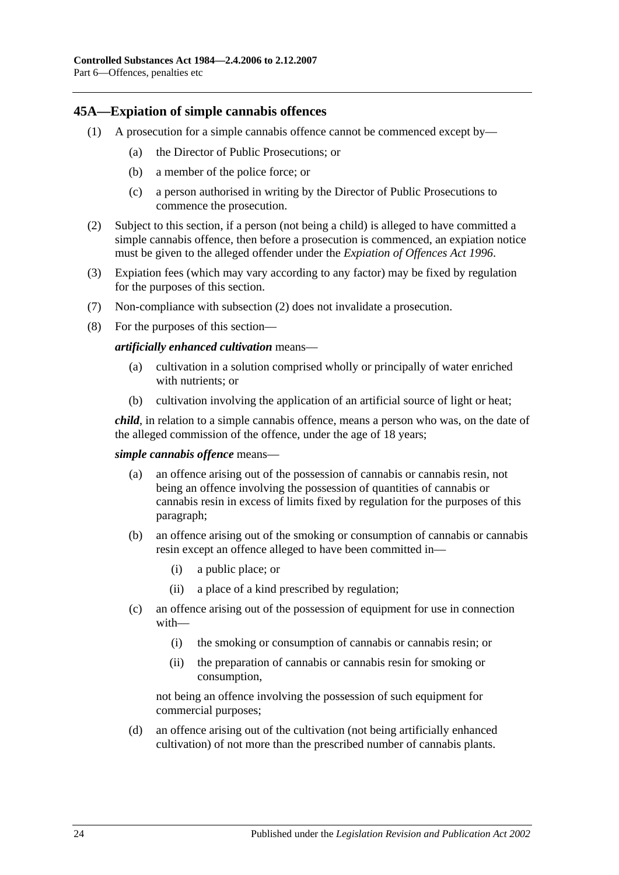#### <span id="page-23-0"></span>**45A—Expiation of simple cannabis offences**

- (1) A prosecution for a simple cannabis offence cannot be commenced except by—
	- (a) the Director of Public Prosecutions; or
	- (b) a member of the police force; or
	- (c) a person authorised in writing by the Director of Public Prosecutions to commence the prosecution.
- <span id="page-23-1"></span>(2) Subject to this section, if a person (not being a child) is alleged to have committed a simple cannabis offence, then before a prosecution is commenced, an expiation notice must be given to the alleged offender under the *[Expiation of Offences Act](http://www.legislation.sa.gov.au/index.aspx?action=legref&type=act&legtitle=Expiation%20of%20Offences%20Act%201996) 1996*.
- (3) Expiation fees (which may vary according to any factor) may be fixed by regulation for the purposes of this section.
- (7) Non-compliance with [subsection](#page-23-1) (2) does not invalidate a prosecution.
- (8) For the purposes of this section—

#### *artificially enhanced cultivation* means—

- (a) cultivation in a solution comprised wholly or principally of water enriched with nutrients; or
- (b) cultivation involving the application of an artificial source of light or heat;

*child*, in relation to a simple cannabis offence, means a person who was, on the date of the alleged commission of the offence, under the age of 18 years;

#### *simple cannabis offence* means—

- (a) an offence arising out of the possession of cannabis or cannabis resin, not being an offence involving the possession of quantities of cannabis or cannabis resin in excess of limits fixed by regulation for the purposes of this paragraph;
- (b) an offence arising out of the smoking or consumption of cannabis or cannabis resin except an offence alleged to have been committed in—
	- (i) a public place; or
	- (ii) a place of a kind prescribed by regulation;
- (c) an offence arising out of the possession of equipment for use in connection with—
	- (i) the smoking or consumption of cannabis or cannabis resin; or
	- (ii) the preparation of cannabis or cannabis resin for smoking or consumption,

not being an offence involving the possession of such equipment for commercial purposes;

(d) an offence arising out of the cultivation (not being artificially enhanced cultivation) of not more than the prescribed number of cannabis plants.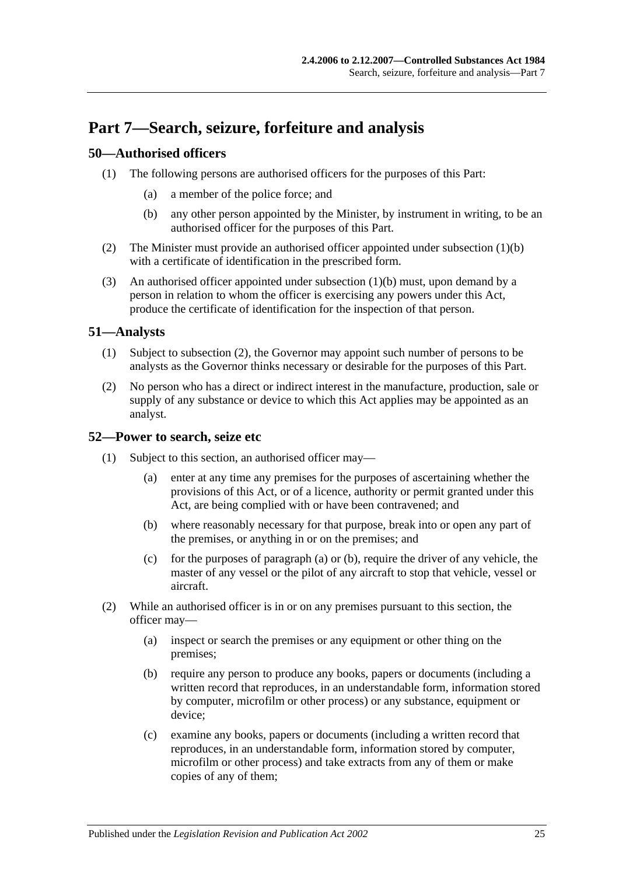## <span id="page-24-0"></span>**Part 7—Search, seizure, forfeiture and analysis**

## <span id="page-24-1"></span>**50—Authorised officers**

- <span id="page-24-4"></span>(1) The following persons are authorised officers for the purposes of this Part:
	- (a) a member of the police force; and
	- (b) any other person appointed by the Minister, by instrument in writing, to be an authorised officer for the purposes of this Part.
- (2) The Minister must provide an authorised officer appointed under [subsection](#page-24-4) (1)(b) with a certificate of identification in the prescribed form.
- (3) An authorised officer appointed under [subsection](#page-24-4) (1)(b) must, upon demand by a person in relation to whom the officer is exercising any powers under this Act, produce the certificate of identification for the inspection of that person.

## <span id="page-24-2"></span>**51—Analysts**

- (1) Subject to [subsection](#page-24-5) (2), the Governor may appoint such number of persons to be analysts as the Governor thinks necessary or desirable for the purposes of this Part.
- <span id="page-24-5"></span>(2) No person who has a direct or indirect interest in the manufacture, production, sale or supply of any substance or device to which this Act applies may be appointed as an analyst.

## <span id="page-24-3"></span>**52—Power to search, seize etc**

- <span id="page-24-7"></span><span id="page-24-6"></span>(1) Subject to this section, an authorised officer may—
	- (a) enter at any time any premises for the purposes of ascertaining whether the provisions of this Act, or of a licence, authority or permit granted under this Act, are being complied with or have been contravened; and
	- (b) where reasonably necessary for that purpose, break into or open any part of the premises, or anything in or on the premises; and
	- (c) for the purposes of [paragraph](#page-24-6) (a) or [\(b\),](#page-24-7) require the driver of any vehicle, the master of any vessel or the pilot of any aircraft to stop that vehicle, vessel or aircraft.
- (2) While an authorised officer is in or on any premises pursuant to this section, the officer may—
	- (a) inspect or search the premises or any equipment or other thing on the premises;
	- (b) require any person to produce any books, papers or documents (including a written record that reproduces, in an understandable form, information stored by computer, microfilm or other process) or any substance, equipment or device;
	- (c) examine any books, papers or documents (including a written record that reproduces, in an understandable form, information stored by computer, microfilm or other process) and take extracts from any of them or make copies of any of them;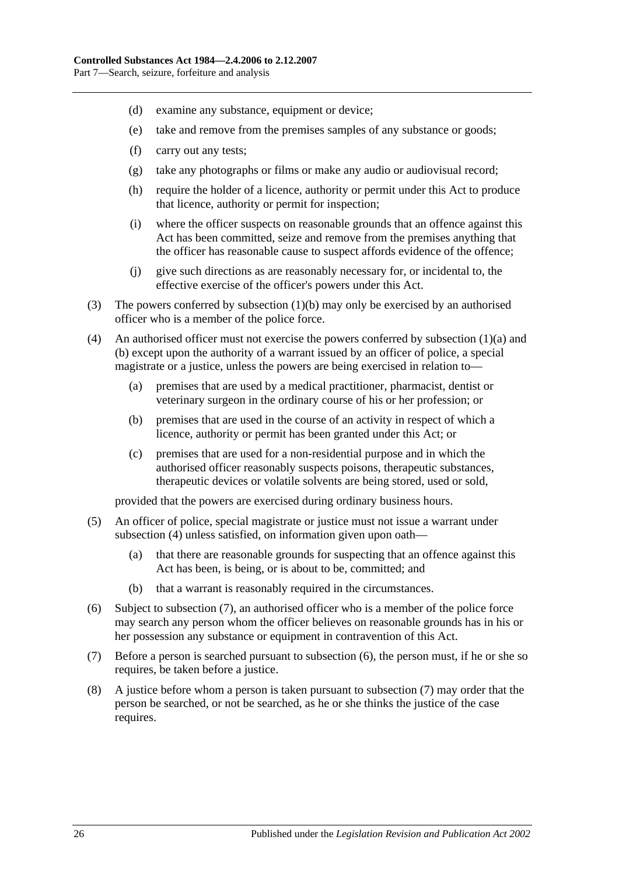- (d) examine any substance, equipment or device;
- (e) take and remove from the premises samples of any substance or goods;
- (f) carry out any tests;
- (g) take any photographs or films or make any audio or audiovisual record;
- (h) require the holder of a licence, authority or permit under this Act to produce that licence, authority or permit for inspection;
- (i) where the officer suspects on reasonable grounds that an offence against this Act has been committed, seize and remove from the premises anything that the officer has reasonable cause to suspect affords evidence of the offence;
- (j) give such directions as are reasonably necessary for, or incidental to, the effective exercise of the officer's powers under this Act.
- (3) The powers conferred by [subsection](#page-24-7) (1)(b) may only be exercised by an authorised officer who is a member of the police force.
- <span id="page-25-0"></span>(4) An authorised officer must not exercise the powers conferred by [subsection](#page-24-6) (1)(a) and [\(b\)](#page-24-7) except upon the authority of a warrant issued by an officer of police, a special magistrate or a justice, unless the powers are being exercised in relation to—
	- (a) premises that are used by a medical practitioner, pharmacist, dentist or veterinary surgeon in the ordinary course of his or her profession; or
	- (b) premises that are used in the course of an activity in respect of which a licence, authority or permit has been granted under this Act; or
	- (c) premises that are used for a non-residential purpose and in which the authorised officer reasonably suspects poisons, therapeutic substances, therapeutic devices or volatile solvents are being stored, used or sold,

provided that the powers are exercised during ordinary business hours.

- (5) An officer of police, special magistrate or justice must not issue a warrant under [subsection](#page-25-0) (4) unless satisfied, on information given upon oath-
	- (a) that there are reasonable grounds for suspecting that an offence against this Act has been, is being, or is about to be, committed; and
	- (b) that a warrant is reasonably required in the circumstances.
- <span id="page-25-2"></span>(6) Subject to [subsection](#page-25-1) (7), an authorised officer who is a member of the police force may search any person whom the officer believes on reasonable grounds has in his or her possession any substance or equipment in contravention of this Act.
- <span id="page-25-1"></span>(7) Before a person is searched pursuant to [subsection](#page-25-2) (6), the person must, if he or she so requires, be taken before a justice.
- (8) A justice before whom a person is taken pursuant to [subsection](#page-25-1) (7) may order that the person be searched, or not be searched, as he or she thinks the justice of the case requires.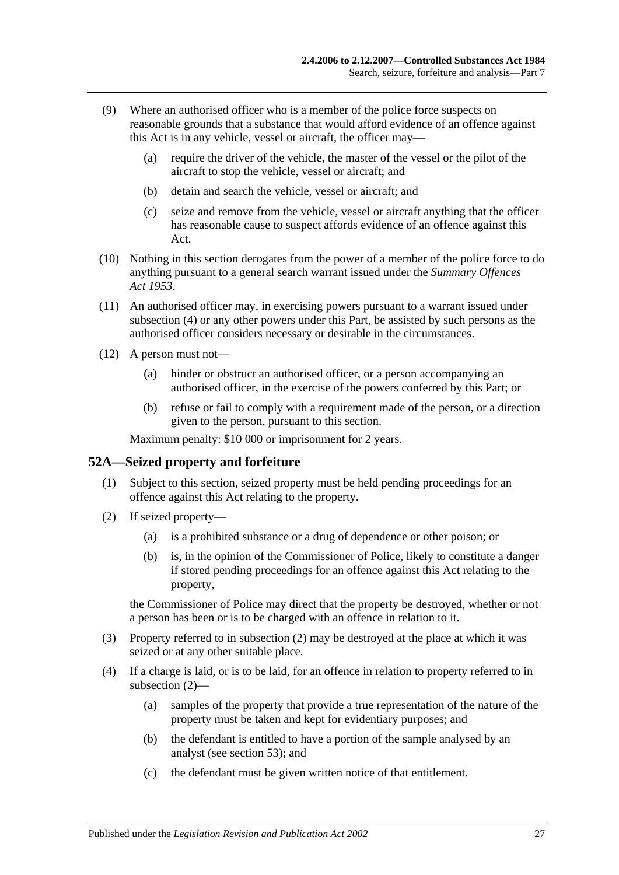- (9) Where an authorised officer who is a member of the police force suspects on reasonable grounds that a substance that would afford evidence of an offence against this Act is in any vehicle, vessel or aircraft, the officer may—
	- (a) require the driver of the vehicle, the master of the vessel or the pilot of the aircraft to stop the vehicle, vessel or aircraft; and
	- (b) detain and search the vehicle, vessel or aircraft; and
	- (c) seize and remove from the vehicle, vessel or aircraft anything that the officer has reasonable cause to suspect affords evidence of an offence against this Act.
- (10) Nothing in this section derogates from the power of a member of the police force to do anything pursuant to a general search warrant issued under the *[Summary Offences](http://www.legislation.sa.gov.au/index.aspx?action=legref&type=act&legtitle=Summary%20Offences%20Act%201953)  Act [1953](http://www.legislation.sa.gov.au/index.aspx?action=legref&type=act&legtitle=Summary%20Offences%20Act%201953)*.
- (11) An authorised officer may, in exercising powers pursuant to a warrant issued under [subsection](#page-25-0) (4) or any other powers under this Part, be assisted by such persons as the authorised officer considers necessary or desirable in the circumstances.
- (12) A person must not—
	- (a) hinder or obstruct an authorised officer, or a person accompanying an authorised officer, in the exercise of the powers conferred by this Part; or
	- (b) refuse or fail to comply with a requirement made of the person, or a direction given to the person, pursuant to this section.

Maximum penalty: \$10 000 or imprisonment for 2 years.

## <span id="page-26-0"></span>**52A—Seized property and forfeiture**

- (1) Subject to this section, seized property must be held pending proceedings for an offence against this Act relating to the property.
- <span id="page-26-1"></span>(2) If seized property—
	- (a) is a prohibited substance or a drug of dependence or other poison; or
	- (b) is, in the opinion of the Commissioner of Police, likely to constitute a danger if stored pending proceedings for an offence against this Act relating to the property,

the Commissioner of Police may direct that the property be destroyed, whether or not a person has been or is to be charged with an offence in relation to it.

- (3) Property referred to in [subsection](#page-26-1) (2) may be destroyed at the place at which it was seized or at any other suitable place.
- (4) If a charge is laid, or is to be laid, for an offence in relation to property referred to in [subsection](#page-26-1) (2)—
	- (a) samples of the property that provide a true representation of the nature of the property must be taken and kept for evidentiary purposes; and
	- (b) the defendant is entitled to have a portion of the sample analysed by an analyst (see [section](#page-28-0) 53); and
	- (c) the defendant must be given written notice of that entitlement.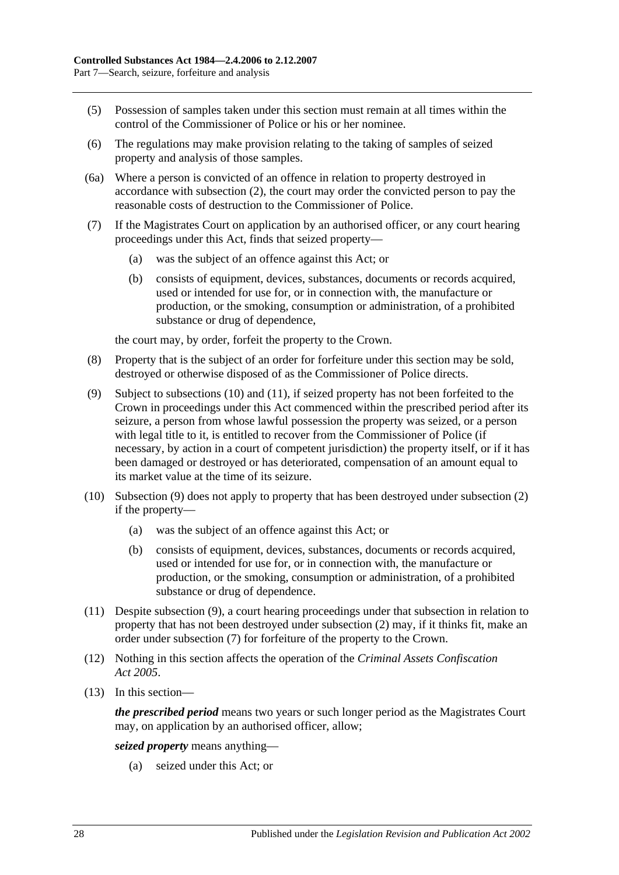- (5) Possession of samples taken under this section must remain at all times within the control of the Commissioner of Police or his or her nominee.
- (6) The regulations may make provision relating to the taking of samples of seized property and analysis of those samples.
- (6a) Where a person is convicted of an offence in relation to property destroyed in accordance with [subsection](#page-26-1) (2), the court may order the convicted person to pay the reasonable costs of destruction to the Commissioner of Police.
- <span id="page-27-3"></span>(7) If the Magistrates Court on application by an authorised officer, or any court hearing proceedings under this Act, finds that seized property—
	- (a) was the subject of an offence against this Act; or
	- (b) consists of equipment, devices, substances, documents or records acquired, used or intended for use for, or in connection with, the manufacture or production, or the smoking, consumption or administration, of a prohibited substance or drug of dependence,

the court may, by order, forfeit the property to the Crown.

- (8) Property that is the subject of an order for forfeiture under this section may be sold, destroyed or otherwise disposed of as the Commissioner of Police directs.
- <span id="page-27-2"></span>(9) Subject to [subsections](#page-27-0) (10) and [\(11\),](#page-27-1) if seized property has not been forfeited to the Crown in proceedings under this Act commenced within the prescribed period after its seizure, a person from whose lawful possession the property was seized, or a person with legal title to it, is entitled to recover from the Commissioner of Police (if necessary, by action in a court of competent jurisdiction) the property itself, or if it has been damaged or destroyed or has deteriorated, compensation of an amount equal to its market value at the time of its seizure.
- <span id="page-27-0"></span>(10) [Subsection](#page-27-2) (9) does not apply to property that has been destroyed under [subsection](#page-26-1) (2) if the property—
	- (a) was the subject of an offence against this Act; or
	- (b) consists of equipment, devices, substances, documents or records acquired, used or intended for use for, or in connection with, the manufacture or production, or the smoking, consumption or administration, of a prohibited substance or drug of dependence.
- <span id="page-27-1"></span>(11) Despite [subsection](#page-27-2) (9), a court hearing proceedings under that subsection in relation to property that has not been destroyed under [subsection](#page-26-1) (2) may, if it thinks fit, make an order under [subsection](#page-27-3) (7) for forfeiture of the property to the Crown.
- (12) Nothing in this section affects the operation of the *[Criminal Assets Confiscation](http://www.legislation.sa.gov.au/index.aspx?action=legref&type=act&legtitle=Criminal%20Assets%20Confiscation%20Act%202005)  Act [2005](http://www.legislation.sa.gov.au/index.aspx?action=legref&type=act&legtitle=Criminal%20Assets%20Confiscation%20Act%202005)*.
- (13) In this section—

*the prescribed period* means two years or such longer period as the Magistrates Court may, on application by an authorised officer, allow;

*seized property* means anything—

(a) seized under this Act; or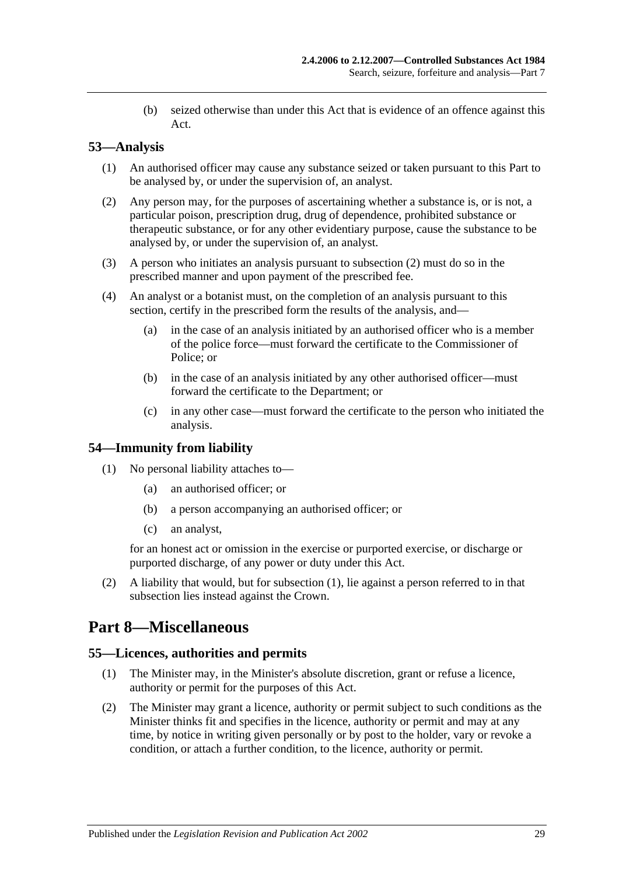(b) seized otherwise than under this Act that is evidence of an offence against this Act.

## <span id="page-28-0"></span>**53—Analysis**

- (1) An authorised officer may cause any substance seized or taken pursuant to this Part to be analysed by, or under the supervision of, an analyst.
- <span id="page-28-4"></span>(2) Any person may, for the purposes of ascertaining whether a substance is, or is not, a particular poison, prescription drug, drug of dependence, prohibited substance or therapeutic substance, or for any other evidentiary purpose, cause the substance to be analysed by, or under the supervision of, an analyst.
- (3) A person who initiates an analysis pursuant to [subsection](#page-28-4) (2) must do so in the prescribed manner and upon payment of the prescribed fee.
- (4) An analyst or a botanist must, on the completion of an analysis pursuant to this section, certify in the prescribed form the results of the analysis, and—
	- (a) in the case of an analysis initiated by an authorised officer who is a member of the police force—must forward the certificate to the Commissioner of Police; or
	- (b) in the case of an analysis initiated by any other authorised officer—must forward the certificate to the Department; or
	- (c) in any other case—must forward the certificate to the person who initiated the analysis.

## <span id="page-28-5"></span><span id="page-28-1"></span>**54—Immunity from liability**

- (1) No personal liability attaches to—
	- (a) an authorised officer; or
	- (b) a person accompanying an authorised officer; or
	- (c) an analyst,

for an honest act or omission in the exercise or purported exercise, or discharge or purported discharge, of any power or duty under this Act.

(2) A liability that would, but for [subsection](#page-28-5) (1), lie against a person referred to in that subsection lies instead against the Crown.

## <span id="page-28-2"></span>**Part 8—Miscellaneous**

#### <span id="page-28-3"></span>**55—Licences, authorities and permits**

- (1) The Minister may, in the Minister's absolute discretion, grant or refuse a licence, authority or permit for the purposes of this Act.
- (2) The Minister may grant a licence, authority or permit subject to such conditions as the Minister thinks fit and specifies in the licence, authority or permit and may at any time, by notice in writing given personally or by post to the holder, vary or revoke a condition, or attach a further condition, to the licence, authority or permit.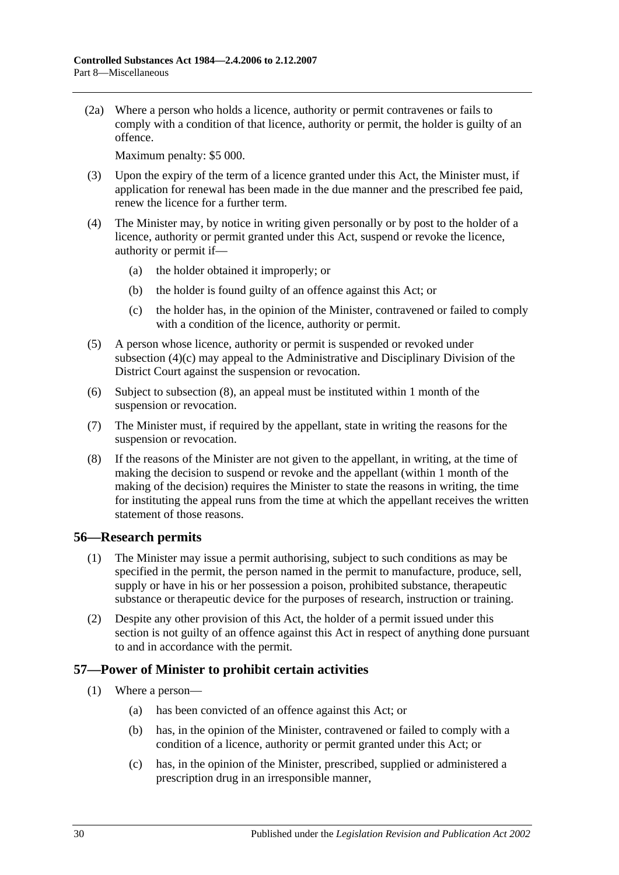(2a) Where a person who holds a licence, authority or permit contravenes or fails to comply with a condition of that licence, authority or permit, the holder is guilty of an offence.

Maximum penalty: \$5 000.

- (3) Upon the expiry of the term of a licence granted under this Act, the Minister must, if application for renewal has been made in the due manner and the prescribed fee paid, renew the licence for a further term.
- (4) The Minister may, by notice in writing given personally or by post to the holder of a licence, authority or permit granted under this Act, suspend or revoke the licence, authority or permit if—
	- (a) the holder obtained it improperly; or
	- (b) the holder is found guilty of an offence against this Act; or
	- (c) the holder has, in the opinion of the Minister, contravened or failed to comply with a condition of the licence, authority or permit.
- <span id="page-29-2"></span>(5) A person whose licence, authority or permit is suspended or revoked under [subsection](#page-29-2) (4)(c) may appeal to the Administrative and Disciplinary Division of the District Court against the suspension or revocation.
- (6) Subject to [subsection](#page-29-3) (8), an appeal must be instituted within 1 month of the suspension or revocation.
- (7) The Minister must, if required by the appellant, state in writing the reasons for the suspension or revocation.
- <span id="page-29-3"></span>(8) If the reasons of the Minister are not given to the appellant, in writing, at the time of making the decision to suspend or revoke and the appellant (within 1 month of the making of the decision) requires the Minister to state the reasons in writing, the time for instituting the appeal runs from the time at which the appellant receives the written statement of those reasons.

## <span id="page-29-0"></span>**56—Research permits**

- (1) The Minister may issue a permit authorising, subject to such conditions as may be specified in the permit, the person named in the permit to manufacture, produce, sell, supply or have in his or her possession a poison, prohibited substance, therapeutic substance or therapeutic device for the purposes of research, instruction or training.
- (2) Despite any other provision of this Act, the holder of a permit issued under this section is not guilty of an offence against this Act in respect of anything done pursuant to and in accordance with the permit.

## <span id="page-29-4"></span><span id="page-29-1"></span>**57—Power of Minister to prohibit certain activities**

- (1) Where a person—
	- (a) has been convicted of an offence against this Act; or
	- (b) has, in the opinion of the Minister, contravened or failed to comply with a condition of a licence, authority or permit granted under this Act; or
	- (c) has, in the opinion of the Minister, prescribed, supplied or administered a prescription drug in an irresponsible manner,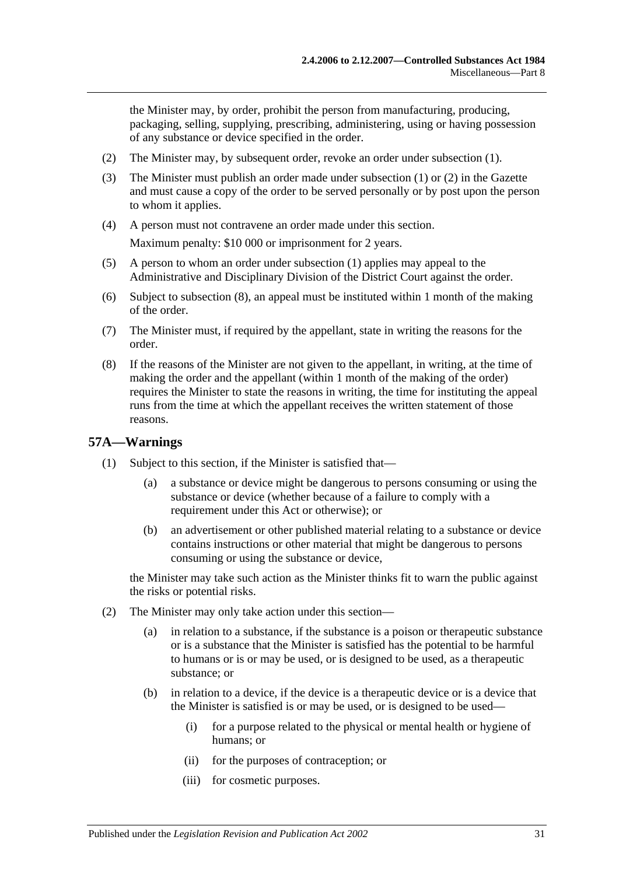the Minister may, by order, prohibit the person from manufacturing, producing, packaging, selling, supplying, prescribing, administering, using or having possession of any substance or device specified in the order.

- <span id="page-30-1"></span>(2) The Minister may, by subsequent order, revoke an order under [subsection](#page-29-4) (1).
- (3) The Minister must publish an order made under [subsection](#page-29-4) (1) or [\(2\)](#page-30-1) in the Gazette and must cause a copy of the order to be served personally or by post upon the person to whom it applies.
- (4) A person must not contravene an order made under this section. Maximum penalty: \$10 000 or imprisonment for 2 years.
- (5) A person to whom an order under [subsection](#page-29-4) (1) applies may appeal to the Administrative and Disciplinary Division of the District Court against the order.
- (6) Subject to [subsection](#page-30-2) (8), an appeal must be instituted within 1 month of the making of the order.
- (7) The Minister must, if required by the appellant, state in writing the reasons for the order.
- <span id="page-30-2"></span>(8) If the reasons of the Minister are not given to the appellant, in writing, at the time of making the order and the appellant (within 1 month of the making of the order) requires the Minister to state the reasons in writing, the time for instituting the appeal runs from the time at which the appellant receives the written statement of those reasons.

#### <span id="page-30-3"></span><span id="page-30-0"></span>**57A—Warnings**

- (1) Subject to this section, if the Minister is satisfied that—
	- (a) a substance or device might be dangerous to persons consuming or using the substance or device (whether because of a failure to comply with a requirement under this Act or otherwise); or
	- (b) an advertisement or other published material relating to a substance or device contains instructions or other material that might be dangerous to persons consuming or using the substance or device,

the Minister may take such action as the Minister thinks fit to warn the public against the risks or potential risks.

- (2) The Minister may only take action under this section—
	- (a) in relation to a substance, if the substance is a poison or therapeutic substance or is a substance that the Minister is satisfied has the potential to be harmful to humans or is or may be used, or is designed to be used, as a therapeutic substance; or
	- (b) in relation to a device, if the device is a therapeutic device or is a device that the Minister is satisfied is or may be used, or is designed to be used—
		- (i) for a purpose related to the physical or mental health or hygiene of humans; or
		- (ii) for the purposes of contraception; or
		- (iii) for cosmetic purposes.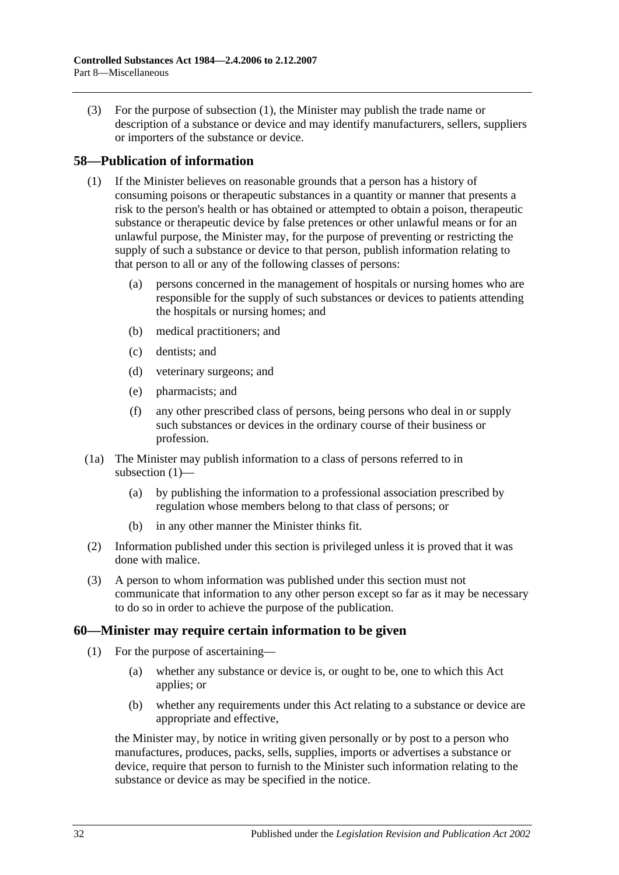(3) For the purpose of [subsection](#page-30-3) (1), the Minister may publish the trade name or description of a substance or device and may identify manufacturers, sellers, suppliers or importers of the substance or device.

## <span id="page-31-2"></span><span id="page-31-0"></span>**58—Publication of information**

- (1) If the Minister believes on reasonable grounds that a person has a history of consuming poisons or therapeutic substances in a quantity or manner that presents a risk to the person's health or has obtained or attempted to obtain a poison, therapeutic substance or therapeutic device by false pretences or other unlawful means or for an unlawful purpose, the Minister may, for the purpose of preventing or restricting the supply of such a substance or device to that person, publish information relating to that person to all or any of the following classes of persons:
	- (a) persons concerned in the management of hospitals or nursing homes who are responsible for the supply of such substances or devices to patients attending the hospitals or nursing homes; and
	- (b) medical practitioners; and
	- (c) dentists; and
	- (d) veterinary surgeons; and
	- (e) pharmacists; and
	- (f) any other prescribed class of persons, being persons who deal in or supply such substances or devices in the ordinary course of their business or profession.
- (1a) The Minister may publish information to a class of persons referred to in [subsection](#page-31-2) (1)—
	- (a) by publishing the information to a professional association prescribed by regulation whose members belong to that class of persons; or
	- (b) in any other manner the Minister thinks fit.
- (2) Information published under this section is privileged unless it is proved that it was done with malice.
- (3) A person to whom information was published under this section must not communicate that information to any other person except so far as it may be necessary to do so in order to achieve the purpose of the publication.

## <span id="page-31-1"></span>**60—Minister may require certain information to be given**

- (1) For the purpose of ascertaining—
	- (a) whether any substance or device is, or ought to be, one to which this Act applies; or
	- (b) whether any requirements under this Act relating to a substance or device are appropriate and effective,

the Minister may, by notice in writing given personally or by post to a person who manufactures, produces, packs, sells, supplies, imports or advertises a substance or device, require that person to furnish to the Minister such information relating to the substance or device as may be specified in the notice.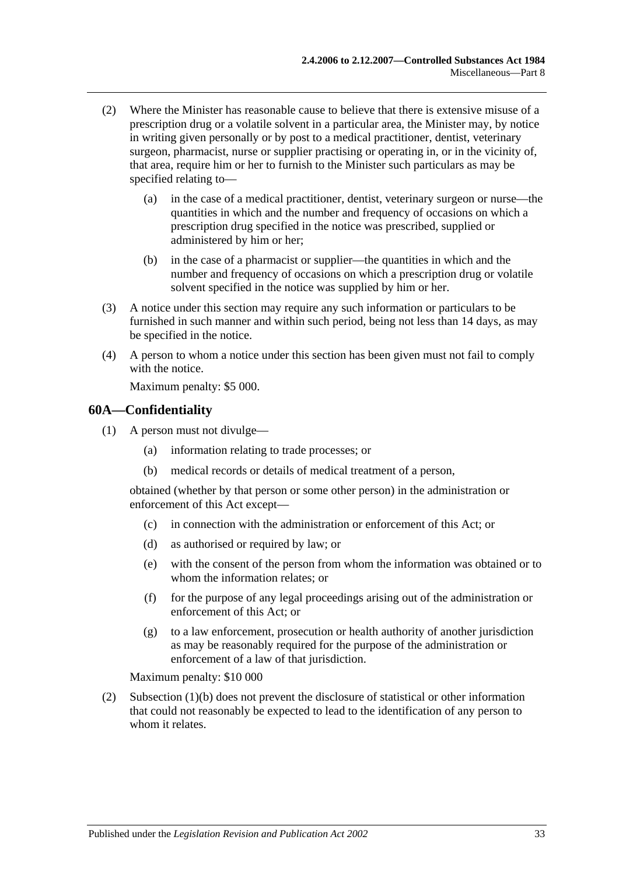- (2) Where the Minister has reasonable cause to believe that there is extensive misuse of a prescription drug or a volatile solvent in a particular area, the Minister may, by notice in writing given personally or by post to a medical practitioner, dentist, veterinary surgeon, pharmacist, nurse or supplier practising or operating in, or in the vicinity of, that area, require him or her to furnish to the Minister such particulars as may be specified relating to—
	- (a) in the case of a medical practitioner, dentist, veterinary surgeon or nurse—the quantities in which and the number and frequency of occasions on which a prescription drug specified in the notice was prescribed, supplied or administered by him or her;
	- (b) in the case of a pharmacist or supplier—the quantities in which and the number and frequency of occasions on which a prescription drug or volatile solvent specified in the notice was supplied by him or her.
- (3) A notice under this section may require any such information or particulars to be furnished in such manner and within such period, being not less than 14 days, as may be specified in the notice.
- (4) A person to whom a notice under this section has been given must not fail to comply with the notice.

Maximum penalty: \$5 000.

## <span id="page-32-0"></span>**60A—Confidentiality**

- <span id="page-32-1"></span>(1) A person must not divulge—
	- (a) information relating to trade processes; or
	- (b) medical records or details of medical treatment of a person,

obtained (whether by that person or some other person) in the administration or enforcement of this Act except—

- (c) in connection with the administration or enforcement of this Act; or
- (d) as authorised or required by law; or
- (e) with the consent of the person from whom the information was obtained or to whom the information relates; or
- (f) for the purpose of any legal proceedings arising out of the administration or enforcement of this Act; or
- (g) to a law enforcement, prosecution or health authority of another jurisdiction as may be reasonably required for the purpose of the administration or enforcement of a law of that jurisdiction.

Maximum penalty: \$10 000

(2) [Subsection](#page-32-1) (1)(b) does not prevent the disclosure of statistical or other information that could not reasonably be expected to lead to the identification of any person to whom it relates.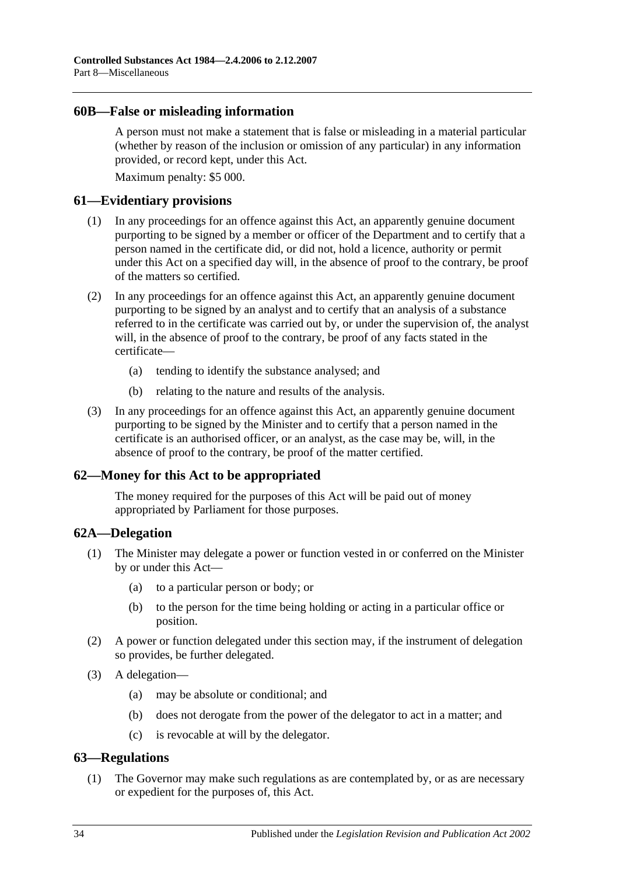#### <span id="page-33-0"></span>**60B—False or misleading information**

A person must not make a statement that is false or misleading in a material particular (whether by reason of the inclusion or omission of any particular) in any information provided, or record kept, under this Act.

Maximum penalty: \$5 000.

#### <span id="page-33-1"></span>**61—Evidentiary provisions**

- (1) In any proceedings for an offence against this Act, an apparently genuine document purporting to be signed by a member or officer of the Department and to certify that a person named in the certificate did, or did not, hold a licence, authority or permit under this Act on a specified day will, in the absence of proof to the contrary, be proof of the matters so certified.
- (2) In any proceedings for an offence against this Act, an apparently genuine document purporting to be signed by an analyst and to certify that an analysis of a substance referred to in the certificate was carried out by, or under the supervision of, the analyst will, in the absence of proof to the contrary, be proof of any facts stated in the certificate—
	- (a) tending to identify the substance analysed; and
	- (b) relating to the nature and results of the analysis.
- (3) In any proceedings for an offence against this Act, an apparently genuine document purporting to be signed by the Minister and to certify that a person named in the certificate is an authorised officer, or an analyst, as the case may be, will, in the absence of proof to the contrary, be proof of the matter certified.

## <span id="page-33-2"></span>**62—Money for this Act to be appropriated**

The money required for the purposes of this Act will be paid out of money appropriated by Parliament for those purposes.

#### <span id="page-33-3"></span>**62A—Delegation**

- (1) The Minister may delegate a power or function vested in or conferred on the Minister by or under this Act—
	- (a) to a particular person or body; or
	- (b) to the person for the time being holding or acting in a particular office or position.
- (2) A power or function delegated under this section may, if the instrument of delegation so provides, be further delegated.
- (3) A delegation—
	- (a) may be absolute or conditional; and
	- (b) does not derogate from the power of the delegator to act in a matter; and
	- (c) is revocable at will by the delegator.

## <span id="page-33-5"></span><span id="page-33-4"></span>**63—Regulations**

(1) The Governor may make such regulations as are contemplated by, or as are necessary or expedient for the purposes of, this Act.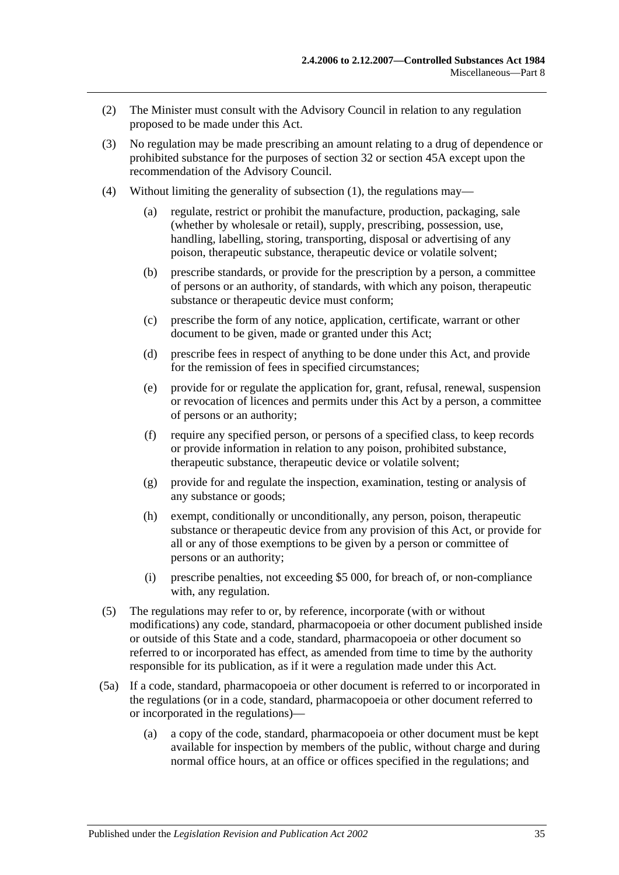- (2) The Minister must consult with the Advisory Council in relation to any regulation proposed to be made under this Act.
- (3) No regulation may be made prescribing an amount relating to a drug of dependence or prohibited substance for the purposes of [section](#page-14-0) 32 or [section](#page-23-0) 45A except upon the recommendation of the Advisory Council.
- (4) Without limiting the generality of [subsection](#page-33-5) (1), the regulations may—
	- (a) regulate, restrict or prohibit the manufacture, production, packaging, sale (whether by wholesale or retail), supply, prescribing, possession, use, handling, labelling, storing, transporting, disposal or advertising of any poison, therapeutic substance, therapeutic device or volatile solvent;
	- (b) prescribe standards, or provide for the prescription by a person, a committee of persons or an authority, of standards, with which any poison, therapeutic substance or therapeutic device must conform;
	- (c) prescribe the form of any notice, application, certificate, warrant or other document to be given, made or granted under this Act;
	- (d) prescribe fees in respect of anything to be done under this Act, and provide for the remission of fees in specified circumstances;
	- (e) provide for or regulate the application for, grant, refusal, renewal, suspension or revocation of licences and permits under this Act by a person, a committee of persons or an authority;
	- (f) require any specified person, or persons of a specified class, to keep records or provide information in relation to any poison, prohibited substance, therapeutic substance, therapeutic device or volatile solvent;
	- (g) provide for and regulate the inspection, examination, testing or analysis of any substance or goods;
	- (h) exempt, conditionally or unconditionally, any person, poison, therapeutic substance or therapeutic device from any provision of this Act, or provide for all or any of those exemptions to be given by a person or committee of persons or an authority;
	- (i) prescribe penalties, not exceeding \$5 000, for breach of, or non-compliance with, any regulation.
- (5) The regulations may refer to or, by reference, incorporate (with or without modifications) any code, standard, pharmacopoeia or other document published inside or outside of this State and a code, standard, pharmacopoeia or other document so referred to or incorporated has effect, as amended from time to time by the authority responsible for its publication, as if it were a regulation made under this Act.
- (5a) If a code, standard, pharmacopoeia or other document is referred to or incorporated in the regulations (or in a code, standard, pharmacopoeia or other document referred to or incorporated in the regulations)—
	- (a) a copy of the code, standard, pharmacopoeia or other document must be kept available for inspection by members of the public, without charge and during normal office hours, at an office or offices specified in the regulations; and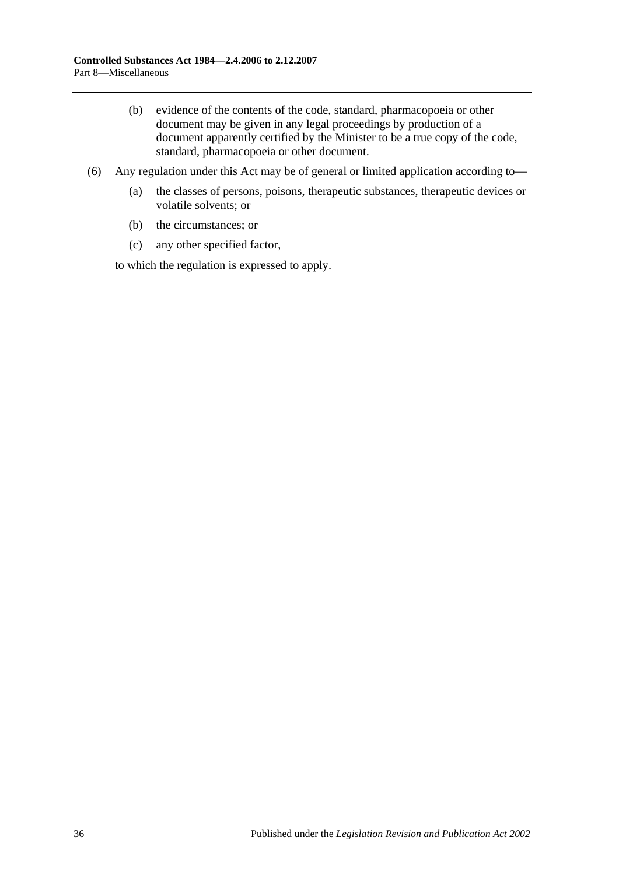- (b) evidence of the contents of the code, standard, pharmacopoeia or other document may be given in any legal proceedings by production of a document apparently certified by the Minister to be a true copy of the code, standard, pharmacopoeia or other document.
- (6) Any regulation under this Act may be of general or limited application according to—
	- (a) the classes of persons, poisons, therapeutic substances, therapeutic devices or volatile solvents; or
	- (b) the circumstances; or
	- (c) any other specified factor,

to which the regulation is expressed to apply.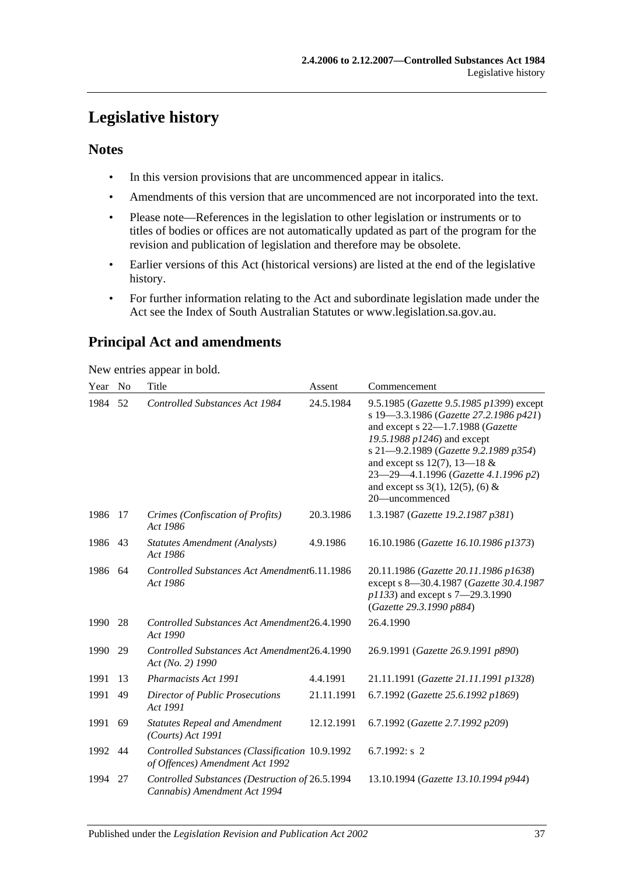## <span id="page-36-0"></span>**Legislative history**

## **Notes**

- In this version provisions that are uncommenced appear in italics.
- Amendments of this version that are uncommenced are not incorporated into the text.
- Please note—References in the legislation to other legislation or instruments or to titles of bodies or offices are not automatically updated as part of the program for the revision and publication of legislation and therefore may be obsolete.
- Earlier versions of this Act (historical versions) are listed at the end of the legislative history.
- For further information relating to the Act and subordinate legislation made under the Act see the Index of South Australian Statutes or www.legislation.sa.gov.au.

## **Principal Act and amendments**

New entries appear in bold.

| Year | N <sub>0</sub> | Title                                                                              | Assent     | Commencement                                                                                                                                                                                                                                                                                                                            |
|------|----------------|------------------------------------------------------------------------------------|------------|-----------------------------------------------------------------------------------------------------------------------------------------------------------------------------------------------------------------------------------------------------------------------------------------------------------------------------------------|
| 1984 | 52             | Controlled Substances Act 1984                                                     | 24.5.1984  | 9.5.1985 (Gazette 9.5.1985 p1399) except<br>s 19-3.3.1986 (Gazette 27.2.1986 p421)<br>and except s 22-1.7.1988 (Gazette<br>19.5.1988 p1246) and except<br>s 21-9.2.1989 (Gazette 9.2.1989 p354)<br>and except ss 12(7), 13–18 $&$<br>23-29-4.1.1996 (Gazette 4.1.1996 p2)<br>and except ss $3(1)$ , $12(5)$ , $(6)$ &<br>20-uncommenced |
| 1986 | 17             | Crimes (Confiscation of Profits)<br>Act 1986                                       | 20.3.1986  | 1.3.1987 (Gazette 19.2.1987 p381)                                                                                                                                                                                                                                                                                                       |
| 1986 | 43             | <b>Statutes Amendment (Analysts)</b><br>Act 1986                                   | 4.9.1986   | 16.10.1986 (Gazette 16.10.1986 p1373)                                                                                                                                                                                                                                                                                                   |
| 1986 | 64             | Controlled Substances Act Amendment6.11.1986<br>Act 1986                           |            | 20.11.1986 (Gazette 20.11.1986 p1638)<br>except s 8-30.4.1987 (Gazette 30.4.1987<br>p1133) and except s 7-29.3.1990<br>(Gazette 29.3.1990 p884)                                                                                                                                                                                         |
| 1990 | 28             | Controlled Substances Act Amendment26.4.1990<br>Act 1990                           |            | 26.4.1990                                                                                                                                                                                                                                                                                                                               |
| 1990 | 29             | Controlled Substances Act Amendment26.4.1990<br>Act (No. 2) 1990                   |            | 26.9.1991 (Gazette 26.9.1991 p890)                                                                                                                                                                                                                                                                                                      |
| 1991 | 13             | Pharmacists Act 1991                                                               | 4.4.1991   | 21.11.1991 (Gazette 21.11.1991 p1328)                                                                                                                                                                                                                                                                                                   |
| 1991 | 49             | <b>Director of Public Prosecutions</b><br>Act 1991                                 | 21.11.1991 | 6.7.1992 (Gazette 25.6.1992 p1869)                                                                                                                                                                                                                                                                                                      |
| 1991 | 69             | <b>Statutes Repeal and Amendment</b><br>$(Courts)$ Act 1991                        | 12.12.1991 | 6.7.1992 (Gazette 2.7.1992 p209)                                                                                                                                                                                                                                                                                                        |
| 1992 | 44             | Controlled Substances (Classification 10.9.1992<br>of Offences) Amendment Act 1992 |            | 6.7.1992: $s$ 2                                                                                                                                                                                                                                                                                                                         |
| 1994 | 27             | Controlled Substances (Destruction of 26.5.1994<br>Cannabis) Amendment Act 1994    |            | 13.10.1994 (Gazette 13.10.1994 p944)                                                                                                                                                                                                                                                                                                    |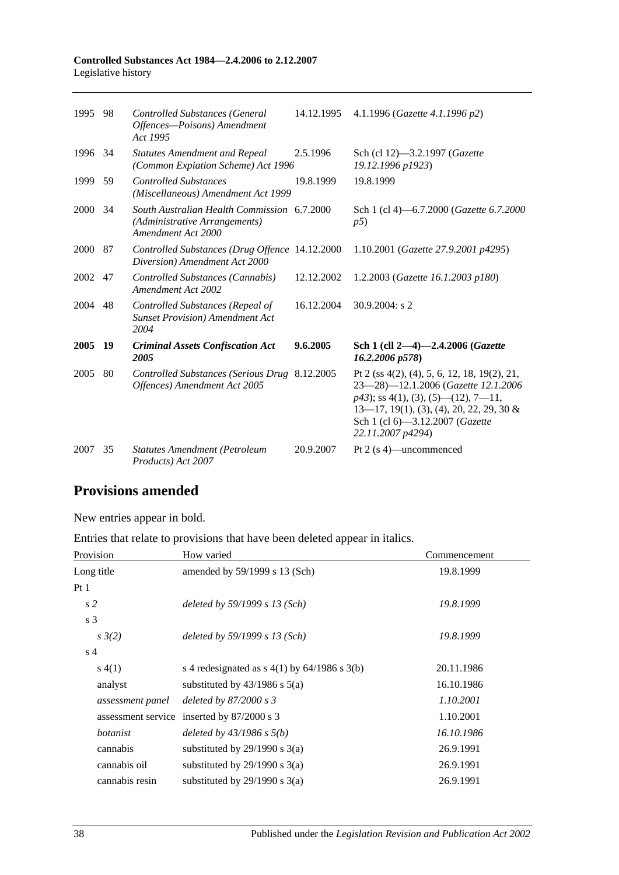| 1995    | 98  | <b>Controlled Substances (General</b><br>Offences-Poisons) Amendment<br>Act 1995                   | 14.12.1995 | 4.1.1996 (Gazette 4.1.1996 p2)                                                                                                                                                                                                      |
|---------|-----|----------------------------------------------------------------------------------------------------|------------|-------------------------------------------------------------------------------------------------------------------------------------------------------------------------------------------------------------------------------------|
| 1996 34 |     | <b>Statutes Amendment and Repeal</b><br>(Common Expiation Scheme) Act 1996                         | 2.5.1996   | Sch (cl 12)-3.2.1997 (Gazette<br>19.12.1996 p1923)                                                                                                                                                                                  |
| 1999 59 |     | <b>Controlled Substances</b><br>(Miscellaneous) Amendment Act 1999                                 | 19.8.1999  | 19.8.1999                                                                                                                                                                                                                           |
| 2000 34 |     | South Australian Health Commission 6.7.2000<br>(Administrative Arrangements)<br>Amendment Act 2000 |            | Sch 1 (cl 4)–6.7.2000 ( <i>Gazette</i> 6.7.2000<br>p5)                                                                                                                                                                              |
| 2000 87 |     | Controlled Substances (Drug Offence 14.12.2000<br>Diversion) Amendment Act 2000                    |            | 1.10.2001 (Gazette 27.9.2001 p4295)                                                                                                                                                                                                 |
| 2002    | 47  | Controlled Substances (Cannabis)<br>Amendment Act 2002                                             | 12.12.2002 | 1.2.2003 (Gazette 16.1.2003 p180)                                                                                                                                                                                                   |
| 2004 48 |     | Controlled Substances (Repeal of<br><b>Sunset Provision</b> ) Amendment Act<br>2004                | 16.12.2004 | $30.9.2004$ : s 2                                                                                                                                                                                                                   |
| 2005    | -19 | <b>Criminal Assets Confiscation Act</b><br>2005                                                    | 9.6.2005   | Sch 1 (cll 2-4)-2.4.2006 ( <i>Gazette</i><br>16.2.2006 p578)                                                                                                                                                                        |
| 2005    | 80  | Controlled Substances (Serious Drug 8.12.2005<br>Offences) Amendment Act 2005                      |            | Pt 2 (ss 4(2), (4), 5, 6, 12, 18, 19(2), 21,<br>23-28)-12.1.2006 (Gazette 12.1.2006<br>$p43$ ; ss 4(1), (3), (5)—(12), 7—11,<br>$13-17$ , 19(1), (3), (4), 20, 22, 29, 30 &<br>Sch 1 (cl 6)-3.12.2007 (Gazette<br>22.11.2007 p4294) |
| 2007    | 35  | <b>Statutes Amendment (Petroleum</b><br>Products) Act 2007                                         | 20.9.2007  | Pt 2 (s 4)—uncommenced                                                                                                                                                                                                              |

## **Provisions amended**

New entries appear in bold.

Entries that relate to provisions that have been deleted appear in italics.

| Provision          | How varied                                     | Commencement |  |
|--------------------|------------------------------------------------|--------------|--|
| Long title         | amended by 59/1999 s 13 (Sch)                  | 19.8.1999    |  |
| Pt <sub>1</sub>    |                                                |              |  |
| s <sub>2</sub>     | deleted by $59/1999 s 13$ (Sch)                | 19.8.1999    |  |
| s <sub>3</sub>     |                                                |              |  |
| $s \frac{3}{2}$    | deleted by $59/1999 s 13$ (Sch)                | 19.8.1999    |  |
| s <sub>4</sub>     |                                                |              |  |
| s(4(1))            | s 4 redesignated as $s$ 4(1) by 64/1986 s 3(b) | 20.11.1986   |  |
| analyst            | substituted by $43/1986$ s $5(a)$              | 16.10.1986   |  |
| assessment panel   | deleted by $87/2000 s3$                        | 1.10.2001    |  |
| assessment service | inserted by $87/2000$ s 3                      | 1.10.2001    |  |
| botanist           | deleted by $43/1986$ s $5(b)$                  | 16.10.1986   |  |
| cannabis           | substituted by $29/1990$ s $3(a)$              | 26.9.1991    |  |
| cannabis oil       | substituted by $29/1990$ s $3(a)$              | 26.9.1991    |  |
| cannabis resin     | substituted by $29/1990$ s $3(a)$              | 26.9.1991    |  |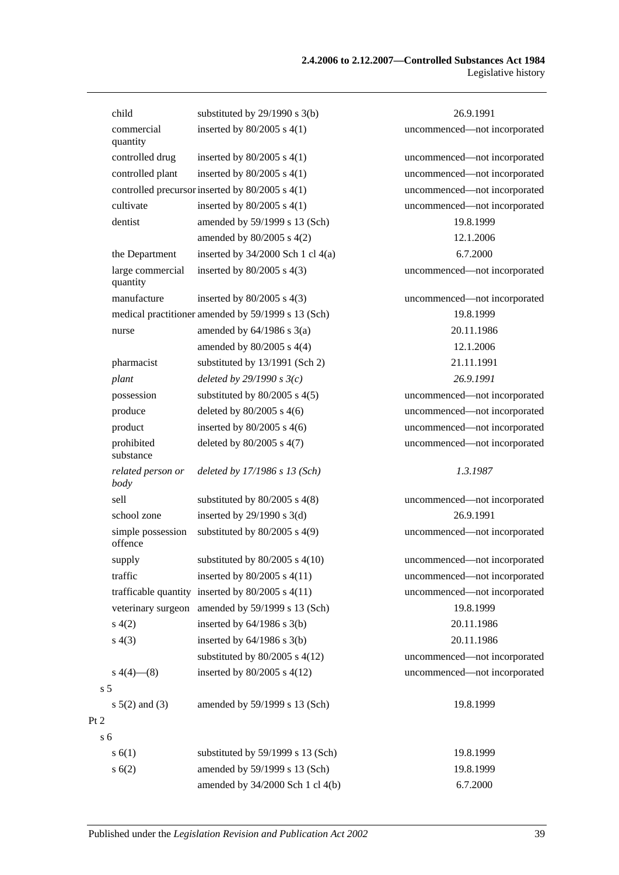|                | child                        | substituted by $29/1990$ s $3(b)$                    | 26.9.1991                    |
|----------------|------------------------------|------------------------------------------------------|------------------------------|
|                | commercial<br>quantity       | inserted by $80/2005$ s $4(1)$                       | uncommenced-not incorporated |
|                | controlled drug              | inserted by $80/2005$ s $4(1)$                       | uncommenced-not incorporated |
|                | controlled plant             | inserted by $80/2005$ s $4(1)$                       | uncommenced-not incorporated |
|                |                              | controlled precursor inserted by 80/2005 s 4(1)      | uncommenced-not incorporated |
|                | cultivate                    | inserted by $80/2005$ s $4(1)$                       | uncommenced-not incorporated |
|                | dentist                      | amended by 59/1999 s 13 (Sch)                        | 19.8.1999                    |
|                |                              | amended by 80/2005 s 4(2)                            | 12.1.2006                    |
|                | the Department               | inserted by $34/2000$ Sch 1 cl $4(a)$                | 6.7.2000                     |
|                | large commercial<br>quantity | inserted by $80/2005$ s $4(3)$                       | uncommenced-not incorporated |
|                | manufacture                  | inserted by $80/2005$ s $4(3)$                       | uncommenced-not incorporated |
|                |                              | medical practitioner amended by 59/1999 s 13 (Sch)   | 19.8.1999                    |
|                | nurse                        | amended by $64/1986$ s $3(a)$                        | 20.11.1986                   |
|                |                              | amended by $80/2005$ s $4(4)$                        | 12.1.2006                    |
|                | pharmacist                   | substituted by 13/1991 (Sch 2)                       | 21.11.1991                   |
|                | plant                        | deleted by $29/1990 s3(c)$                           | 26.9.1991                    |
|                | possession                   | substituted by $80/2005$ s $4(5)$                    | uncommenced-not incorporated |
|                | produce                      | deleted by $80/2005$ s 4(6)                          | uncommenced-not incorporated |
|                | product                      | inserted by $80/2005$ s $4(6)$                       | uncommenced-not incorporated |
|                | prohibited<br>substance      | deleted by 80/2005 s 4(7)                            | uncommenced-not incorporated |
|                | related person or<br>body    | deleted by 17/1986 s 13 (Sch)                        | 1.3.1987                     |
|                | sell                         | substituted by $80/2005$ s $4(8)$                    | uncommenced-not incorporated |
|                | school zone                  | inserted by $29/1990$ s $3(d)$                       | 26.9.1991                    |
|                | simple possession<br>offence | substituted by $80/2005$ s 4(9)                      | uncommenced-not incorporated |
|                | supply                       | substituted by $80/2005$ s $4(10)$                   | uncommenced-not incorporated |
|                | traffic                      | inserted by $80/2005$ s $4(11)$                      | uncommenced—not incorporated |
|                |                              | trafficable quantity inserted by $80/2005$ s $4(11)$ | uncommenced-not incorporated |
|                |                              | veterinary surgeon amended by 59/1999 s 13 (Sch)     | 19.8.1999                    |
|                | s(4(2)                       | inserted by $64/1986$ s $3(b)$                       | 20.11.1986                   |
|                | s(4(3))                      | inserted by $64/1986$ s $3(b)$                       | 20.11.1986                   |
|                |                              | substituted by $80/2005$ s $4(12)$                   | uncommenced-not incorporated |
|                | $s\ 4(4)$ (8)                | inserted by $80/2005$ s $4(12)$                      | uncommenced-not incorporated |
| s <sub>5</sub> |                              |                                                      |                              |
|                | $s \ 5(2)$ and (3)           | amended by 59/1999 s 13 (Sch)                        | 19.8.1999                    |
| Pt 2           |                              |                                                      |                              |
| s <sub>6</sub> |                              |                                                      |                              |
|                | s(6(1))                      | substituted by 59/1999 s 13 (Sch)                    | 19.8.1999                    |
|                | s(6(2))                      | amended by 59/1999 s 13 (Sch)                        | 19.8.1999                    |
|                |                              | amended by 34/2000 Sch 1 cl 4(b)                     | 6.7.2000                     |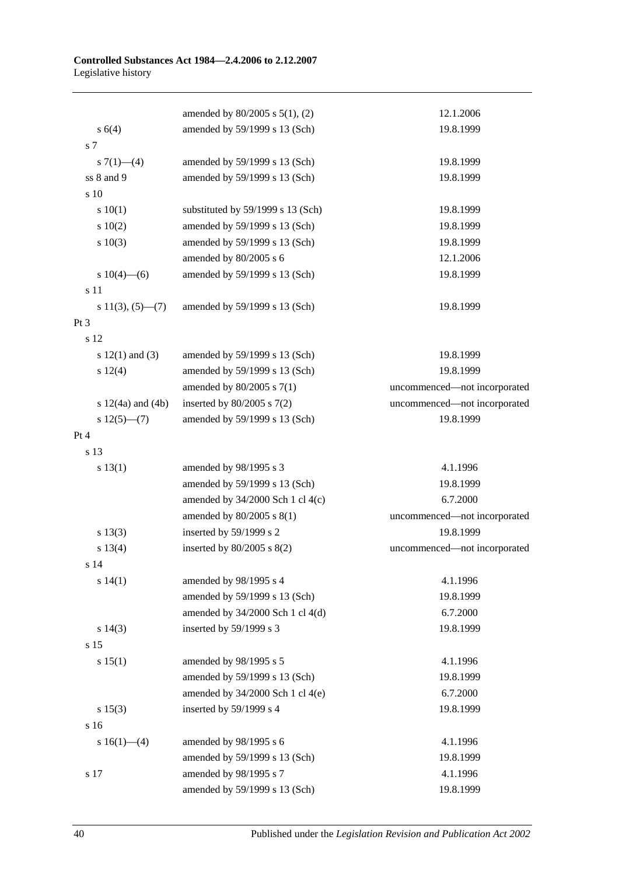|                           | amended by $80/2005$ s $5(1)$ , (2)  | 12.1.2006                    |
|---------------------------|--------------------------------------|------------------------------|
| s(4)                      | amended by 59/1999 s 13 (Sch)        | 19.8.1999                    |
| s 7                       |                                      |                              |
| s $7(1)$ —(4)             | amended by 59/1999 s 13 (Sch)        | 19.8.1999                    |
| ss 8 and 9                | amended by 59/1999 s 13 (Sch)        | 19.8.1999                    |
| s 10                      |                                      |                              |
| 10(1)                     | substituted by 59/1999 s 13 (Sch)    | 19.8.1999                    |
| 10(2)                     | amended by 59/1999 s 13 (Sch)        | 19.8.1999                    |
| 10(3)                     | amended by 59/1999 s 13 (Sch)        | 19.8.1999                    |
|                           | amended by 80/2005 s 6               | 12.1.2006                    |
| s $10(4)$ —(6)            | amended by 59/1999 s 13 (Sch)        | 19.8.1999                    |
| s 11                      |                                      |                              |
| s $11(3)$ , $(5)$ — $(7)$ | amended by 59/1999 s 13 (Sch)        | 19.8.1999                    |
| Pt <sub>3</sub>           |                                      |                              |
| s 12                      |                                      |                              |
| s $12(1)$ and $(3)$       | amended by 59/1999 s 13 (Sch)        | 19.8.1999                    |
| s 12(4)                   | amended by 59/1999 s 13 (Sch)        | 19.8.1999                    |
|                           | amended by 80/2005 s 7(1)            | uncommenced-not incorporated |
| s $12(4a)$ and $(4b)$     | inserted by $80/2005$ s $7(2)$       | uncommenced-not incorporated |
| $s 12(5)$ —(7)            | amended by 59/1999 s 13 (Sch)        | 19.8.1999                    |
| Pt 4                      |                                      |                              |
| s 13                      |                                      |                              |
| s 13(1)                   | amended by 98/1995 s 3               | 4.1.1996                     |
|                           | amended by 59/1999 s 13 (Sch)        | 19.8.1999                    |
|                           | amended by 34/2000 Sch 1 cl 4(c)     | 6.7.2000                     |
|                           | amended by 80/2005 s 8(1)            | uncommenced-not incorporated |
| s 13(3)                   | inserted by 59/1999 s 2              | 19.8.1999                    |
| s 13(4)                   | inserted by $80/2005$ s $8(2)$       | uncommenced-not incorporated |
| s <sub>14</sub>           |                                      |                              |
| s 14(1)                   | amended by 98/1995 s 4               | 4.1.1996                     |
|                           | amended by 59/1999 s 13 (Sch)        | 19.8.1999                    |
|                           | amended by $34/2000$ Sch 1 cl $4(d)$ | 6.7.2000                     |
| s 14(3)                   | inserted by 59/1999 s 3              | 19.8.1999                    |
| s 15                      |                                      |                              |
| s 15(1)                   | amended by 98/1995 s 5               | 4.1.1996                     |
|                           | amended by 59/1999 s 13 (Sch)        | 19.8.1999                    |
|                           | amended by $34/2000$ Sch 1 cl $4(e)$ | 6.7.2000                     |
| s 15(3)                   | inserted by 59/1999 s 4              | 19.8.1999                    |
| s 16                      |                                      |                              |
| s $16(1)$ —(4)            | amended by 98/1995 s 6               | 4.1.1996                     |
|                           | amended by 59/1999 s 13 (Sch)        | 19.8.1999                    |
| s 17                      | amended by 98/1995 s 7               | 4.1.1996                     |
|                           | amended by 59/1999 s 13 (Sch)        | 19.8.1999                    |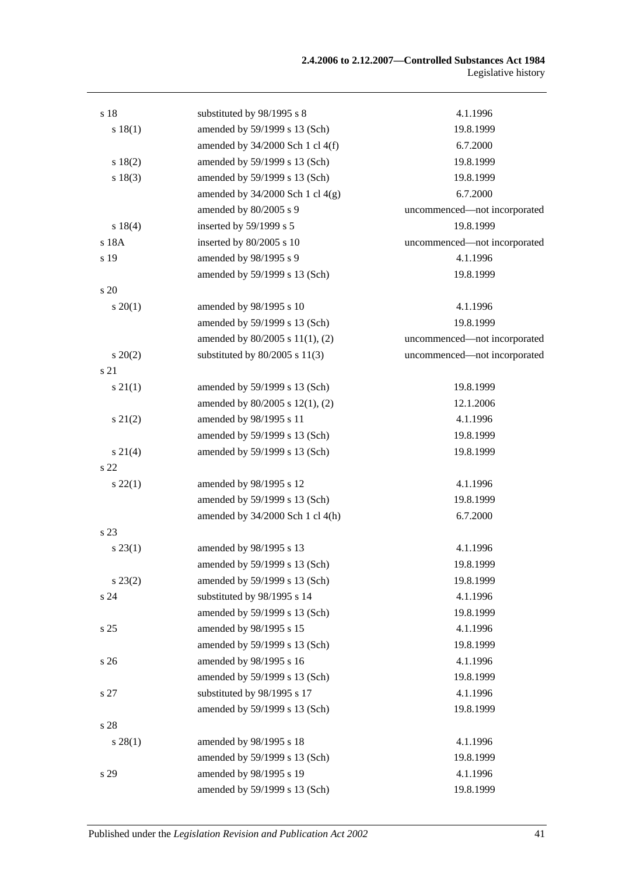| 4.1.1996<br>s 18<br>substituted by 98/1995 s 8<br>amended by 59/1999 s 13 (Sch)<br>s 18(1)<br>19.8.1999<br>amended by $34/2000$ Sch 1 cl $4(f)$<br>6.7.2000<br>amended by 59/1999 s 13 (Sch)<br>s 18(2)<br>19.8.1999<br>s 18(3)<br>amended by 59/1999 s 13 (Sch)<br>19.8.1999<br>amended by $34/2000$ Sch 1 cl $4(g)$<br>6.7.2000<br>amended by 80/2005 s 9<br>uncommenced—not incorporated<br>inserted by 59/1999 s 5<br>19.8.1999<br>s18(4)<br>s 18A<br>inserted by 80/2005 s 10<br>uncommenced—not incorporated<br>s 19<br>amended by 98/1995 s 9<br>4.1.1996<br>amended by 59/1999 s 13 (Sch)<br>19.8.1999<br>s 20<br>4.1.1996<br>$s \, 20(1)$<br>amended by 98/1995 s 10<br>19.8.1999<br>amended by 59/1999 s 13 (Sch)<br>amended by 80/2005 s 11(1), (2)<br>uncommenced-not incorporated<br>substituted by $80/2005$ s $11(3)$<br>uncommenced-not incorporated<br>$s\,20(2)$<br>s 21<br>$s \, 21(1)$<br>amended by 59/1999 s 13 (Sch)<br>19.8.1999<br>12.1.2006<br>amended by 80/2005 s 12(1), (2)<br>amended by 98/1995 s 11<br>$s\ 21(2)$<br>4.1.1996<br>amended by 59/1999 s 13 (Sch)<br>19.8.1999<br>19.8.1999<br>amended by 59/1999 s 13 (Sch)<br>$s \, 21(4)$<br>s <sub>22</sub><br>4.1.1996<br>$s\,22(1)$<br>amended by 98/1995 s 12<br>amended by 59/1999 s 13 (Sch)<br>19.8.1999<br>6.7.2000<br>amended by $34/2000$ Sch 1 cl $4(h)$<br>s 23<br>amended by 98/1995 s 13<br>4.1.1996<br>$s\,23(1)$<br>amended by 59/1999 s 13 (Sch)<br>19.8.1999<br>amended by 59/1999 s 13 (Sch)<br>$s\,23(2)$<br>19.8.1999<br>substituted by 98/1995 s 14<br>4.1.1996<br>s 24<br>amended by 59/1999 s 13 (Sch)<br>19.8.1999<br>amended by 98/1995 s 15<br>s 25<br>4.1.1996<br>19.8.1999<br>amended by 59/1999 s 13 (Sch)<br>amended by 98/1995 s 16<br>s 26<br>4.1.1996<br>amended by 59/1999 s 13 (Sch)<br>19.8.1999<br>substituted by 98/1995 s 17<br>s 27<br>4.1.1996<br>amended by 59/1999 s 13 (Sch)<br>19.8.1999<br>s 28<br>amended by 98/1995 s 18<br>4.1.1996<br>$s\,28(1)$<br>amended by 59/1999 s 13 (Sch)<br>19.8.1999<br>amended by 98/1995 s 19<br>4.1.1996<br>s 29 |                               |           |
|----------------------------------------------------------------------------------------------------------------------------------------------------------------------------------------------------------------------------------------------------------------------------------------------------------------------------------------------------------------------------------------------------------------------------------------------------------------------------------------------------------------------------------------------------------------------------------------------------------------------------------------------------------------------------------------------------------------------------------------------------------------------------------------------------------------------------------------------------------------------------------------------------------------------------------------------------------------------------------------------------------------------------------------------------------------------------------------------------------------------------------------------------------------------------------------------------------------------------------------------------------------------------------------------------------------------------------------------------------------------------------------------------------------------------------------------------------------------------------------------------------------------------------------------------------------------------------------------------------------------------------------------------------------------------------------------------------------------------------------------------------------------------------------------------------------------------------------------------------------------------------------------------------------------------------------------------------------------------------------------------------------------------------------------------------------------------------|-------------------------------|-----------|
|                                                                                                                                                                                                                                                                                                                                                                                                                                                                                                                                                                                                                                                                                                                                                                                                                                                                                                                                                                                                                                                                                                                                                                                                                                                                                                                                                                                                                                                                                                                                                                                                                                                                                                                                                                                                                                                                                                                                                                                                                                                                                  |                               |           |
|                                                                                                                                                                                                                                                                                                                                                                                                                                                                                                                                                                                                                                                                                                                                                                                                                                                                                                                                                                                                                                                                                                                                                                                                                                                                                                                                                                                                                                                                                                                                                                                                                                                                                                                                                                                                                                                                                                                                                                                                                                                                                  |                               |           |
|                                                                                                                                                                                                                                                                                                                                                                                                                                                                                                                                                                                                                                                                                                                                                                                                                                                                                                                                                                                                                                                                                                                                                                                                                                                                                                                                                                                                                                                                                                                                                                                                                                                                                                                                                                                                                                                                                                                                                                                                                                                                                  |                               |           |
|                                                                                                                                                                                                                                                                                                                                                                                                                                                                                                                                                                                                                                                                                                                                                                                                                                                                                                                                                                                                                                                                                                                                                                                                                                                                                                                                                                                                                                                                                                                                                                                                                                                                                                                                                                                                                                                                                                                                                                                                                                                                                  |                               |           |
|                                                                                                                                                                                                                                                                                                                                                                                                                                                                                                                                                                                                                                                                                                                                                                                                                                                                                                                                                                                                                                                                                                                                                                                                                                                                                                                                                                                                                                                                                                                                                                                                                                                                                                                                                                                                                                                                                                                                                                                                                                                                                  |                               |           |
|                                                                                                                                                                                                                                                                                                                                                                                                                                                                                                                                                                                                                                                                                                                                                                                                                                                                                                                                                                                                                                                                                                                                                                                                                                                                                                                                                                                                                                                                                                                                                                                                                                                                                                                                                                                                                                                                                                                                                                                                                                                                                  |                               |           |
|                                                                                                                                                                                                                                                                                                                                                                                                                                                                                                                                                                                                                                                                                                                                                                                                                                                                                                                                                                                                                                                                                                                                                                                                                                                                                                                                                                                                                                                                                                                                                                                                                                                                                                                                                                                                                                                                                                                                                                                                                                                                                  |                               |           |
|                                                                                                                                                                                                                                                                                                                                                                                                                                                                                                                                                                                                                                                                                                                                                                                                                                                                                                                                                                                                                                                                                                                                                                                                                                                                                                                                                                                                                                                                                                                                                                                                                                                                                                                                                                                                                                                                                                                                                                                                                                                                                  |                               |           |
|                                                                                                                                                                                                                                                                                                                                                                                                                                                                                                                                                                                                                                                                                                                                                                                                                                                                                                                                                                                                                                                                                                                                                                                                                                                                                                                                                                                                                                                                                                                                                                                                                                                                                                                                                                                                                                                                                                                                                                                                                                                                                  |                               |           |
|                                                                                                                                                                                                                                                                                                                                                                                                                                                                                                                                                                                                                                                                                                                                                                                                                                                                                                                                                                                                                                                                                                                                                                                                                                                                                                                                                                                                                                                                                                                                                                                                                                                                                                                                                                                                                                                                                                                                                                                                                                                                                  |                               |           |
|                                                                                                                                                                                                                                                                                                                                                                                                                                                                                                                                                                                                                                                                                                                                                                                                                                                                                                                                                                                                                                                                                                                                                                                                                                                                                                                                                                                                                                                                                                                                                                                                                                                                                                                                                                                                                                                                                                                                                                                                                                                                                  |                               |           |
|                                                                                                                                                                                                                                                                                                                                                                                                                                                                                                                                                                                                                                                                                                                                                                                                                                                                                                                                                                                                                                                                                                                                                                                                                                                                                                                                                                                                                                                                                                                                                                                                                                                                                                                                                                                                                                                                                                                                                                                                                                                                                  |                               |           |
|                                                                                                                                                                                                                                                                                                                                                                                                                                                                                                                                                                                                                                                                                                                                                                                                                                                                                                                                                                                                                                                                                                                                                                                                                                                                                                                                                                                                                                                                                                                                                                                                                                                                                                                                                                                                                                                                                                                                                                                                                                                                                  |                               |           |
|                                                                                                                                                                                                                                                                                                                                                                                                                                                                                                                                                                                                                                                                                                                                                                                                                                                                                                                                                                                                                                                                                                                                                                                                                                                                                                                                                                                                                                                                                                                                                                                                                                                                                                                                                                                                                                                                                                                                                                                                                                                                                  |                               |           |
|                                                                                                                                                                                                                                                                                                                                                                                                                                                                                                                                                                                                                                                                                                                                                                                                                                                                                                                                                                                                                                                                                                                                                                                                                                                                                                                                                                                                                                                                                                                                                                                                                                                                                                                                                                                                                                                                                                                                                                                                                                                                                  |                               |           |
|                                                                                                                                                                                                                                                                                                                                                                                                                                                                                                                                                                                                                                                                                                                                                                                                                                                                                                                                                                                                                                                                                                                                                                                                                                                                                                                                                                                                                                                                                                                                                                                                                                                                                                                                                                                                                                                                                                                                                                                                                                                                                  |                               |           |
|                                                                                                                                                                                                                                                                                                                                                                                                                                                                                                                                                                                                                                                                                                                                                                                                                                                                                                                                                                                                                                                                                                                                                                                                                                                                                                                                                                                                                                                                                                                                                                                                                                                                                                                                                                                                                                                                                                                                                                                                                                                                                  |                               |           |
|                                                                                                                                                                                                                                                                                                                                                                                                                                                                                                                                                                                                                                                                                                                                                                                                                                                                                                                                                                                                                                                                                                                                                                                                                                                                                                                                                                                                                                                                                                                                                                                                                                                                                                                                                                                                                                                                                                                                                                                                                                                                                  |                               |           |
|                                                                                                                                                                                                                                                                                                                                                                                                                                                                                                                                                                                                                                                                                                                                                                                                                                                                                                                                                                                                                                                                                                                                                                                                                                                                                                                                                                                                                                                                                                                                                                                                                                                                                                                                                                                                                                                                                                                                                                                                                                                                                  |                               |           |
|                                                                                                                                                                                                                                                                                                                                                                                                                                                                                                                                                                                                                                                                                                                                                                                                                                                                                                                                                                                                                                                                                                                                                                                                                                                                                                                                                                                                                                                                                                                                                                                                                                                                                                                                                                                                                                                                                                                                                                                                                                                                                  |                               |           |
|                                                                                                                                                                                                                                                                                                                                                                                                                                                                                                                                                                                                                                                                                                                                                                                                                                                                                                                                                                                                                                                                                                                                                                                                                                                                                                                                                                                                                                                                                                                                                                                                                                                                                                                                                                                                                                                                                                                                                                                                                                                                                  |                               |           |
|                                                                                                                                                                                                                                                                                                                                                                                                                                                                                                                                                                                                                                                                                                                                                                                                                                                                                                                                                                                                                                                                                                                                                                                                                                                                                                                                                                                                                                                                                                                                                                                                                                                                                                                                                                                                                                                                                                                                                                                                                                                                                  |                               |           |
|                                                                                                                                                                                                                                                                                                                                                                                                                                                                                                                                                                                                                                                                                                                                                                                                                                                                                                                                                                                                                                                                                                                                                                                                                                                                                                                                                                                                                                                                                                                                                                                                                                                                                                                                                                                                                                                                                                                                                                                                                                                                                  |                               |           |
|                                                                                                                                                                                                                                                                                                                                                                                                                                                                                                                                                                                                                                                                                                                                                                                                                                                                                                                                                                                                                                                                                                                                                                                                                                                                                                                                                                                                                                                                                                                                                                                                                                                                                                                                                                                                                                                                                                                                                                                                                                                                                  |                               |           |
|                                                                                                                                                                                                                                                                                                                                                                                                                                                                                                                                                                                                                                                                                                                                                                                                                                                                                                                                                                                                                                                                                                                                                                                                                                                                                                                                                                                                                                                                                                                                                                                                                                                                                                                                                                                                                                                                                                                                                                                                                                                                                  |                               |           |
|                                                                                                                                                                                                                                                                                                                                                                                                                                                                                                                                                                                                                                                                                                                                                                                                                                                                                                                                                                                                                                                                                                                                                                                                                                                                                                                                                                                                                                                                                                                                                                                                                                                                                                                                                                                                                                                                                                                                                                                                                                                                                  |                               |           |
|                                                                                                                                                                                                                                                                                                                                                                                                                                                                                                                                                                                                                                                                                                                                                                                                                                                                                                                                                                                                                                                                                                                                                                                                                                                                                                                                                                                                                                                                                                                                                                                                                                                                                                                                                                                                                                                                                                                                                                                                                                                                                  |                               |           |
|                                                                                                                                                                                                                                                                                                                                                                                                                                                                                                                                                                                                                                                                                                                                                                                                                                                                                                                                                                                                                                                                                                                                                                                                                                                                                                                                                                                                                                                                                                                                                                                                                                                                                                                                                                                                                                                                                                                                                                                                                                                                                  |                               |           |
|                                                                                                                                                                                                                                                                                                                                                                                                                                                                                                                                                                                                                                                                                                                                                                                                                                                                                                                                                                                                                                                                                                                                                                                                                                                                                                                                                                                                                                                                                                                                                                                                                                                                                                                                                                                                                                                                                                                                                                                                                                                                                  |                               |           |
|                                                                                                                                                                                                                                                                                                                                                                                                                                                                                                                                                                                                                                                                                                                                                                                                                                                                                                                                                                                                                                                                                                                                                                                                                                                                                                                                                                                                                                                                                                                                                                                                                                                                                                                                                                                                                                                                                                                                                                                                                                                                                  |                               |           |
|                                                                                                                                                                                                                                                                                                                                                                                                                                                                                                                                                                                                                                                                                                                                                                                                                                                                                                                                                                                                                                                                                                                                                                                                                                                                                                                                                                                                                                                                                                                                                                                                                                                                                                                                                                                                                                                                                                                                                                                                                                                                                  |                               |           |
|                                                                                                                                                                                                                                                                                                                                                                                                                                                                                                                                                                                                                                                                                                                                                                                                                                                                                                                                                                                                                                                                                                                                                                                                                                                                                                                                                                                                                                                                                                                                                                                                                                                                                                                                                                                                                                                                                                                                                                                                                                                                                  |                               |           |
|                                                                                                                                                                                                                                                                                                                                                                                                                                                                                                                                                                                                                                                                                                                                                                                                                                                                                                                                                                                                                                                                                                                                                                                                                                                                                                                                                                                                                                                                                                                                                                                                                                                                                                                                                                                                                                                                                                                                                                                                                                                                                  |                               |           |
|                                                                                                                                                                                                                                                                                                                                                                                                                                                                                                                                                                                                                                                                                                                                                                                                                                                                                                                                                                                                                                                                                                                                                                                                                                                                                                                                                                                                                                                                                                                                                                                                                                                                                                                                                                                                                                                                                                                                                                                                                                                                                  |                               |           |
|                                                                                                                                                                                                                                                                                                                                                                                                                                                                                                                                                                                                                                                                                                                                                                                                                                                                                                                                                                                                                                                                                                                                                                                                                                                                                                                                                                                                                                                                                                                                                                                                                                                                                                                                                                                                                                                                                                                                                                                                                                                                                  |                               |           |
|                                                                                                                                                                                                                                                                                                                                                                                                                                                                                                                                                                                                                                                                                                                                                                                                                                                                                                                                                                                                                                                                                                                                                                                                                                                                                                                                                                                                                                                                                                                                                                                                                                                                                                                                                                                                                                                                                                                                                                                                                                                                                  |                               |           |
|                                                                                                                                                                                                                                                                                                                                                                                                                                                                                                                                                                                                                                                                                                                                                                                                                                                                                                                                                                                                                                                                                                                                                                                                                                                                                                                                                                                                                                                                                                                                                                                                                                                                                                                                                                                                                                                                                                                                                                                                                                                                                  |                               |           |
|                                                                                                                                                                                                                                                                                                                                                                                                                                                                                                                                                                                                                                                                                                                                                                                                                                                                                                                                                                                                                                                                                                                                                                                                                                                                                                                                                                                                                                                                                                                                                                                                                                                                                                                                                                                                                                                                                                                                                                                                                                                                                  |                               |           |
|                                                                                                                                                                                                                                                                                                                                                                                                                                                                                                                                                                                                                                                                                                                                                                                                                                                                                                                                                                                                                                                                                                                                                                                                                                                                                                                                                                                                                                                                                                                                                                                                                                                                                                                                                                                                                                                                                                                                                                                                                                                                                  |                               |           |
|                                                                                                                                                                                                                                                                                                                                                                                                                                                                                                                                                                                                                                                                                                                                                                                                                                                                                                                                                                                                                                                                                                                                                                                                                                                                                                                                                                                                                                                                                                                                                                                                                                                                                                                                                                                                                                                                                                                                                                                                                                                                                  |                               |           |
|                                                                                                                                                                                                                                                                                                                                                                                                                                                                                                                                                                                                                                                                                                                                                                                                                                                                                                                                                                                                                                                                                                                                                                                                                                                                                                                                                                                                                                                                                                                                                                                                                                                                                                                                                                                                                                                                                                                                                                                                                                                                                  |                               |           |
|                                                                                                                                                                                                                                                                                                                                                                                                                                                                                                                                                                                                                                                                                                                                                                                                                                                                                                                                                                                                                                                                                                                                                                                                                                                                                                                                                                                                                                                                                                                                                                                                                                                                                                                                                                                                                                                                                                                                                                                                                                                                                  |                               |           |
|                                                                                                                                                                                                                                                                                                                                                                                                                                                                                                                                                                                                                                                                                                                                                                                                                                                                                                                                                                                                                                                                                                                                                                                                                                                                                                                                                                                                                                                                                                                                                                                                                                                                                                                                                                                                                                                                                                                                                                                                                                                                                  | amended by 59/1999 s 13 (Sch) | 19.8.1999 |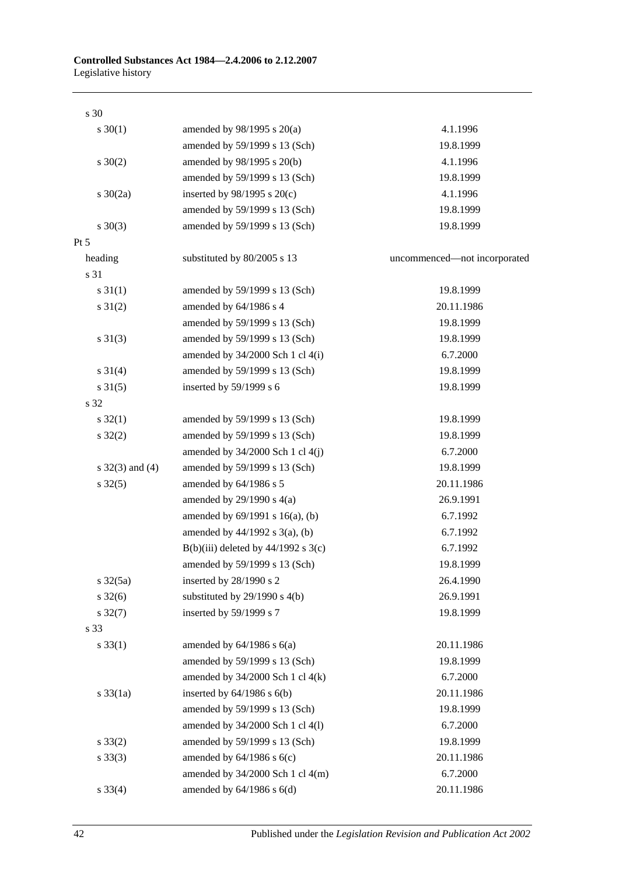| $s \ 30(1)$          | amended by $98/1995$ s $20(a)$        | 4.1.1996                     |
|----------------------|---------------------------------------|------------------------------|
|                      | amended by 59/1999 s 13 (Sch)         | 19.8.1999                    |
| $s \ 30(2)$          | amended by 98/1995 s 20(b)            | 4.1.1996                     |
|                      | amended by 59/1999 s 13 (Sch)         | 19.8.1999                    |
| s $30(2a)$           | inserted by $98/1995$ s $20(c)$       | 4.1.1996                     |
|                      | amended by 59/1999 s 13 (Sch)         | 19.8.1999                    |
| $s \ 30(3)$          | amended by 59/1999 s 13 (Sch)         | 19.8.1999                    |
| Pt 5                 |                                       |                              |
| heading              | substituted by 80/2005 s 13           | uncommenced-not incorporated |
| s 31                 |                                       |                              |
| $s \, 31(1)$         | amended by 59/1999 s 13 (Sch)         | 19.8.1999                    |
| $s \, 31(2)$         | amended by 64/1986 s 4                | 20.11.1986                   |
|                      | amended by 59/1999 s 13 (Sch)         | 19.8.1999                    |
| $s \ 31(3)$          | amended by 59/1999 s 13 (Sch)         | 19.8.1999                    |
|                      | amended by 34/2000 Sch 1 cl 4(i)      | 6.7.2000                     |
| $s \, 31(4)$         | amended by 59/1999 s 13 (Sch)         | 19.8.1999                    |
| $s \, 31(5)$         | inserted by 59/1999 s 6               | 19.8.1999                    |
| s 32                 |                                       |                              |
| $s \, 32(1)$         | amended by 59/1999 s 13 (Sch)         | 19.8.1999                    |
| $s \, 32(2)$         | amended by 59/1999 s 13 (Sch)         | 19.8.1999                    |
|                      | amended by 34/2000 Sch 1 cl 4(j)      | 6.7.2000                     |
| s $32(3)$ and $(4)$  | amended by 59/1999 s 13 (Sch)         | 19.8.1999                    |
| $s \, 32(5)$         | amended by 64/1986 s 5                | 20.11.1986                   |
|                      | amended by $29/1990$ s $4(a)$         | 26.9.1991                    |
|                      | amended by $69/1991$ s $16(a)$ , (b)  | 6.7.1992                     |
|                      | amended by $44/1992$ s $3(a)$ , (b)   | 6.7.1992                     |
|                      | $B(b)(iii)$ deleted by 44/1992 s 3(c) | 6.7.1992                     |
|                      | amended by 59/1999 s 13 (Sch)         | 19.8.1999                    |
| $s \frac{32(5a)}{2}$ | inserted by 28/1990 s 2               | 26.4.1990                    |
| $s \, 32(6)$         | substituted by $29/1990$ s $4(b)$     | 26.9.1991                    |
| $s \frac{32(7)}{2}$  | inserted by 59/1999 s 7               | 19.8.1999                    |
| s 33                 |                                       |                              |
| $s \, 33(1)$         | amended by $64/1986$ s $6(a)$         | 20.11.1986                   |
|                      | amended by 59/1999 s 13 (Sch)         | 19.8.1999                    |
|                      | amended by $34/2000$ Sch 1 cl $4(k)$  | 6.7.2000                     |
| $s \frac{33}{1a}$    | inserted by $64/1986$ s $6(b)$        | 20.11.1986                   |
|                      | amended by 59/1999 s 13 (Sch)         | 19.8.1999                    |
|                      | amended by 34/2000 Sch 1 cl 4(l)      | 6.7.2000                     |
| $s \, 33(2)$         | amended by 59/1999 s 13 (Sch)         | 19.8.1999                    |
| $s \, 33(3)$         | amended by $64/1986$ s $6(c)$         | 20.11.1986                   |
|                      | amended by $34/2000$ Sch 1 cl $4(m)$  | 6.7.2000                     |
| $s \, 33(4)$         | amended by $64/1986$ s $6(d)$         | 20.11.1986                   |
|                      |                                       |                              |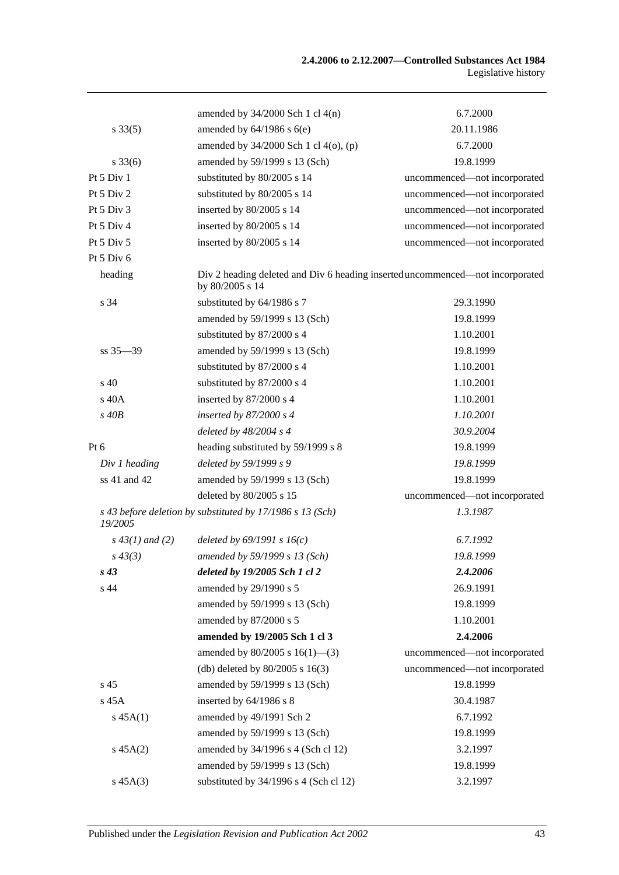|                    | amended by $34/2000$ Sch 1 cl $4(n)$                                                             | 6.7.2000                     |
|--------------------|--------------------------------------------------------------------------------------------------|------------------------------|
| $s \, 33(5)$       | amended by $64/1986$ s $6(e)$                                                                    | 20.11.1986                   |
|                    | amended by $34/2000$ Sch 1 cl $4(0)$ , (p)                                                       | 6.7.2000                     |
| $s \, 33(6)$       | amended by 59/1999 s 13 (Sch)                                                                    | 19.8.1999                    |
| Pt 5 Div 1         | substituted by 80/2005 s 14                                                                      | uncommenced-not incorporated |
| Pt 5 Div 2         | substituted by 80/2005 s 14                                                                      | uncommenced-not incorporated |
| Pt 5 Div 3         | inserted by 80/2005 s 14                                                                         | uncommenced-not incorporated |
| Pt 5 Div 4         | inserted by 80/2005 s 14                                                                         | uncommenced-not incorporated |
| Pt $5$ Div $5$     | inserted by 80/2005 s 14                                                                         | uncommenced-not incorporated |
| Pt 5 Div 6         |                                                                                                  |                              |
| heading            | Div 2 heading deleted and Div 6 heading inserted uncommenced—not incorporated<br>by 80/2005 s 14 |                              |
| s 34               | substituted by 64/1986 s 7                                                                       | 29.3.1990                    |
|                    | amended by 59/1999 s 13 (Sch)                                                                    | 19.8.1999                    |
|                    | substituted by 87/2000 s 4                                                                       | 1.10.2001                    |
| $ss 35 - 39$       | amended by 59/1999 s 13 (Sch)                                                                    | 19.8.1999                    |
|                    | substituted by 87/2000 s 4                                                                       | 1.10.2001                    |
| $\frac{1}{2}$ 40   | substituted by 87/2000 s 4                                                                       | 1.10.2001                    |
| $s$ 40 $A$         | inserted by 87/2000 s 4                                                                          | 1.10.2001                    |
| $s$ 40 $B$         | inserted by $87/2000 s 4$                                                                        | 1.10.2001                    |
|                    | deleted by $48/2004$ s 4                                                                         | 30.9.2004                    |
| Pt 6               | heading substituted by 59/1999 s 8                                                               | 19.8.1999                    |
| Div 1 heading      | deleted by 59/1999 s 9                                                                           | 19.8.1999                    |
| ss 41 and 42       | amended by 59/1999 s 13 (Sch)                                                                    | 19.8.1999                    |
|                    | deleted by 80/2005 s 15                                                                          | uncommenced-not incorporated |
| 19/2005            | s 43 before deletion by substituted by 17/1986 s 13 (Sch)                                        | 1.3.1987                     |
| $s\,43(1)$ and (2) | deleted by $69/1991 s 16(c)$                                                                     | 6.7.1992                     |
| $s\,43(3)$         | amended by 59/1999 s 13 (Sch)                                                                    | 19.8.1999                    |
| $s\,43$            | deleted by 19/2005 Sch 1 cl 2                                                                    | 2.4.2006                     |
| s 44               | amended by 29/1990 s 5                                                                           | 26.9.1991                    |
|                    | amended by 59/1999 s 13 (Sch)                                                                    | 19.8.1999                    |
|                    | amended by 87/2000 s 5                                                                           | 1.10.2001                    |
|                    | amended by 19/2005 Sch 1 cl 3                                                                    | 2.4.2006                     |
|                    | amended by $80/2005$ s $16(1)$ —(3)                                                              | uncommenced-not incorporated |
|                    | (db) deleted by $80/2005$ s $16(3)$                                                              | uncommenced-not incorporated |
| s 45               | amended by 59/1999 s 13 (Sch)                                                                    | 19.8.1999                    |
| s 45A              | inserted by 64/1986 s 8                                                                          | 30.4.1987                    |
| $s\,45A(1)$        | amended by 49/1991 Sch 2                                                                         | 6.7.1992                     |
|                    | amended by 59/1999 s 13 (Sch)                                                                    | 19.8.1999                    |
| $s\,45A(2)$        | amended by 34/1996 s 4 (Sch cl 12)                                                               | 3.2.1997                     |
|                    | amended by 59/1999 s 13 (Sch)                                                                    | 19.8.1999                    |
| $s\,45A(3)$        | substituted by 34/1996 s 4 (Sch cl 12)                                                           | 3.2.1997                     |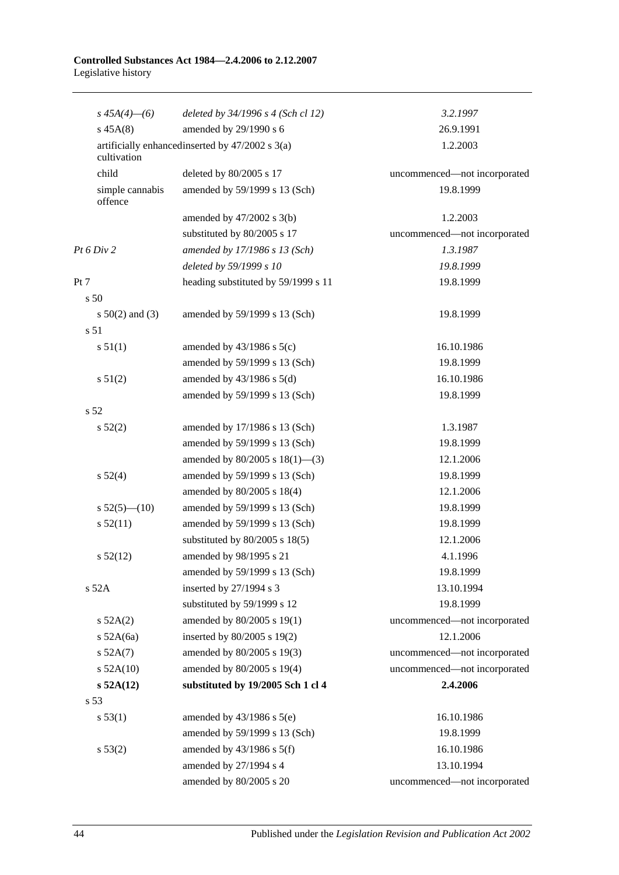| $s\,45A(4)$ - (6)          | deleted by 34/1996 s 4 (Sch cl 12)               | 3.2.1997                     |
|----------------------------|--------------------------------------------------|------------------------------|
| $s\,45A(8)$                | amended by 29/1990 s 6                           | 26.9.1991                    |
| cultivation                | artificially enhanced inserted by 47/2002 s 3(a) | 1.2.2003                     |
| child                      | deleted by 80/2005 s 17                          | uncommenced-not incorporated |
| simple cannabis<br>offence | amended by 59/1999 s 13 (Sch)                    | 19.8.1999                    |
|                            | amended by $47/2002$ s $3(b)$                    | 1.2.2003                     |
|                            | substituted by 80/2005 s 17                      | uncommenced-not incorporated |
| Pt 6 Div 2                 | amended by 17/1986 s 13 (Sch)                    | 1.3.1987                     |
|                            | deleted by 59/1999 s 10                          | 19.8.1999                    |
| Pt 7                       | heading substituted by 59/1999 s 11              | 19.8.1999                    |
| s <sub>50</sub>            |                                                  |                              |
| s $50(2)$ and (3)          | amended by 59/1999 s 13 (Sch)                    | 19.8.1999                    |
| s 51                       |                                                  |                              |
| s 51(1)                    | amended by $43/1986$ s $5(c)$                    | 16.10.1986                   |
|                            | amended by 59/1999 s 13 (Sch)                    | 19.8.1999                    |
| s 51(2)                    | amended by $43/1986$ s $5(d)$                    | 16.10.1986                   |
|                            | amended by 59/1999 s 13 (Sch)                    | 19.8.1999                    |
| s 52                       |                                                  |                              |
| s 52(2)                    | amended by 17/1986 s 13 (Sch)                    | 1.3.1987                     |
|                            | amended by 59/1999 s 13 (Sch)                    | 19.8.1999                    |
|                            | amended by $80/2005$ s $18(1)$ —(3)              | 12.1.2006                    |
| s 52(4)                    | amended by 59/1999 s 13 (Sch)                    | 19.8.1999                    |
|                            | amended by 80/2005 s 18(4)                       | 12.1.2006                    |
| $s 52(5)$ (10)             | amended by 59/1999 s 13 (Sch)                    | 19.8.1999                    |
| s 52(11)                   | amended by 59/1999 s 13 (Sch)                    | 19.8.1999                    |
|                            | substituted by $80/2005$ s $18(5)$               | 12.1.2006                    |
| $s\,52(12)$                | amended by 98/1995 s 21                          | 4.1.1996                     |
|                            | amended by 59/1999 s 13 (Sch)                    | 19.8.1999                    |
| s 52A                      | inserted by 27/1994 s 3                          | 13.10.1994                   |
|                            | substituted by 59/1999 s 12                      | 19.8.1999                    |
| s 52A(2)                   | amended by 80/2005 s 19(1)                       | uncommenced-not incorporated |
| $s$ 52A(6a)                | inserted by 80/2005 s 19(2)                      | 12.1.2006                    |
| $s$ 52A $(7)$              | amended by 80/2005 s 19(3)                       | uncommenced-not incorporated |
| $s$ 52A(10)                | amended by 80/2005 s 19(4)                       | uncommenced-not incorporated |
| s 52A(12)                  | substituted by 19/2005 Sch 1 cl 4                | 2.4.2006                     |
| s 53                       |                                                  |                              |
| s 53(1)                    | amended by $43/1986$ s $5(e)$                    | 16.10.1986                   |
|                            | amended by 59/1999 s 13 (Sch)                    | 19.8.1999                    |
| s 53(2)                    | amended by $43/1986$ s $5(f)$                    | 16.10.1986                   |
|                            | amended by 27/1994 s 4                           | 13.10.1994                   |
|                            | amended by 80/2005 s 20                          | uncommenced-not incorporated |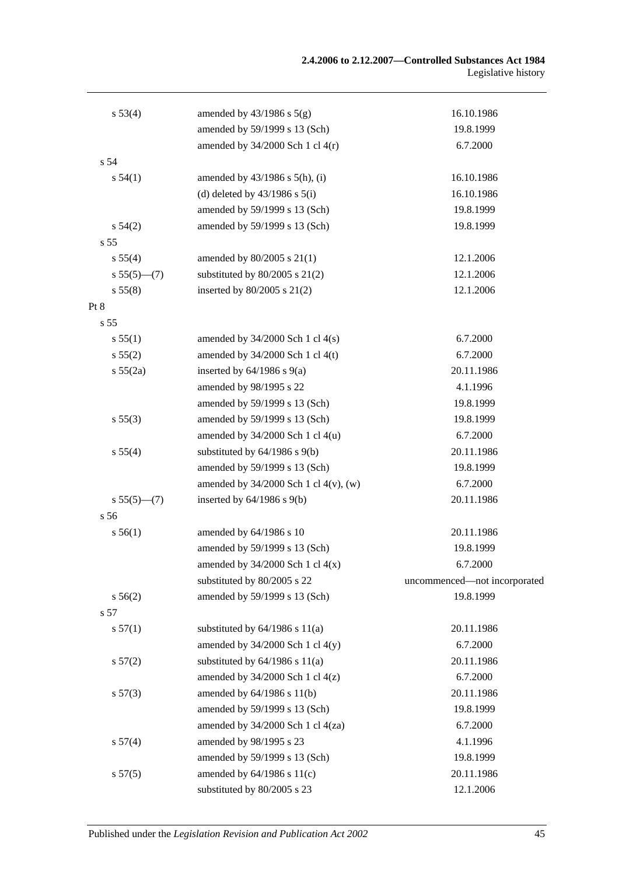| s 53(4)         | amended by $43/1986$ s $5(g)$              | 16.10.1986                   |
|-----------------|--------------------------------------------|------------------------------|
|                 | amended by 59/1999 s 13 (Sch)              | 19.8.1999                    |
|                 | amended by $34/2000$ Sch 1 cl $4(r)$       | 6.7.2000                     |
| s 54            |                                            |                              |
| s 54(1)         | amended by $43/1986$ s $5(h)$ , (i)        | 16.10.1986                   |
|                 | (d) deleted by $43/1986$ s $5(i)$          | 16.10.1986                   |
|                 | amended by 59/1999 s 13 (Sch)              | 19.8.1999                    |
| $s\,54(2)$      | amended by 59/1999 s 13 (Sch)              | 19.8.1999                    |
| s 55            |                                            |                              |
| s 55(4)         | amended by 80/2005 s 21(1)                 | 12.1.2006                    |
| $s 55(5)$ (7)   | substituted by $80/2005$ s $21(2)$         | 12.1.2006                    |
| s 55(8)         | inserted by 80/2005 s 21(2)                | 12.1.2006                    |
| Pt 8            |                                            |                              |
| s <sub>55</sub> |                                            |                              |
| s 55(1)         | amended by $34/2000$ Sch 1 cl $4(s)$       | 6.7.2000                     |
| s 55(2)         | amended by $34/2000$ Sch 1 cl 4(t)         | 6.7.2000                     |
| s 55(2a)        | inserted by $64/1986$ s $9(a)$             | 20.11.1986                   |
|                 | amended by 98/1995 s 22                    | 4.1.1996                     |
|                 | amended by 59/1999 s 13 (Sch)              | 19.8.1999                    |
| s 55(3)         | amended by 59/1999 s 13 (Sch)              | 19.8.1999                    |
|                 | amended by 34/2000 Sch 1 cl 4(u)           | 6.7.2000                     |
| s 55(4)         | substituted by $64/1986$ s $9(b)$          | 20.11.1986                   |
|                 | amended by 59/1999 s 13 (Sch)              | 19.8.1999                    |
|                 | amended by $34/2000$ Sch 1 cl $4(v)$ , (w) | 6.7.2000                     |
| $s 55(5)$ (7)   | inserted by $64/1986$ s $9(b)$             | 20.11.1986                   |
| s 56            |                                            |                              |
| s 56(1)         | amended by 64/1986 s 10                    | 20.11.1986                   |
|                 | amended by 59/1999 s 13 (Sch)              | 19.8.1999                    |
|                 | amended by $34/2000$ Sch 1 cl $4(x)$       | 6.7.2000                     |
|                 | substituted by 80/2005 s 22                | uncommenced-not incorporated |
| $s\,56(2)$      | amended by 59/1999 s 13 (Sch)              | 19.8.1999                    |
| s 57            |                                            |                              |
| s 57(1)         | substituted by $64/1986$ s $11(a)$         | 20.11.1986                   |
|                 | amended by $34/2000$ Sch 1 cl $4(y)$       | 6.7.2000                     |
| s 57(2)         | substituted by $64/1986$ s $11(a)$         | 20.11.1986                   |
|                 | amended by $34/2000$ Sch 1 cl $4(z)$       | 6.7.2000                     |
| s 57(3)         | amended by 64/1986 s 11(b)                 | 20.11.1986                   |
|                 | amended by 59/1999 s 13 (Sch)              | 19.8.1999                    |
|                 | amended by 34/2000 Sch 1 cl 4(za)          | 6.7.2000                     |
| s 57(4)         | amended by 98/1995 s 23                    | 4.1.1996                     |
|                 | amended by 59/1999 s 13 (Sch)              | 19.8.1999                    |
| s 57(5)         | amended by $64/1986$ s $11(c)$             | 20.11.1986                   |
|                 | substituted by 80/2005 s 23                | 12.1.2006                    |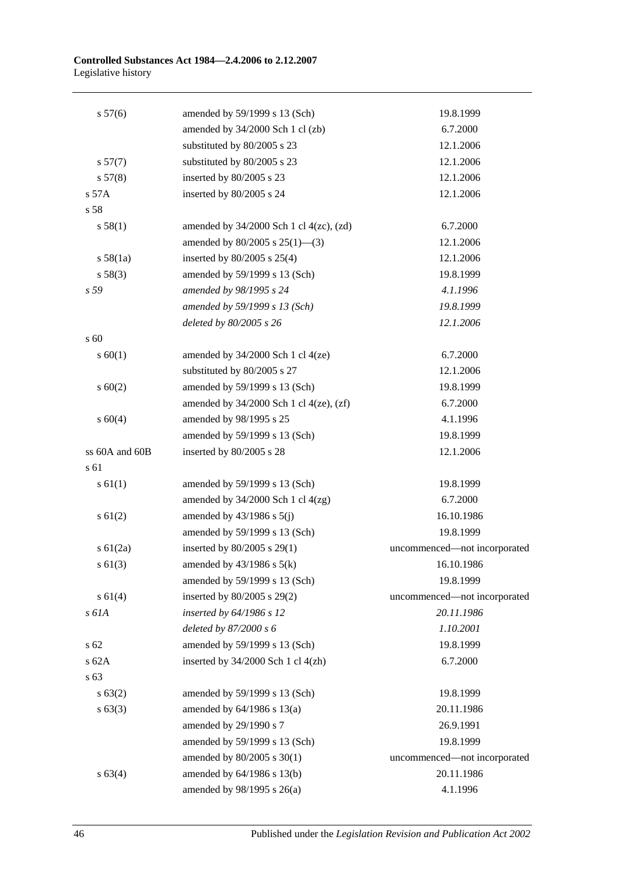| s 57(6)        | amended by 59/1999 s 13 (Sch)                  | 19.8.1999                    |
|----------------|------------------------------------------------|------------------------------|
|                | amended by 34/2000 Sch 1 cl (zb)               | 6.7.2000                     |
|                | substituted by 80/2005 s 23                    | 12.1.2006                    |
| s 57(7)        | substituted by 80/2005 s 23                    | 12.1.2006                    |
| s 57(8)        | inserted by 80/2005 s 23                       | 12.1.2006                    |
| s 57A          | inserted by 80/2005 s 24                       | 12.1.2006                    |
| s 58           |                                                |                              |
| s 58(1)        | amended by $34/2000$ Sch 1 cl $4(zc)$ , $(zd)$ | 6.7.2000                     |
|                | amended by 80/2005 s 25(1)-(3)                 | 12.1.2006                    |
| s 58(1a)       | inserted by $80/2005$ s $25(4)$                | 12.1.2006                    |
| s 58(3)        | amended by 59/1999 s 13 (Sch)                  | 19.8.1999                    |
| s 59           | amended by 98/1995 s 24                        | 4.1.1996                     |
|                | amended by 59/1999 s 13 (Sch)                  | 19.8.1999                    |
|                | deleted by 80/2005 s 26                        | 12.1.2006                    |
| s 60           |                                                |                              |
| $s \ 60(1)$    | amended by $34/2000$ Sch 1 cl $4(ze)$          | 6.7.2000                     |
|                | substituted by 80/2005 s 27                    | 12.1.2006                    |
| $s \ 60(2)$    | amended by 59/1999 s 13 (Sch)                  | 19.8.1999                    |
|                | amended by 34/2000 Sch 1 cl 4(ze), (zf)        | 6.7.2000                     |
| s 60(4)        | amended by 98/1995 s 25                        | 4.1.1996                     |
|                | amended by 59/1999 s 13 (Sch)                  | 19.8.1999                    |
| ss 60A and 60B | inserted by 80/2005 s 28                       | 12.1.2006                    |
| s 61           |                                                |                              |
| $s \, 61(1)$   | amended by 59/1999 s 13 (Sch)                  | 19.8.1999                    |
|                | amended by $34/2000$ Sch 1 cl $4(zg)$          | 6.7.2000                     |
| $s \ 61(2)$    | amended by $43/1986$ s $5(j)$                  | 16.10.1986                   |
|                | amended by 59/1999 s 13 (Sch)                  | 19.8.1999                    |
| s 61(2a)       | inserted by 80/2005 s 29(1)                    | uncommenced-not incorporated |
| $s \, 61(3)$   | amended by $43/1986$ s $5(k)$                  | 16.10.1986                   |
|                | amended by 59/1999 s 13 (Sch)                  | 19.8.1999                    |
| s 61(4)        | inserted by 80/2005 s 29(2)                    | uncommenced-not incorporated |
| s 61A          | inserted by 64/1986 s 12                       | 20.11.1986                   |
|                | deleted by 87/2000 s 6                         | 1.10.2001                    |
| s 62           | amended by 59/1999 s 13 (Sch)                  | 19.8.1999                    |
| s 62A          | inserted by 34/2000 Sch 1 cl 4(zh)             | 6.7.2000                     |
| s 63           |                                                |                              |
| s 63(2)        | amended by 59/1999 s 13 (Sch)                  | 19.8.1999                    |
| $s \, 63(3)$   | amended by 64/1986 s 13(a)                     | 20.11.1986                   |
|                | amended by 29/1990 s 7                         | 26.9.1991                    |
|                | amended by 59/1999 s 13 (Sch)                  | 19.8.1999                    |
|                | amended by 80/2005 s 30(1)                     | uncommenced-not incorporated |
| s 63(4)        | amended by 64/1986 s 13(b)                     | 20.11.1986                   |
|                | amended by 98/1995 s 26(a)                     | 4.1.1996                     |

46 Published under the *Legislation Revision and Publication Act 2002*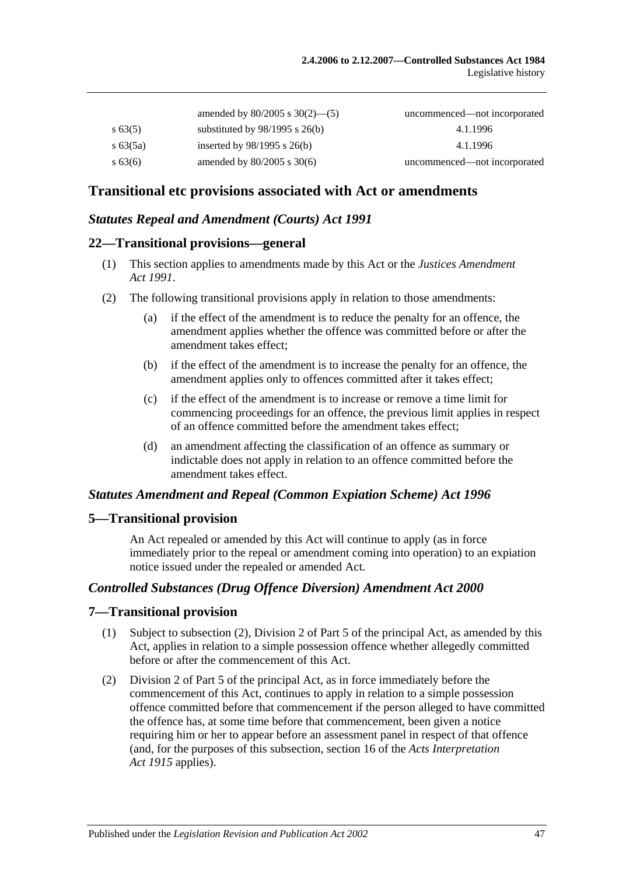|             | amended by $80/2005$ s $30(2)$ —(5) | uncommenced—not incorporated |
|-------------|-------------------------------------|------------------------------|
| $s\,63(5)$  | substituted by $98/1995$ s $26(b)$  | 4.1.1996                     |
| $s\,63(5a)$ | inserted by $98/1995$ s $26(b)$     | 4.1.1996                     |
| $s\,63(6)$  | amended by $80/2005$ s $30(6)$      | uncommenced—not incorporated |

## **Transitional etc provisions associated with Act or amendments**

## *Statutes Repeal and Amendment (Courts) Act 1991*

#### **22—Transitional provisions—general**

- (1) This section applies to amendments made by this Act or the *[Justices Amendment](http://www.legislation.sa.gov.au/index.aspx?action=legref&type=act&legtitle=Justices%20Amendment%20Act%201991)  Act [1991](http://www.legislation.sa.gov.au/index.aspx?action=legref&type=act&legtitle=Justices%20Amendment%20Act%201991)*.
- (2) The following transitional provisions apply in relation to those amendments:
	- (a) if the effect of the amendment is to reduce the penalty for an offence, the amendment applies whether the offence was committed before or after the amendment takes effect;
	- (b) if the effect of the amendment is to increase the penalty for an offence, the amendment applies only to offences committed after it takes effect;
	- (c) if the effect of the amendment is to increase or remove a time limit for commencing proceedings for an offence, the previous limit applies in respect of an offence committed before the amendment takes effect;
	- (d) an amendment affecting the classification of an offence as summary or indictable does not apply in relation to an offence committed before the amendment takes effect.

#### *Statutes Amendment and Repeal (Common Expiation Scheme) Act 1996*

#### **5—Transitional provision**

An Act repealed or amended by this Act will continue to apply (as in force immediately prior to the repeal or amendment coming into operation) to an expiation notice issued under the repealed or amended Act.

## *Controlled Substances (Drug Offence Diversion) Amendment Act 2000*

#### **7—Transitional provision**

- (1) Subject to subsection (2), Division 2 of Part 5 of the principal Act, as amended by this Act, applies in relation to a simple possession offence whether allegedly committed before or after the commencement of this Act.
- (2) Division 2 of Part 5 of the principal Act, as in force immediately before the commencement of this Act, continues to apply in relation to a simple possession offence committed before that commencement if the person alleged to have committed the offence has, at some time before that commencement, been given a notice requiring him or her to appear before an assessment panel in respect of that offence (and, for the purposes of this subsection, section 16 of the *[Acts Interpretation](http://www.legislation.sa.gov.au/index.aspx?action=legref&type=act&legtitle=Acts%20Interpretation%20Act%201915)  Act [1915](http://www.legislation.sa.gov.au/index.aspx?action=legref&type=act&legtitle=Acts%20Interpretation%20Act%201915)* applies).